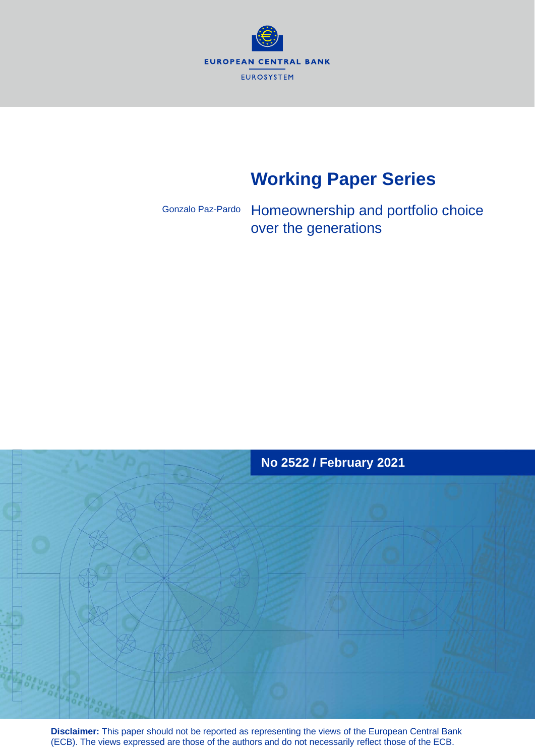

# **Working Paper Series**

Gonzalo Paz-Pardo

Homeownership and portfolio choice over the generations



**Disclaimer:** This paper should not be reported as representing the views of the European Central Bank (ECB). The views expressed are those of the authors and do not necessarily reflect those of the ECB.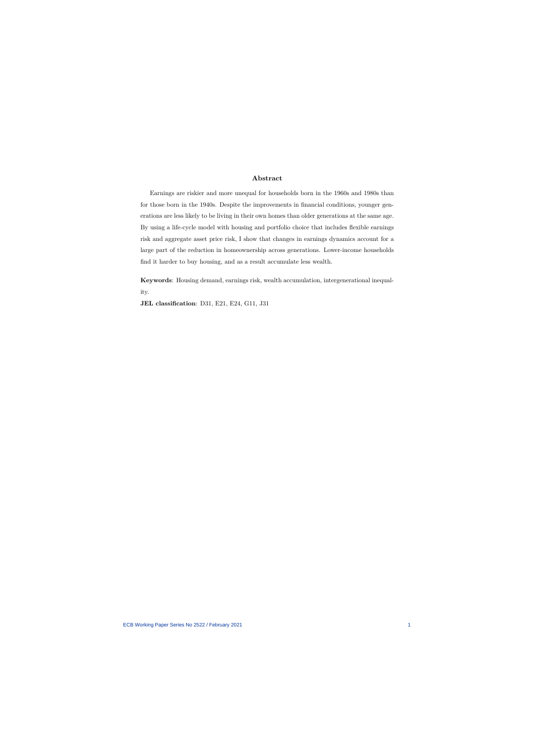#### **Abstract**

Earnings are riskier and more unequal for households born in the 1960s and 1980s than for those born in the 1940s. Despite the improvements in financial conditions, younger generations are less likely to be living in their own homes than older generations at the same age. By using a life-cycle model with housing and portfolio choice that includes flexible earnings risk and aggregate asset price risk, I show that changes in earnings dynamics account for a large part of the reduction in homeownership across generations. Lower-income households find it harder to buy housing, and as a result accumulate less wealth.

**Keywords**: Housing demand, earnings risk, wealth accumulation, intergenerational inequality.

**JEL classification**: D31, E21, E24, G11, J31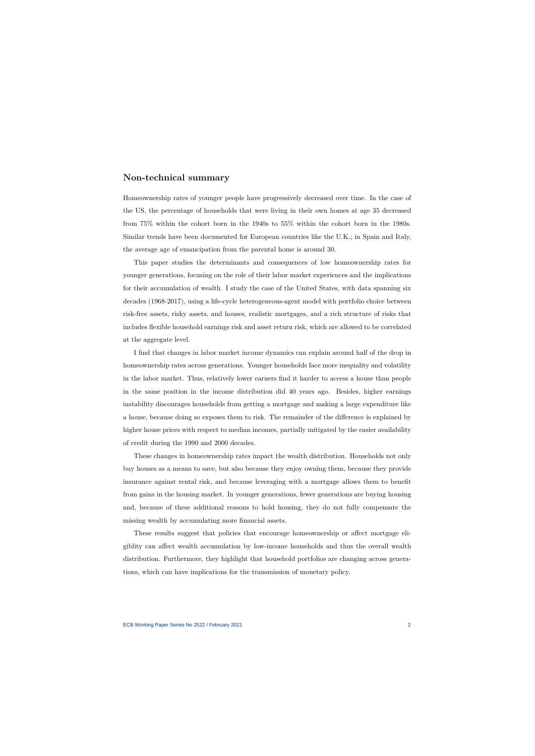## **Non-technical summary**

Homeownership rates of younger people have progressively decreased over time. In the case of the US, the percentage of households that were living in their own homes at age 35 decreased from 75% within the cohort born in the 1940s to 55% within the cohort born in the 1980s. Similar trends have been documented for European countries like the U.K.; in Spain and Italy, the average age of emancipation from the parental home is around 30.

This paper studies the determinants and consequences of low homeownership rates for younger generations, focusing on the role of their labor market experiences and the implications for their accumulation of wealth. I study the case of the United States, with data spanning six decades (1968-2017), using a life-cycle heterogeneous-agent model with portfolio choice between risk-free assets, risky assets, and houses, realistic mortgages, and a rich structure of risks that includes flexible household earnings risk and asset return risk, which are allowed to be correlated at the aggregate level.

I find that changes in labor market income dynamics can explain around half of the drop in homeownership rates across generations. Younger households face more inequality and volatility in the labor market. Thus, relatively lower earners find it harder to access a house than people in the same position in the income distribution did 40 years ago. Besides, higher earnings instability discourages households from getting a mortgage and making a large expenditure like a house, because doing so exposes them to risk. The remainder of the difference is explained by higher house prices with respect to median incomes, partially mitigated by the easier availability of credit during the 1990 and 2000 decades.

These changes in homeownership rates impact the wealth distribution. Households not only buy houses as a means to save, but also because they enjoy owning them, because they provide insurance against rental risk, and because leveraging with a mortgage allows them to benefit from gains in the housing market. In younger generations, fewer generations are buying housing and, because of these additional reasons to hold housing, they do not fully compensate the missing wealth by accumulating more financial assets.

These results suggest that policies that encourage homeownership or affect mortgage eligiblity can affect wealth accumulation by low-income households and thus the overall wealth distribution. Furthermore, they highlight that household portfolios are changing across generations, which can have implications for the transmission of monetary policy.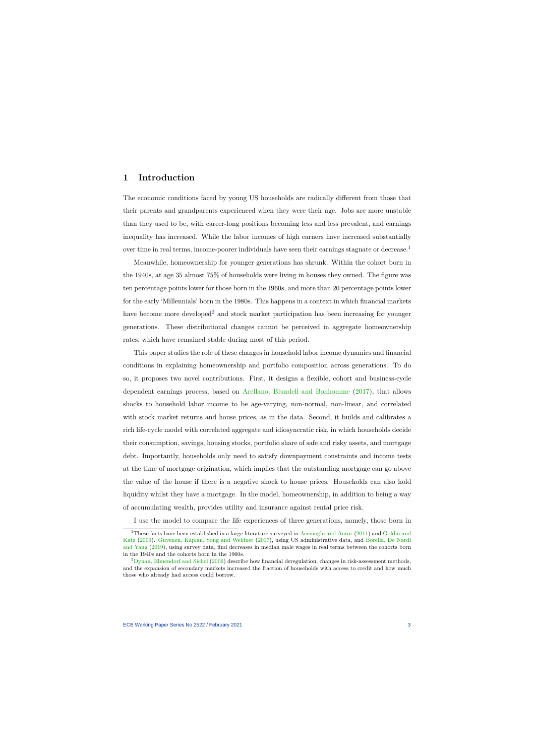# **1 Introduction**

The economic conditions faced by young US households are radically different from those that their parents and grandparents experienced when they were their age. Jobs are more unstable than they used to be, with career-long positions becoming less and less prevalent, and earnings inequality has increased. While the labor incomes of high earners have increased substantially over time in real terms, income-poorer individuals have seen their earnings stagnate or decrease.<sup>[1](#page-3-0)</sup>

Meanwhile, homeownership for younger generations has shrunk. Within the cohort born in the 1940s, at age 35 almost 75% of households were living in houses they owned. The figure was ten percentage points lower for those born in the 1960s, and more than 20 percentage points lower for the early 'Millennials' born in the 1980s. This happens in a context in which financial markets have become more developed<sup>[2](#page-3-1)</sup> and stock market participation has been increasing for younger generations. These distributional changes cannot be perceived in aggregate homeownership rates, which have remained stable during most of this period.

This paper studies the role of these changes in household labor income dynamics and financial conditions in explaining homeownership and portfolio composition across generations. To do so, it proposes two novel contributions. First, it designs a flexible, cohort and business-cycle dependent earnings process, based on [Arellano, Blundell and Bonhomme](#page-37-0) [\(2017\)](#page-37-0), that allows shocks to household labor income to be age-varying, non-normal, non-linear, and correlated with stock market returns and house prices, as in the data. Second, it builds and calibrates a rich life-cycle model with correlated aggregate and idiosyncratic risk, in which households decide their consumption, savings, housing stocks, portfolio share of safe and risky assets, and mortgage debt. Importantly, households only need to satisfy downpayment constraints and income tests at the time of mortgage origination, which implies that the outstanding mortgage can go above the value of the house if there is a negative shock to house prices. Households can also hold liquidity whilst they have a mortgage. In the model, homeownership, in addition to being a way of accumulating wealth, provides utility and insurance against rental price risk.

I use the model to compare the life experiences of three generations, namely, those born in

<sup>1</sup>These facts have been established in a large literature surveyed in [Acemoglu and Autor](#page-37-1) [\(2011\)](#page-37-1) and [Goldin and](#page-40-0) [Katz](#page-40-0) [\(2009\)](#page-40-0). [Guvenen, Kaplan, Song and Weidner](#page-40-1) [\(2017\)](#page-40-1), using US administrative data, and [Borella, De Nardi](#page-38-0) [and Yang](#page-38-0) [\(2019\)](#page-38-0), using survey data, find decreases in median male wages in real terms between the cohorts born in the 1940s and the cohorts born in the 1960s.

<span id="page-3-1"></span><span id="page-3-0"></span><sup>&</sup>lt;sup>2</sup>[Dynan, Elmendorf and Sichel](#page-39-0) [\(2006\)](#page-39-0) describe how financial deregulation, changes in risk-assessment methods, and the expansion of secondary markets increased the fraction of households with access to credit and how much those who already had access could borrow.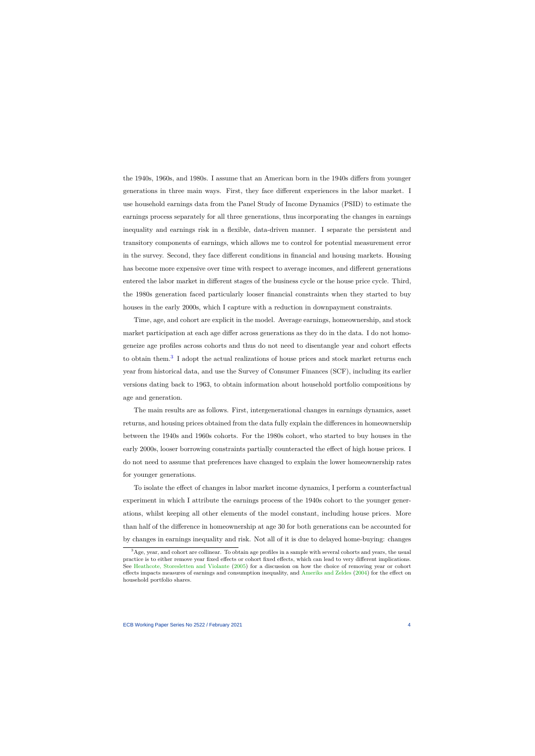the 1940s, 1960s, and 1980s. I assume that an American born in the 1940s differs from younger generations in three main ways. First, they face different experiences in the labor market. I use household earnings data from the Panel Study of Income Dynamics (PSID) to estimate the earnings process separately for all three generations, thus incorporating the changes in earnings inequality and earnings risk in a flexible, data-driven manner. I separate the persistent and transitory components of earnings, which allows me to control for potential measurement error in the survey. Second, they face different conditions in financial and housing markets. Housing has become more expensive over time with respect to average incomes, and different generations entered the labor market in different stages of the business cycle or the house price cycle. Third, the 1980s generation faced particularly looser financial constraints when they started to buy houses in the early 2000s, which I capture with a reduction in downpayment constraints.

Time, age, and cohort are explicit in the model. Average earnings, homeownership, and stock market participation at each age differ across generations as they do in the data. I do not homogeneize age profiles across cohorts and thus do not need to disentangle year and cohort effects to obtain them.<sup>[3](#page-4-0)</sup> I adopt the actual realizations of house prices and stock market returns each year from historical data, and use the Survey of Consumer Finances (SCF), including its earlier versions dating back to 1963, to obtain information about household portfolio compositions by age and generation.

The main results are as follows. First, intergenerational changes in earnings dynamics, asset returns, and housing prices obtained from the data fully explain the differences in homeownership between the 1940s and 1960s cohorts. For the 1980s cohort, who started to buy houses in the early 2000s, looser borrowing constraints partially counteracted the effect of high house prices. I do not need to assume that preferences have changed to explain the lower homeownership rates for younger generations.

To isolate the effect of changes in labor market income dynamics, I perform a counterfactual experiment in which I attribute the earnings process of the 1940s cohort to the younger generations, whilst keeping all other elements of the model constant, including house prices. More than half of the difference in homeownership at age 30 for both generations can be accounted for by changes in earnings inequality and risk. Not all of it is due to delayed home-buying: changes

<span id="page-4-0"></span><sup>&</sup>lt;sup>3</sup>Age, year, and cohort are collinear. To obtain age profiles in a sample with several cohorts and years, the usual practice is to either remove year fixed effects or cohort fixed effects, which can lead to very different implications. See [Heathcote, Storesletten and Violante](#page-40-2) [\(2005\)](#page-40-2) for a discussion on how the choice of removing year or cohort effects impacts measures of earnings and consumption inequality, and [Ameriks and Zeldes](#page-37-2) [\(2004\)](#page-37-2) for the effect on household portfolio shares.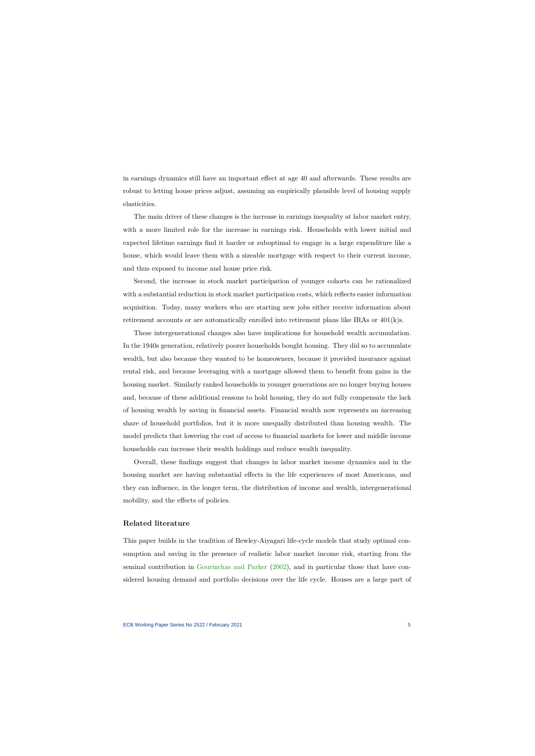in earnings dynamics still have an important effect at age 40 and afterwards. These results are robust to letting house prices adjust, assuming an empirically plausible level of housing supply elasticities.

The main driver of these changes is the increase in earnings inequality at labor market entry, with a more limited role for the increase in earnings risk. Households with lower initial and expected lifetime earnings find it harder or suboptimal to engage in a large expenditure like a house, which would leave them with a sizeable mortgage with respect to their current income, and thus exposed to income and house price risk.

Second, the increase in stock market participation of younger cohorts can be rationalized with a substantial reduction in stock market participation costs, which reflects easier information acquisition. Today, many workers who are starting new jobs either receive information about retirement accounts or are automatically enrolled into retirement plans like IRAs or 401(k)s.

These intergenerational changes also have implications for household wealth accumulation. In the 1940s generation, relatively poorer households bought housing. They did so to accumulate wealth, but also because they wanted to be homeowners, because it provided insurance against rental risk, and because leveraging with a mortgage allowed them to benefit from gains in the housing market. Similarly ranked households in younger generations are no longer buying houses and, because of these additional reasons to hold housing, they do not fully compensate the lack of housing wealth by saving in financial assets. Financial wealth now represents an increasing share of household portfolios, but it is more unequally distributed than housing wealth. The model predicts that lowering the cost of access to financial markets for lower and middle income households can increase their wealth holdings and reduce wealth inequality.

Overall, these findings suggest that changes in labor market income dynamics and in the housing market are having substantial effects in the life experiences of most Americans, and they can influence, in the longer term, the distribution of income and wealth, intergenerational mobility, and the effects of policies.

#### **Related literature**

This paper builds in the tradition of Bewley-Aiyagari life-cycle models that study optimal consumption and saving in the presence of realistic labor market income risk, starting from the seminal contribution in [Gourinchas and Parker](#page-40-3) [\(2002\)](#page-40-3), and in particular those that have considered housing demand and portfolio decisions over the life cycle. Houses are a large part of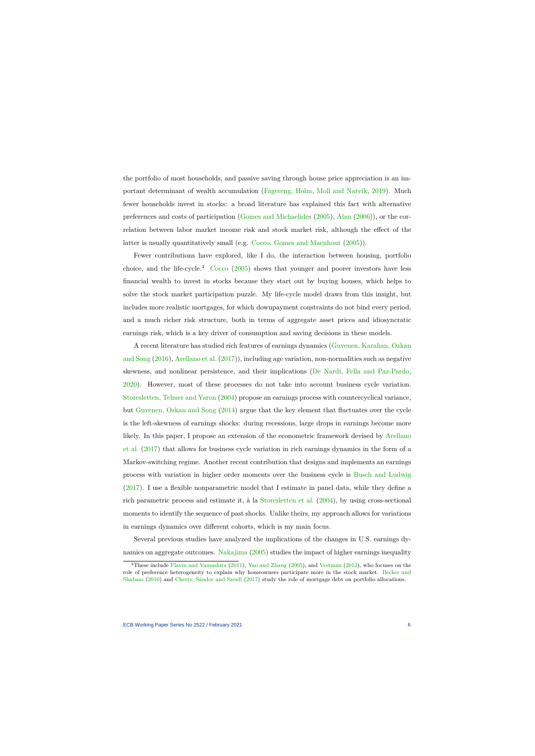the portfolio of most households, and passive saving through house price appreciation is an important determinant of wealth accumulation [\(Fagereng, Holm, Moll and Natvik,](#page-39-1) [2019\)](#page-39-1). Much fewer households invest in stocks: a broad literature has explained this fact with alternative preferences and costs of participation [\(Gomes and Michaelides](#page-40-4) [\(2005\)](#page-40-4), [Alan](#page-37-3) [\(2006\)](#page-37-3)), or the correlation between labor market income risk and stock market risk, although the effect of the latter is usually quantitatively small (e.g. [Cocco, Gomes and Maenhout](#page-38-1) [\(2005\)](#page-38-1)).

Fewer contributions have explored, like I do, the interaction between housing, portfolio choice, and the life-cycle.<sup>[4](#page-6-0)</sup> [Cocco](#page-38-2) [\(2005\)](#page-38-2) shows that younger and poorer investors have less financial wealth to invest in stocks because they start out by buying houses, which helps to solve the stock market participation puzzle. My life-cycle model draws from this insight, but includes more realistic mortgages, for which downpayment constraints do not bind every period, and a much richer risk structure, both in terms of aggregate asset prices and idiosyncratic earnings risk, which is a key driver of consumption and saving decisions in these models.

A recent literature has studied rich features of earnings dynamics [\(Guvenen, Karahan, Ozkan](#page-40-5) [and Song](#page-40-5) [\(2016\)](#page-40-5), [Arellano et al.](#page-37-0) [\(2017\)](#page-37-0)), including age variation, non-normalities such as negative skewness, and nonlinear persistence, and their implications [\(De Nardi, Fella and Paz-Pardo,](#page-39-2) [2020\)](#page-39-2). However, most of these processes do not take into account business cycle variation. [Storesletten, Telmer and Yaron](#page-42-0) [\(2004\)](#page-42-0) propose an earnings process with countercyclical variance, but [Guvenen, Ozkan and Song](#page-40-6) [\(2014\)](#page-40-6) argue that the key element that fluctuates over the cycle is the left-skewness of earnings shocks: during recessions, large drops in earnings become more likely. In this paper, I propose an extension of the econometric framework devised by [Arellano](#page-37-0) [et al.](#page-37-0) [\(2017\)](#page-37-0) that allows for business cycle variation in rich earnings dynamics in the form of a Markov-switching regime. Another recent contribution that designs and implements an earnings process with variation in higher order moments over the business cycle is [Busch and Ludwig](#page-38-3) [\(2017\)](#page-38-3). I use a flexible nonparametric model that I estimate in panel data, while they define a rich parametric process and estimate it, à la [Storesletten et al.](#page-42-0) [\(2004\)](#page-42-0), by using cross-sectional moments to identify the sequence of past shocks. Unlike theirs, my approach allows for variations in earnings dynamics over different cohorts, which is my main focus.

Several previous studies have analyzed the implications of the changes in U.S. earnings dy-namics on aggregate outcomes. [Nakajima](#page-41-0) [\(2005\)](#page-41-0) studies the impact of higher earnings inequality

<span id="page-6-0"></span><sup>&</sup>lt;sup>4</sup>These include [Flavin and Yamashita](#page-39-3) [\(2011\)](#page-39-3), [Yao and Zhang](#page-42-1) [\(2005\)](#page-42-1), and [Vestman](#page-42-2) [\(2012\)](#page-42-2), who focuses on the role of preference heterogeneity to explain why homeowners participate more in the stock market. [Becker and](#page-37-4) [Shabani](#page-37-4) [\(2010\)](#page-37-4) and [Chetty, Sándor and Szeidl](#page-38-4) [\(2017\)](#page-38-4) study the role of mortgage debt on portfolio allocations.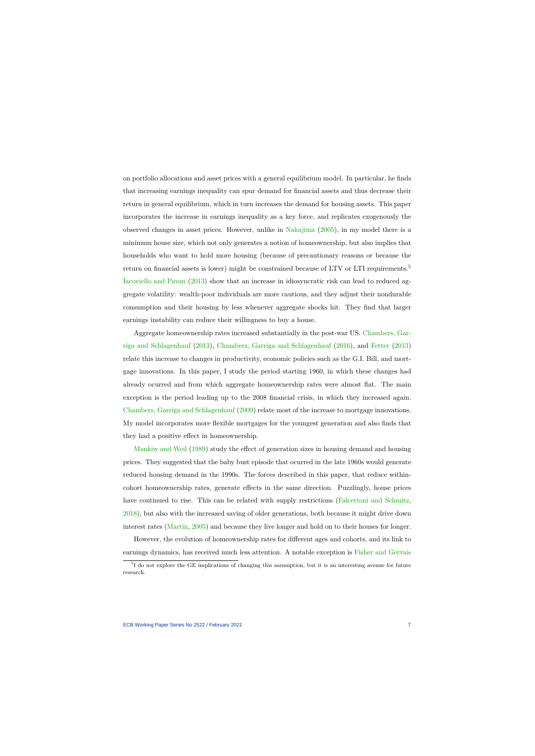on portfolio allocations and asset prices with a general equilibrium model. In particular, he finds that increasing earnings inequality can spur demand for financial assets and thus decrease their return in general equilibrium, which in turn increases the demand for housing assets. This paper incorporates the increase in earnings inequality as a key force, and replicates exogenously the observed changes in asset prices. However, unlike in [Nakajima](#page-41-0) [\(2005\)](#page-41-0), in my model there is a minimum house size, which not only generates a notion of homeownership, but also implies that households who want to hold more housing (because of precautionary reasons or because the return on financial assets is lower) might be constrained because of LTV or LTI requirements.<sup>[5](#page-7-0)</sup> [Iacoviello and Pavan](#page-40-7) [\(2013\)](#page-40-7) show that an increase in idiosyncratic risk can lead to reduced aggregate volatility: wealth-poor individuals are more cautious, and they adjust their nondurable consumption and their housing by less whenever aggregate shocks hit. They find that larger earnings instability can reduce their willingness to buy a house.

Aggregate homeownership rates increased substantially in the post-war US. [Chambers, Gar](#page-38-5)[riga and Schlagenhauf](#page-38-5) [\(2013\)](#page-38-5), [Chambers, Garriga and Schlagenhauf](#page-38-6) [\(2016\)](#page-38-6), and [Fetter](#page-39-4) [\(2013\)](#page-39-4) relate this increase to changes in productivity, economic policies such as the G.I. Bill, and mortgage innovations. In this paper, I study the period starting 1960, in which these changes had already ocurred and from which aggregate homeownership rates were almost flat. The main exception is the period leading up to the 2008 financial crisis, in which they increased again. [Chambers, Garriga and Schlagenhauf](#page-38-7) [\(2009\)](#page-38-7) relate most of the increase to mortgage innovations. My model incorporates more flexible mortgages for the youngest generation and also finds that they had a positive effect in homeownership.

[Mankiw and Weil](#page-41-1) [\(1989\)](#page-41-1) study the effect of generation sizes in housing demand and housing prices. They suggested that the baby bust episode that ocurred in the late 1960s would generate reduced housing demand in the 1990s. The forces described in this paper, that reduce withincohort homeownership rates, generate effects in the same direction. Puzzlingly, house prices have continued to rise. This can be related with supply restrictions [\(Falcettoni and Schmitz,](#page-39-5) [2018\)](#page-39-5), but also with the increased saving of older generations, both because it might drive down interest rates [\(Martin,](#page-41-2) [2005\)](#page-41-2) and because they live longer and hold on to their houses for longer.

However, the evolution of homeownership rates for different ages and cohorts, and its link to earnings dynamics, has received much less attention. A notable exception is [Fisher and Gervais](#page-39-6)

<span id="page-7-0"></span><sup>&</sup>lt;sup>5</sup>I do not explore the GE implications of changing this assumption, but it is an interesting avenue for future research.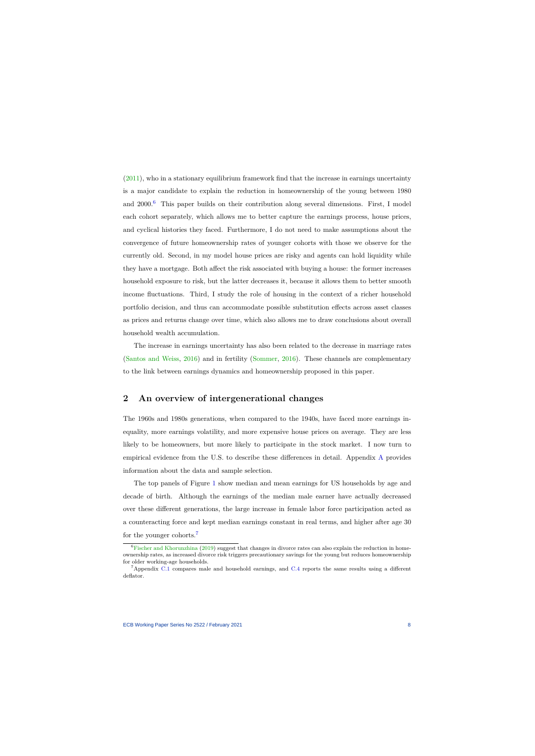$(2011)$ , who in a stationary equilibrium framework find that the increase in earnings uncertainty is a major candidate to explain the reduction in homeownership of the young between 1980 and  $2000<sup>6</sup>$  $2000<sup>6</sup>$  $2000<sup>6</sup>$  This paper builds on their contribution along several dimensions. First, I model each cohort separately, which allows me to better capture the earnings process, house prices, and cyclical histories they faced. Furthermore, I do not need to make assumptions about the convergence of future homeownership rates of younger cohorts with those we observe for the currently old. Second, in my model house prices are risky and agents can hold liquidity while they have a mortgage. Both affect the risk associated with buying a house: the former increases household exposure to risk, but the latter decreases it, because it allows them to better smooth income fluctuations. Third, I study the role of housing in the context of a richer household portfolio decision, and thus can accommodate possible substitution effects across asset classes as prices and returns change over time, which also allows me to draw conclusions about overall household wealth accumulation.

The increase in earnings uncertainty has also been related to the decrease in marriage rates [\(Santos and Weiss,](#page-41-3) [2016\)](#page-41-3) and in fertility [\(Sommer,](#page-41-4) [2016\)](#page-41-4). These channels are complementary to the link between earnings dynamics and homeownership proposed in this paper.

# **2 An overview of intergenerational changes**

The 1960s and 1980s generations, when compared to the 1940s, have faced more earnings inequality, more earnings volatility, and more expensive house prices on average. They are less likely to be homeowners, but more likely to participate in the stock market. I now turn to empirical evidence from the U.S. to describe these differences in detail. Appendix [A](#page-43-0) provides information about the data and sample selection.

<span id="page-8-2"></span>The top panels of Figure [1](#page-12-0) show median and mean earnings for US households by age and decade of birth. Although the earnings of the median male earner have actually decreased over these different generations, the large increase in female labor force participation acted as a counteracting force and kept median earnings constant in real terms, and higher after age 30 for the younger cohorts.[7](#page-8-1)

 ${}^{6}$ [Fischer and Khorunzhina](#page-39-7) [\(2019\)](#page-39-7) suggest that changes in divorce rates can also explain the reduction in homeownership rates, as increased divorce risk triggers precautionary savings for the young but reduces homeownership for older working-age households.

<span id="page-8-1"></span><span id="page-8-0"></span><sup>7</sup>Appendix [C.1](#page-50-0) compares male and household earnings, and [C.4](#page-52-0) reports the same results using a different deflator.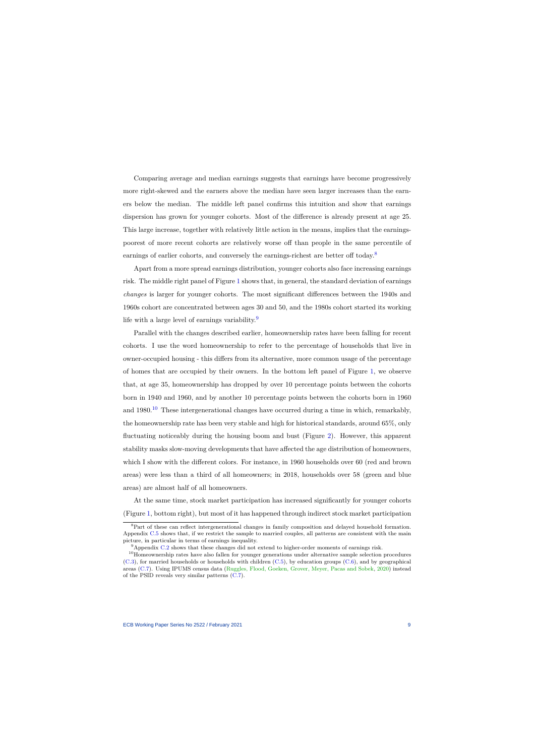Comparing average and median earnings suggests that earnings have become progressively more right-skewed and the earners above the median have seen larger increases than the earners below the median. The middle left panel confirms this intuition and show that earnings dispersion has grown for younger cohorts. Most of the difference is already present at age 25. This large increase, together with relatively little action in the means, implies that the earningspoorest of more recent cohorts are relatively worse off than people in the same percentile of earnings of earlier cohorts, and conversely the earnings-richest are better off today.<sup>[8](#page-9-0)</sup>

Apart from a more spread earnings distribution, younger cohorts also face increasing earnings risk. The middle right panel of Figure [1](#page-12-0) shows that, in general, the standard deviation of earnings *changes* is larger for younger cohorts. The most significant differences between the 1940s and 1960s cohort are concentrated between ages 30 and 50, and the 1980s cohort started its working life with a large level of earnings variability. $9$ 

Parallel with the changes described earlier, homeownership rates have been falling for recent cohorts. I use the word homeownership to refer to the percentage of households that live in owner-occupied housing - this differs from its alternative, more common usage of the percentage of homes that are occupied by their owners. In the bottom left panel of Figure [1,](#page-12-0) we observe that, at age 35, homeownership has dropped by over 10 percentage points between the cohorts born in 1940 and 1960, and by another 10 percentage points between the cohorts born in 1960 and  $1980<sup>10</sup>$  $1980<sup>10</sup>$  $1980<sup>10</sup>$  These intergenerational changes have occurred during a time in which, remarkably, the homeownership rate has been very stable and high for historical standards, around 65%, only fluctuating noticeably during the housing boom and bust (Figure [2\)](#page-13-0). However, this apparent stability masks slow-moving developments that have affected the age distribution of homeowners, which I show with the different colors. For instance, in 1960 households over 60 (red and brown areas) were less than a third of all homeowners; in 2018, households over 58 (green and blue areas) are almost half of all homeowners.

At the same time, stock market participation has increased significantly for younger cohorts (Figure [1,](#page-12-0) bottom right), but most of it has happened through indirect stock market participation

<sup>8</sup>Part of these can reflect intergenerational changes in family composition and delayed household formation. Appendix [C.5](#page-55-0) shows that, if we restrict the sample to married couples, all patterns are consistent with the main picture, in particular in terms of earnings inequality.

<sup>9</sup>Appendix [C.2](#page-50-1) shows that these changes did not extend to higher-order moments of earnings risk.

<span id="page-9-2"></span><span id="page-9-1"></span><span id="page-9-0"></span><sup>&</sup>lt;sup>10</sup>Homeownership rates have also fallen for younger generations under alternative sample selection procedures [\(C.3\)](#page-51-0), for married households or households with children [\(C.5\)](#page-55-0), by education groups [\(C.6\)](#page-57-0), and by geographical areas [\(C.7\)](#page-57-1). Using IPUMS census data [\(Ruggles, Flood, Goeken, Grover, Meyer, Pacas and Sobek,](#page-41-5) [2020\)](#page-41-5) instead of the PSID reveals very similar patterns [\(C.7\)](#page-57-1).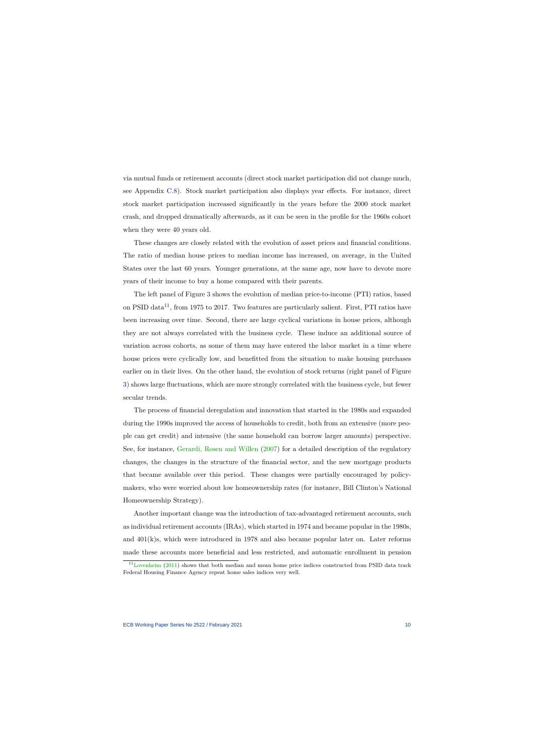via mutual funds or retirement accounts (direct stock market participation did not change much, see Appendix [C.8\)](#page-58-0). Stock market participation also displays year effects. For instance, direct stock market participation increased significantly in the years before the 2000 stock market crash, and dropped dramatically afterwards, as it can be seen in the profile for the 1960s cohort when they were 40 years old.

These changes are closely related with the evolution of asset prices and financial conditions. The ratio of median house prices to median income has increased, on average, in the United States over the last 60 years. Younger generations, at the same age, now have to devote more years of their income to buy a home compared with their parents.

The left panel of Figure [3](#page-13-1) shows the evolution of median price-to-income (PTI) ratios, based on PSID data<sup>[11](#page-10-0)</sup>, from 1975 to 2017. Two features are particularly salient. First, PTI ratios have been increasing over time. Second, there are large cyclical variations in house prices, although they are not always correlated with the business cycle. These induce an additional source of variation across cohorts, as some of them may have entered the labor market in a time where house prices were cyclically low, and benefitted from the situation to make housing purchases earlier on in their lives. On the other hand, the evolution of stock returns (right panel of Figure [3\)](#page-13-1) shows large fluctuations, which are more strongly correlated with the business cycle, but fewer secular trends.

The process of financial deregulation and innovation that started in the 1980s and expanded during the 1990s improved the access of households to credit, both from an extensive (more people can get credit) and intensive (the same household can borrow larger amounts) perspective. See, for instance, [Gerardi, Rosen and Willen](#page-40-8) [\(2007\)](#page-40-8) for a detailed description of the regulatory changes, the changes in the structure of the financial sector, and the new mortgage products that became available over this period. These changes were partially encouraged by policymakers, who were worried about low homeownership rates (for instance, Bill Clinton's National Homeownership Strategy).

Another important change was the introduction of tax-advantaged retirement accounts, such as individual retirement accounts (IRAs), which started in 1974 and became popular in the 1980s, and  $401(k)s$ , which were introduced in 1978 and also became popular later on. Later reforms made these accounts more beneficial and less restricted, and automatic enrollment in pension

<span id="page-10-0"></span><sup>11</sup>[Lovenheim](#page-41-6) [\(2011\)](#page-41-6) shows that both median and mean home price indices constructed from PSID data track Federal Housing Finance Agency repeat home sales indices very well.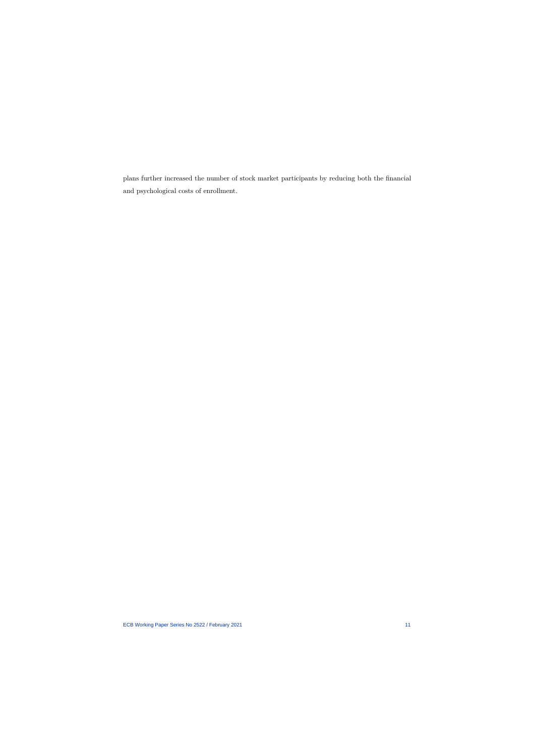plans further increased the number of stock market participants by reducing both the financial and psychological costs of enrollment.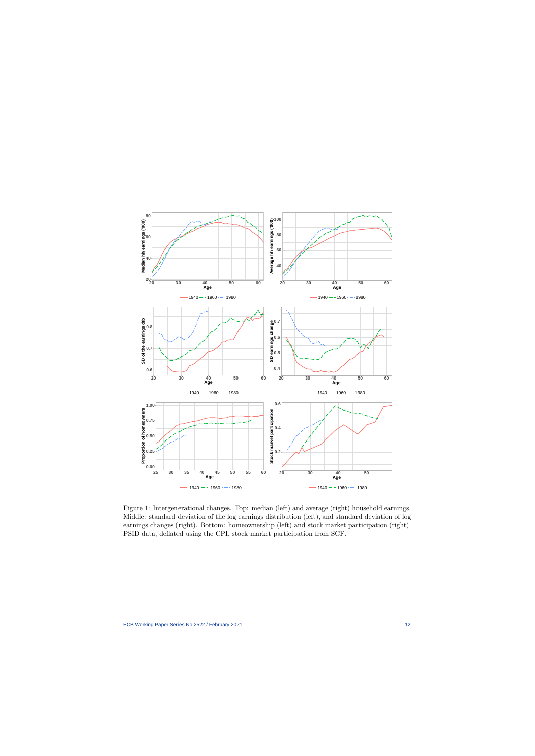

<span id="page-12-0"></span>Figure 1: Intergenerational changes. Top: median (left) and average (right) household earnings. Middle: standard deviation of the log earnings distribution (left), and standard deviation of log earnings changes (right). Bottom: homeownership (left) and stock market participation (right). PSID data, deflated using the CPI, stock market participation from SCF.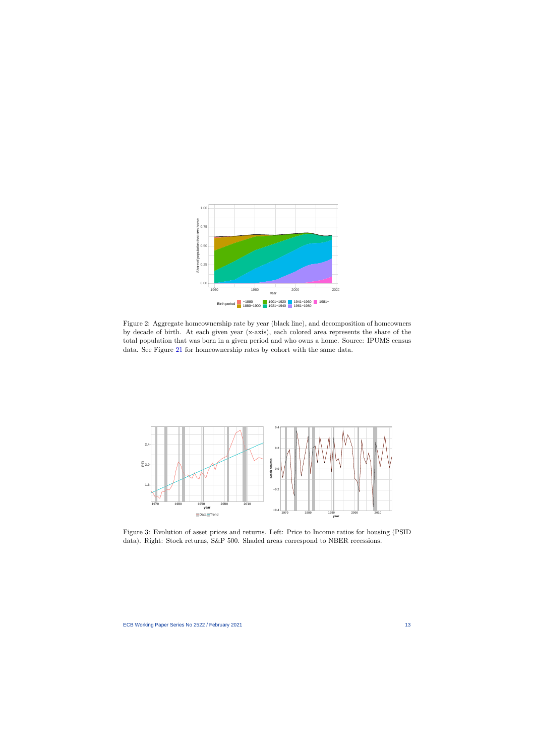

Figure 2: Aggregate homeownership rate by year (black line), and decomposition of homeowners by decade of birth. At each given year (x-axis), each colored area represents the share of the total population that was born in a given period and who owns a home. Source: IPUMS census data. See Figure [21](#page-58-1) for homeownership rates by cohort with the same data.

<span id="page-13-0"></span>

<span id="page-13-1"></span>Figure 3: Evolution of asset prices and returns. Left: Price to Income ratios for housing (PSID data). Right: Stock returns, S&P 500. Shaded areas correspond to NBER recessions.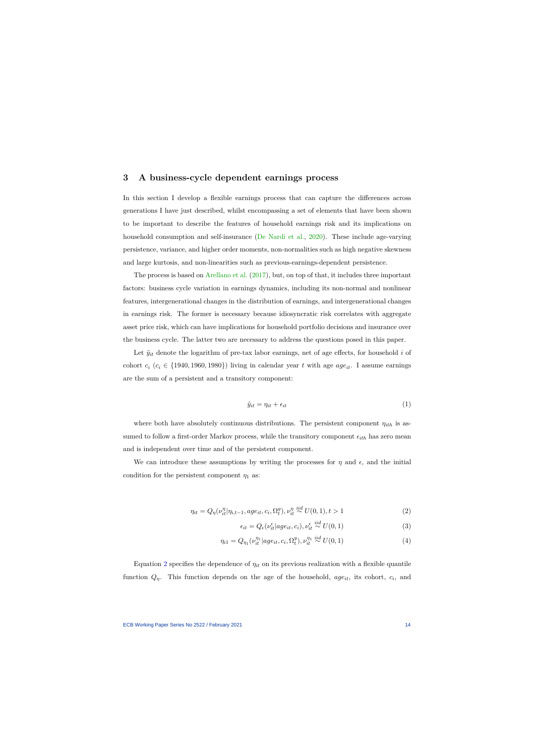## **3 A business-cycle dependent earnings process**

In this section I develop a flexible earnings process that can capture the differences across generations I have just described, whilst encompassing a set of elements that have been shown to be important to describe the features of household earnings risk and its implications on household consumption and self-insurance [\(De Nardi et al.,](#page-39-2) [2020\)](#page-39-2). These include age-varying persistence, variance, and higher order moments, non-normalities such as high negative skewness and large kurtosis, and non-linearities such as previous-earnings-dependent persistence.

<span id="page-14-1"></span>The process is based on [Arellano et al.](#page-37-0) [\(2017\)](#page-37-0), but, on top of that, it includes three important factors: business cycle variation in earnings dynamics, including its non-normal and nonlinear features, intergenerational changes in the distribution of earnings, and intergenerational changes in earnings risk. The former is necessary because idiosyncratic risk correlates with aggregate asset price risk, which can have implications for household portfolio decisions and insurance over the business cycle. The latter two are necessary to address the questions posed in this paper.

Let  $\tilde{y}_{it}$  denote the logarithm of pre-tax labor earnings, net of age effects, for household *i* of cohort  $c_i$  ( $c_i \in \{1940, 1960, 1980\}$ ) living in calendar year t with age  $age_{it}$ . I assume earnings are the sum of a persistent and a transitory component:

$$
\tilde{y}_{it} = \eta_{it} + \epsilon_{it} \tag{1}
$$

where both have absolutely continuous distributions. The persistent component *ηith* is assumed to follow a first-order Markov process, while the transitory component  $\epsilon_{ith}$  has zero mean and is independent over time and of the persistent component.

We can introduce these assumptions by writing the processes for  $\eta$  and  $\epsilon$ , and the initial condition for the persistent component  $\eta_1$  as:

$$
\eta_{it} = Q_{\eta}(\nu_{it}^{\eta} | \eta_{i,t-1}, age_{it}, c_i, \Omega_t^y), \nu_{it}^{\eta} \stackrel{iid}{\sim} U(0,1), t > 1
$$
\n(2)

<span id="page-14-0"></span>
$$
\epsilon_{it} = Q_{\epsilon}(\nu_{it}^{\epsilon}|age_{it}, c_i), \nu_{it}^{\epsilon} \stackrel{iid}{\sim} U(0, 1)
$$
\n(3)

$$
\eta_{i1} = Q_{\eta_1}(\nu_{it}^{\eta_1} | age_{it}, c_i, \Omega_t^y), \nu_{it}^{\eta_1} \stackrel{iid}{\sim} U(0, 1) \tag{4}
$$

Equation [2](#page-14-0) specifies the dependence of  $\eta_{it}$  on its previous realization with a flexible quantile function  $Q_{\eta}$ . This function depends on the age of the household,  $age_{it}$ , its cohort,  $c_i$ , and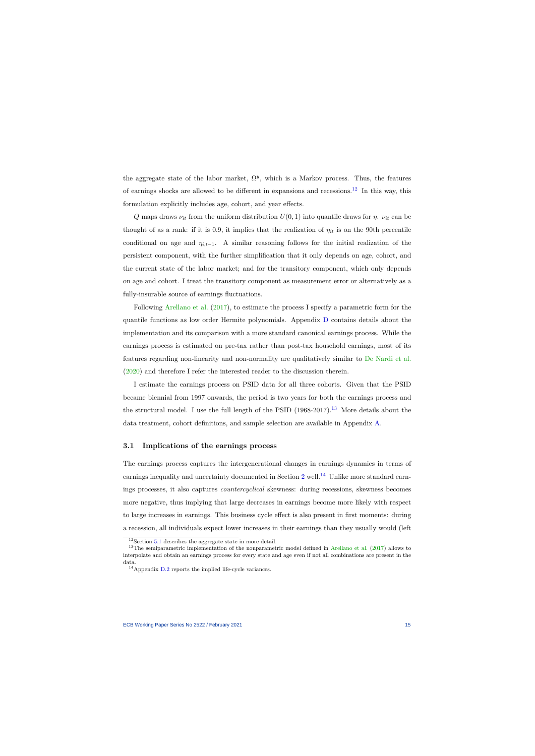the aggregate state of the labor market,  $\Omega^y$ , which is a Markov process. Thus, the features of earnings shocks are allowed to be different in expansions and recessions.<sup>[12](#page-15-0)</sup> In this way, this formulation explicitly includes age, cohort, and year effects.

*Q* maps draws  $ν_{it}$  from the uniform distribution  $U(0, 1)$  into quantile draws for *η*.  $ν_{it}$  can be thought of as a rank: if it is 0.9, it implies that the realization of  $\eta_{it}$  is on the 90th percentile conditional on age and  $\eta_{i,t-1}$ . A similar reasoning follows for the initial realization of the persistent component, with the further simplification that it only depends on age, cohort, and the current state of the labor market; and for the transitory component, which only depends on age and cohort. I treat the transitory component as measurement error or alternatively as a fully-insurable source of earnings fluctuations.

Following [Arellano et al.](#page-37-0) [\(2017\)](#page-37-0), to estimate the process I specify a parametric form for the quantile functions as low order Hermite polynomials. Appendix [D](#page-60-0) contains details about the implementation and its comparison with a more standard canonical earnings process. While the earnings process is estimated on pre-tax rather than post-tax household earnings, most of its features regarding non-linearity and non-normality are qualitatively similar to [De Nardi et al.](#page-39-2) [\(2020\)](#page-39-2) and therefore I refer the interested reader to the discussion therein.

I estimate the earnings process on PSID data for all three cohorts. Given that the PSID became biennial from 1997 onwards, the period is two years for both the earnings process and the structural model. I use the full length of the PSID  $(1968-2017).^{13}$  $(1968-2017).^{13}$  $(1968-2017).^{13}$  More details about the data treatment, cohort definitions, and sample selection are available in Appendix [A.](#page-43-0)

#### **3.1 Implications of the earnings process**

The earnings process captures the intergenerational changes in earnings dynamics in terms of earnings inequality and uncertainty documented in Section  $2$  well.<sup>[14](#page-15-2)</sup> Unlike more standard earnings processes, it also captures *countercyclical* skewness: during recessions, skewness becomes more negative, thus implying that large decreases in earnings become more likely with respect to large increases in earnings. This business cycle effect is also present in first moments: during a recession, all individuals expect lower increases in their earnings than they usually would (left

 $^{12}\rm{Section}$  [5.1](#page-23-0) describes the aggregate state in more detail.

 $13$ The semiparametric implementation of the nonparametric model defined in [Arellano et al.](#page-37-0) [\(2017\)](#page-37-0) allows to interpolate and obtain an earnings process for every state and age even if not all combinations are present in the data.

<span id="page-15-2"></span><span id="page-15-1"></span><span id="page-15-0"></span><sup>14</sup>Appendix [D.2](#page-60-1) reports the implied life-cycle variances.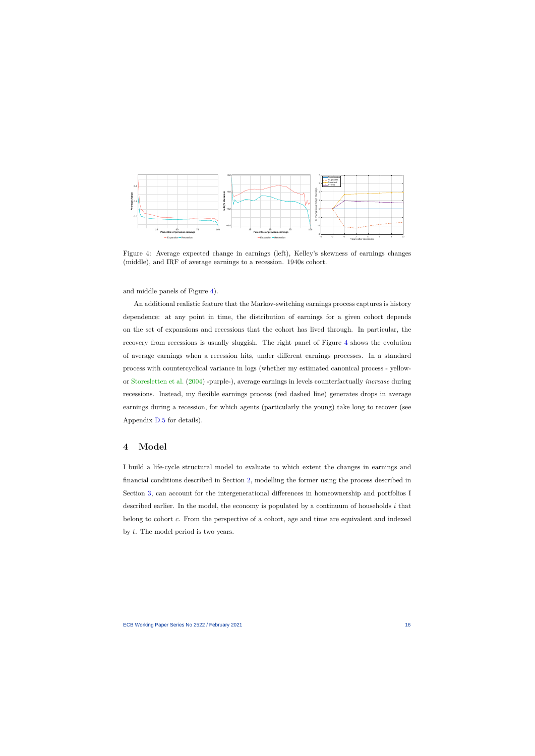

Figure 4: Average expected change in earnings (left), Kelley's skewness of earnings changes (middle), and IRF of average earnings to a recession. 1940s cohort.

and middle panels of Figure [4\)](#page-16-0).

<span id="page-16-0"></span>An additional realistic feature that the Markov-switching earnings process captures is history dependence: at any point in time, the distribution of earnings for a given cohort depends on the set of expansions and recessions that the cohort has lived through. In particular, the recovery from recessions is usually sluggish. The right panel of Figure [4](#page-16-0) shows the evolution of average earnings when a recession hits, under different earnings processes. In a standard process with countercyclical variance in logs (whether my estimated canonical process - yellowor [Storesletten et al.](#page-42-0) [\(2004\)](#page-42-0) -purple-), average earnings in levels counterfactually *increase* during recessions. Instead, my flexible earnings process (red dashed line) generates drops in average earnings during a recession, for which agents (particularly the young) take long to recover (see Appendix [D.5](#page-63-0) for details).

## **4 Model**

I build a life-cycle structural model to evaluate to which extent the changes in earnings and financial conditions described in Section [2,](#page-8-2) modelling the former using the process described in Section [3,](#page-14-1) can account for the intergenerational differences in homeownership and portfolios I described earlier. In the model, the economy is populated by a continuum of households *i* that belong to cohort *c*. From the perspective of a cohort, age and time are equivalent and indexed by *t*. The model period is two years.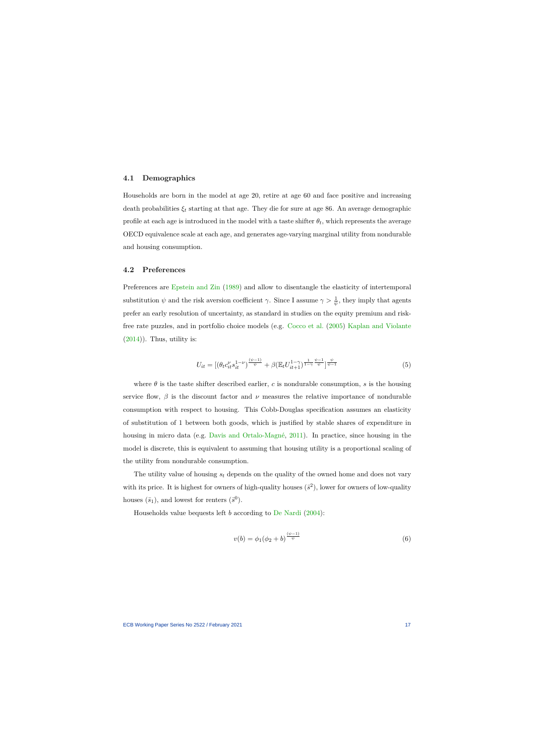#### **4.1 Demographics**

Households are born in the model at age 20, retire at age 60 and face positive and increasing death probabilities  $\xi_t$  starting at that age. They die for sure at age 86. An average demographic profile at each age is introduced in the model with a taste shifter  $\theta_t$ , which represents the average OECD equivalence scale at each age, and generates age-varying marginal utility from nondurable and housing consumption.

## **4.2 Preferences**

Preferences are [Epstein and Zin](#page-39-8) [\(1989\)](#page-39-8) and allow to disentangle the elasticity of intertemporal substitution  $\psi$  and the risk aversion coefficient *γ*. Since I assume  $\gamma > \frac{1}{\psi}$ , they imply that agents prefer an early resolution of uncertainty, as standard in studies on the equity premium and riskfree rate puzzles, and in portfolio choice models (e.g. [Cocco et al.](#page-38-1) [\(2005\)](#page-38-1) [Kaplan and Violante](#page-41-7)  $(2014)$ ). Thus, utility is:

$$
U_{it} = \left[ \left( \theta_t c_{it}^{\nu} s_{it}^{1-\nu} \right)^{\frac{\left(\psi-1\right)}{\psi}} + \beta \left( \mathbb{E}_t U_{it+1}^{1-\gamma} \right)^{\frac{1}{1-\gamma}} \right]^{\frac{\psi-1}{\psi}} \right]_{\psi-1}^{\psi}
$$
(5)

where  $\theta$  is the taste shifter described earlier,  $c$  is nondurable consumption,  $s$  is the housing service flow,  $\beta$  is the discount factor and  $\nu$  measures the relative importance of nondurable consumption with respect to housing. This Cobb-Douglas specification assumes an elasticity of substitution of 1 between both goods, which is justified by stable shares of expenditure in housing in micro data (e.g. [Davis and Ortalo-Magné,](#page-38-8) [2011\)](#page-38-8). In practice, since housing in the model is discrete, this is equivalent to assuming that housing utility is a proportional scaling of the utility from nondurable consumption.

The utility value of housing *s<sup>t</sup>* depends on the quality of the owned home and does not vary with its price. It is highest for owners of high-quality houses  $(\bar{s}^2)$ , lower for owners of low-quality houses  $(\bar{s}_1)$ , and lowest for renters  $(\bar{s}^0)$ .

Households value bequests left *b* according to [De Nardi](#page-38-9) [\(2004\)](#page-38-9):

$$
v(b) = \phi_1(\phi_2 + b)^{\frac{(\psi - 1)}{\psi}}
$$
\n(6)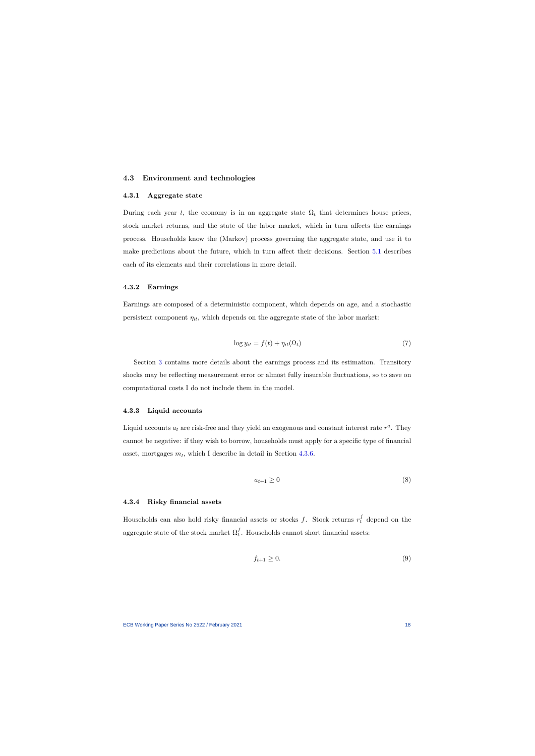#### **4.3 Environment and technologies**

#### **4.3.1 Aggregate state**

During each year *t*, the economy is in an aggregate state  $\Omega_t$  that determines house prices, stock market returns, and the state of the labor market, which in turn affects the earnings process. Households know the (Markov) process governing the aggregate state, and use it to make predictions about the future, which in turn affect their decisions. Section [5.1](#page-23-0) describes each of its elements and their correlations in more detail.

#### **4.3.2 Earnings**

Earnings are composed of a deterministic component, which depends on age, and a stochastic persistent component  $\eta_{it}$ , which depends on the aggregate state of the labor market:

$$
\log y_{it} = f(t) + \eta_{it}(\Omega_t) \tag{7}
$$

Section [3](#page-14-1) contains more details about the earnings process and its estimation. Transitory shocks may be reflecting measurement error or almost fully insurable fluctuations, so to save on computational costs I do not include them in the model.

#### **4.3.3 Liquid accounts**

Liquid accounts  $a_t$  are risk-free and they yield an exogenous and constant interest rate  $r^a$ . They cannot be negative: if they wish to borrow, households must apply for a specific type of financial asset, mortgages  $m_t$ , which I describe in detail in Section [4.3.6.](#page-20-0)

$$
a_{t+1} \ge 0 \tag{8}
$$

#### **4.3.4 Risky financial assets**

Households can also hold risky financial assets or stocks  $f$ . Stock returns  $r_t^f$  depend on the aggregate state of the stock market  $\Omega_t^f$  $_t^I$ . Households cannot short financial assets:

$$
f_{t+1} \ge 0. \tag{9}
$$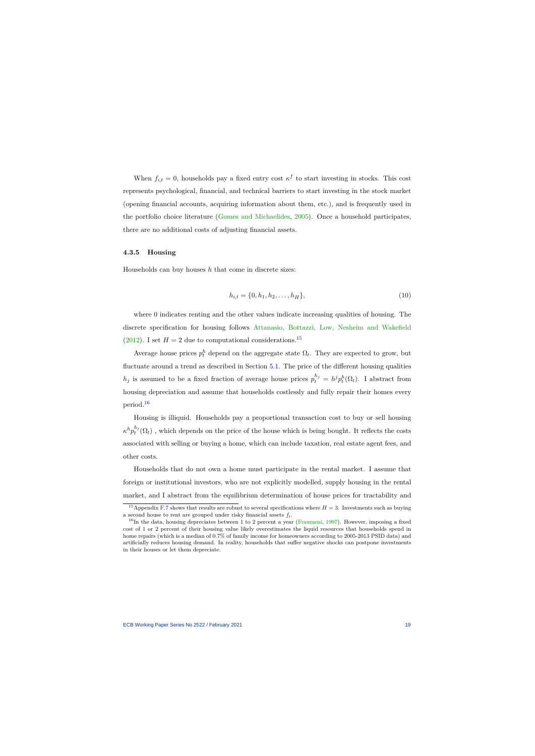When  $f_{i,t} = 0$ , households pay a fixed entry cost  $\kappa^f$  to start investing in stocks. This cost represents psychological, financial, and technical barriers to start investing in the stock market (opening financial accounts, acquiring information about them, etc.), and is frequently used in the portfolio choice literature [\(Gomes and Michaelides,](#page-40-4) [2005\)](#page-40-4). Once a household participates, there are no additional costs of adjusting financial assets.

#### **4.3.5 Housing**

Households can buy houses *h* that come in discrete sizes:

$$
h_{i,t} = \{0, h_1, h_2, \dots, h_H\},\tag{10}
$$

where 0 indicates renting and the other values indicate increasing qualities of housing. The discrete specification for housing follows [Attanasio, Bottazzi, Low, Nesheim and Wakefield](#page-37-5) [\(2012\)](#page-37-5). I set  $H = 2$  due to computational considerations.<sup>[15](#page-19-0)</sup>

Average house prices  $p_t^h$  depend on the aggregate state  $\Omega_t$ . They are expected to grow, but fluctuate around a trend as described in Section [5.1.](#page-23-0) The price of the different housing qualities *h*<sub>j</sub> is assumed to be a fixed fraction of average house prices  $p_t^{h_j} = h^j p_t^h(\Omega_t)$ . I abstract from housing depreciation and assume that households costlessly and fully repair their homes every period.[16](#page-19-1)

Housing is illiquid. Households pay a proportional transaction cost to buy or sell housing  $\kappa^h p_t^{h_j}$  $t_t^{n_j}(\Omega_t)$ , which depends on the price of the house which is being bought. It reflects the costs associated with selling or buying a home, which can include taxation, real estate agent fees, and other costs.

Households that do not own a home must participate in the rental market. I assume that foreign or institutional investors, who are not explicitly modelled, supply housing in the rental market, and I abstract from the equilibrium determination of house prices for tractability and

<sup>&</sup>lt;sup>15</sup>Appendix [F.7](#page-77-0) shows that results are robust to several specifications where  $H = 3$ . Investments such as buying a second house to rent are grouped under risky financial assets *ft*.

<span id="page-19-1"></span><span id="page-19-0"></span> $16$ In the data, housing depreciates between 1 to 2 percent a year [\(Fraumeni,](#page-39-9) [1997\)](#page-39-9). However, imposing a fixed cost of 1 or 2 percent of their housing value likely overestimates the liquid resources that households spend in home repairs (which is a median of 0.7% of family income for homeowners according to 2005-2013 PSID data) and artificially reduces housing demand. In reality, households that suffer negative shocks can postpone investments in their houses or let them depreciate.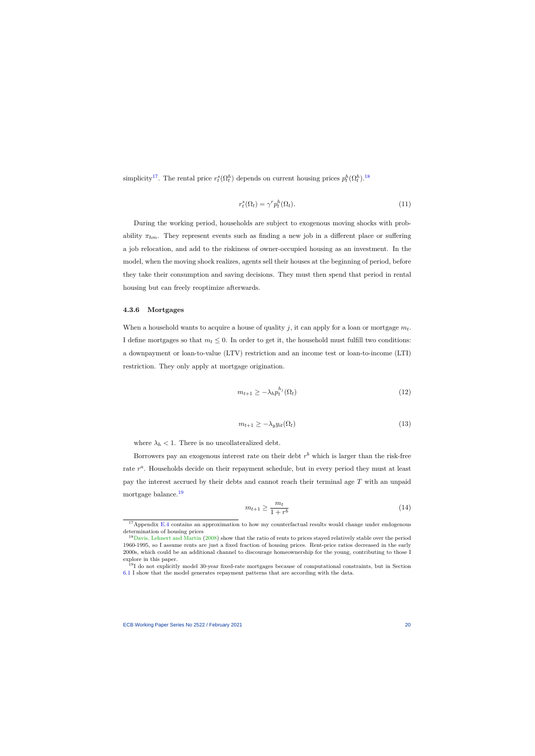simplicity<sup>[17](#page-20-1)</sup>. The rental price  $r_t^s(\Omega_t^h)$  depends on current housing prices  $p_t^h(\Omega_t^h)$ .<sup>[18](#page-20-2)</sup>

$$
r_t^s(\Omega_t) = \gamma^r p_t^h(\Omega_t). \tag{11}
$$

During the working period, households are subject to exogenous moving shocks with probability  $\pi_{hm}$ . They represent events such as finding a new job in a different place or suffering a job relocation, and add to the riskiness of owner-occupied housing as an investment. In the model, when the moving shock realizes, agents sell their houses at the beginning of period, before they take their consumption and saving decisions. They must then spend that period in rental housing but can freely reoptimize afterwards.

### **4.3.6 Mortgages**

When a household wants to acquire a house of quality  $j$ , it can apply for a loan or mortgage  $m_t$ . I define mortgages so that  $m_t \leq 0$ . In order to get it, the household must fulfill two conditions: a downpayment or loan-to-value (LTV) restriction and an income test or loan-to-income (LTI) restriction. They only apply at mortgage origination.

$$
m_{t+1} \ge -\lambda_h p_t^{h_j}(\Omega_t) \tag{12}
$$

$$
m_{t+1} \ge -\lambda_y y_{it}(\Omega_t) \tag{13}
$$

where  $\lambda_h < 1$ . There is no uncollateralized debt.

<span id="page-20-0"></span>Borrowers pay an exogenous interest rate on their debt  $r<sup>b</sup>$  which is larger than the risk-free rate  $r^a$ . Households decide on their repayment schedule, but in every period they must at least pay the interest accrued by their debts and cannot reach their terminal age *T* with an unpaid mortgage balance.[19](#page-20-3)

$$
m_{t+1} \ge \frac{m_t}{1+r^b} \tag{14}
$$

<sup>&</sup>lt;sup>17</sup>Appendix [E.4](#page-67-0) contains an approximation to how my counterfactual results would change under endogenous determination of housing prices

<sup>&</sup>lt;sup>18</sup>[Davis, Lehnert and Martin](#page-38-10) [\(2008\)](#page-38-10) show that the ratio of rents to prices stayed relatively stable over the period 1960-1995, so I assume rents are just a fixed fraction of housing prices. Rent-price ratios decreased in the early 2000s, which could be an additional channel to discourage homeownership for the young, contributing to those I explore in this paper.

<span id="page-20-3"></span><span id="page-20-2"></span><span id="page-20-1"></span><sup>19</sup>I do not explicitly model 30-year fixed-rate mortgages because of computational constraints, but in Section [6.1](#page-28-0) I show that the model generates repayment patterns that are according with the data.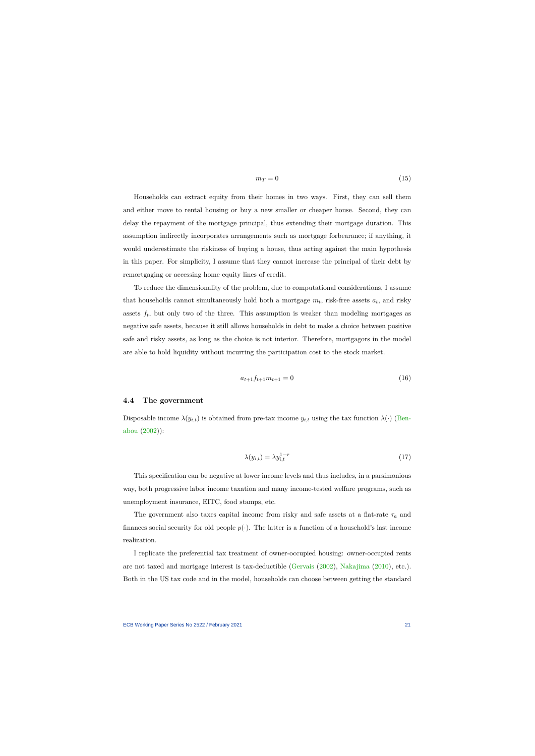$$
m_T = 0 \tag{15}
$$

Households can extract equity from their homes in two ways. First, they can sell them and either move to rental housing or buy a new smaller or cheaper house. Second, they can delay the repayment of the mortgage principal, thus extending their mortgage duration. This assumption indirectly incorporates arrangements such as mortgage forbearance; if anything, it would underestimate the riskiness of buying a house, thus acting against the main hypothesis in this paper. For simplicity, I assume that they cannot increase the principal of their debt by remortgaging or accessing home equity lines of credit.

To reduce the dimensionality of the problem, due to computational considerations, I assume that households cannot simultaneously hold both a mortgage  $m_t$ , risk-free assets  $a_t$ , and risky assets  $f_t$ , but only two of the three. This assumption is weaker than modeling mortgages as negative safe assets, because it still allows households in debt to make a choice between positive safe and risky assets, as long as the choice is not interior. Therefore, mortgagors in the model are able to hold liquidity without incurring the participation cost to the stock market.

$$
a_{t+1}f_{t+1}m_{t+1} = 0 \tag{16}
$$

#### **4.4 The government**

Disposable income  $\lambda(y_{i,t})$  is obtained from pre-tax income  $y_{i,t}$  using the tax function  $\lambda(\cdot)$  [\(Ben](#page-37-6)[abou](#page-37-6) [\(2002\)](#page-37-6)):

$$
\lambda(y_{i,t}) = \lambda y_{i,t}^{1-\tau} \tag{17}
$$

This specification can be negative at lower income levels and thus includes, in a parsimonious way, both progressive labor income taxation and many income-tested welfare programs, such as unemployment insurance, EITC, food stamps, etc.

The government also taxes capital income from risky and safe assets at a flat-rate  $\tau_a$  and finances social security for old people  $p(\cdot)$ . The latter is a function of a household's last income realization.

I replicate the preferential tax treatment of owner-occupied housing: owner-occupied rents are not taxed and mortgage interest is tax-deductible [\(Gervais](#page-40-9) [\(2002\)](#page-40-9), [Nakajima](#page-41-8) [\(2010\)](#page-41-8), etc.). Both in the US tax code and in the model, households can choose between getting the standard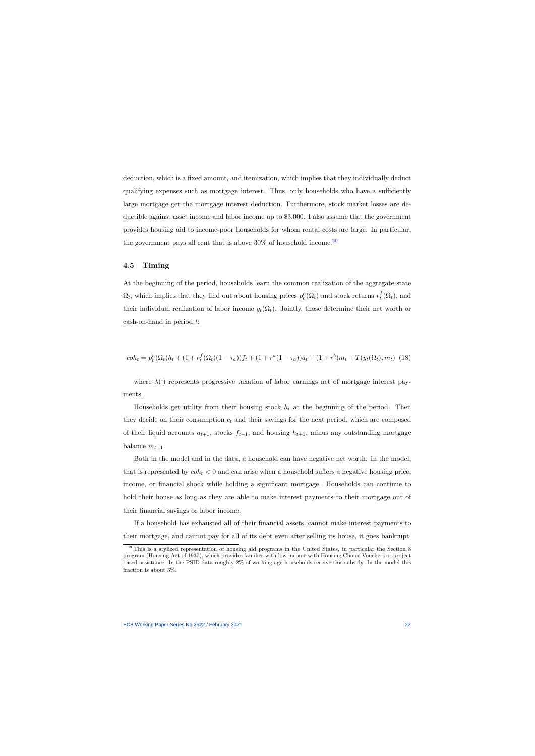deduction, which is a fixed amount, and itemization, which implies that they individually deduct qualifying expenses such as mortgage interest. Thus, only households who have a sufficiently large mortgage get the mortgage interest deduction. Furthermore, stock market losses are deductible against asset income and labor income up to \$3,000. I also assume that the government provides housing aid to income-poor households for whom rental costs are large. In particular, the government pays all rent that is above  $30\%$  of household income.<sup>[20](#page-22-0)</sup>

#### **4.5 Timing**

At the beginning of the period, households learn the common realization of the aggregate state  $\Omega_t$ , which implies that they find out about housing prices  $p_t^h(\Omega_t)$  and stock returns  $r_t^f$  $t_t^J(\Omega_t)$ , and their individual realization of labor income  $y_t(\Omega_t)$ . Jointly, those determine their net worth or cash-on-hand in period *t*:

$$
coh_t = p_t^h(\Omega_t)h_t + (1 + r_t^f(\Omega_t)(1 - \tau_a))f_t + (1 + r^a(1 - \tau_a))a_t + (1 + r^b)m_t + T(y_t(\Omega_t), m_t)
$$
(18)

where  $\lambda(\cdot)$  represents progressive taxation of labor earnings net of mortgage interest payments.

Households get utility from their housing stock  $h_t$  at the beginning of the period. Then they decide on their consumption  $c_t$  and their savings for the next period, which are composed of their liquid accounts  $a_{t+1}$ , stocks  $f_{t+1}$ , and housing  $h_{t+1}$ , minus any outstanding mortgage balance  $m_{t+1}$ .

Both in the model and in the data, a household can have negative net worth. In the model, that is represented by  $\cosh t < 0$  and can arise when a household suffers a negative housing price, income, or financial shock while holding a significant mortgage. Households can continue to hold their house as long as they are able to make interest payments to their mortgage out of their financial savings or labor income.

If a household has exhausted all of their financial assets, cannot make interest payments to their mortgage, and cannot pay for all of its debt even after selling its house, it goes bankrupt.

<span id="page-22-0"></span> $20$ This is a stylized representation of housing aid programs in the United States, in particular the Section 8 program (Housing Act of 1937), which provides families with low income with Housing Choice Vouchers or project based assistance. In the PSID data roughly 2% of working age households receive this subsidy. In the model this fraction is about 3%.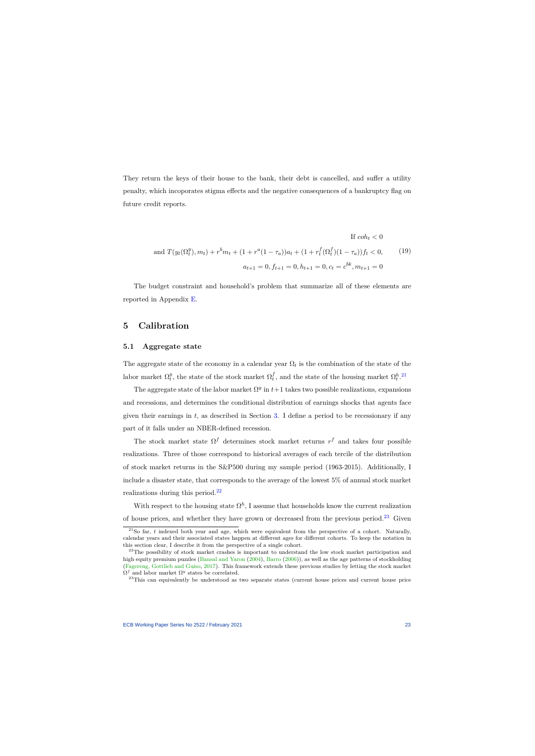They return the keys of their house to the bank, their debt is cancelled, and suffer a utility penalty, which incoporates stigma effects and the negative consequences of a bankruptcy flag on future credit reports.

If 
$$
coh_t < 0
$$
  
\nand  $T(y_t(\Omega_t^y), m_t) + r^b m_t + (1 + r^a(1 - \tau_a))a_t + (1 + r^f_t(\Omega_t^f)(1 - \tau_a))f_t < 0,$  (19)  
\n $a_{t+1} = 0, f_{t+1} = 0, h_{t+1} = 0, c_t = c^{bk}, m_{t+1} = 0$ 

The budget constraint and household's problem that summarize all of these elements are reported in Appendix [E.](#page-65-0)

## **5 Calibration**

## **5.1 Aggregate state**

<span id="page-23-4"></span>The aggregate state of the economy in a calendar year  $\Omega_t$  is the combination of the state of the labor market  $\Omega_t^y$  $t$ <sup>*t*</sup>, the state of the stock market  $\Omega_t^f$  $t_t$ , and the state of the housing market  $\Omega_t^{h}$ .<sup>[21](#page-23-1)</sup>

The aggregate state of the labor market  $\Omega^y$  in  $t+1$  takes two possible realizations, expansions and recessions, and determines the conditional distribution of earnings shocks that agents face given their earnings in  $t$ , as described in Section [3.](#page-14-1) I define a period to be recessionary if any part of it falls under an NBER-defined recession.

<span id="page-23-0"></span>The stock market state  $\Omega^f$  determines stock market returns  $r^f$  and takes four possible realizations. Three of those correspond to historical averages of each tercile of the distribution of stock market returns in the S&P500 during my sample period (1963-2015). Additionally, I include a disaster state, that corresponds to the average of the lowest 5% of annual stock market realizations during this period.[22](#page-23-2)

With respect to the housing state  $\Omega^h$ , I assume that households know the current realization of house prices, and whether they have grown or decreased from the previous period.<sup>[23](#page-23-3)</sup> Given

 $21$ So far, *t* indexed both year and age, which were equivalent from the perspective of a cohort. Naturally, calendar years and their associated states happen at different ages for different cohorts. To keep the notation in this section clear, I describe it from the perspective of a single cohort.

 $22$ The possibility of stock market crashes is important to understand the low stock market participation and high equity premium puzzles [\(Bansal and Yaron](#page-37-7) [\(2004\)](#page-37-7), [Barro](#page-37-8) [\(2006\)](#page-37-8)), as well as the age patterns of stockholding [\(Fagereng, Gottlieb and Guiso,](#page-39-10) [2017\)](#page-39-10). This framework extends these previous studies by letting the stock market  $\Omega^f$  and labor market  $\Omega^y$  states be correlated.

<span id="page-23-3"></span><span id="page-23-2"></span><span id="page-23-1"></span><sup>&</sup>lt;sup>23</sup>This can equivalently be understood as two separate states (current house prices and current house price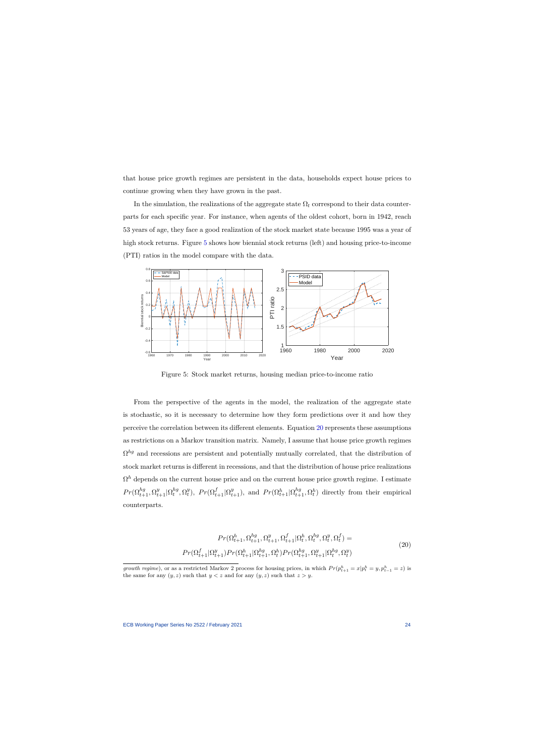that house price growth regimes are persistent in the data, households expect house prices to continue growing when they have grown in the past.

In the simulation, the realizations of the aggregate state  $\Omega_t$  correspond to their data counterparts for each specific year. For instance, when agents of the oldest cohort, born in 1942, reach 53 years of age, they face a good realization of the stock market state because 1995 was a year of high stock returns. Figure [5](#page-24-0) shows how biennial stock returns (left) and housing price-to-income (PTI) ratios in the model compare with the data.



Figure 5: Stock market returns, housing median price-to-income ratio

<span id="page-24-0"></span>From the perspective of the agents in the model, the realization of the aggregate state is stochastic, so it is necessary to determine how they form predictions over it and how they perceive the correlation between its different elements. Equation [20](#page-24-1) represents these assumptions as restrictions on a Markov transition matrix. Namely, I assume that house price growth regimes  $\Omega^{hg}$  and recessions are persistent and potentially mutually correlated, that the distribution of stock market returns is different in recessions, and that the distribution of house price realizations  $\Omega^h$  depends on the current house price and on the current house price growth regime. I estimate  $Pr(\Omega_{t+1}^{hg}, \Omega_{t+1}^y | \Omega_t^{hg})$  $_t^{hg}, \Omega_t^y$  $P_t^y$ ,  $Pr(\Omega_{t+1}^f | \Omega_{t+1}^y)$ , and  $Pr(\Omega_{t+1}^h | \Omega_{t+1}^h, \Omega_t^h)$  directly from their empirical counterparts.

$$
Pr(\Omega_{t+1}^{h}, \Omega_{t+1}^{hg}, \Omega_{t+1}^{y}, \Omega_{t+1}^{f} | \Omega_{t}^{h}, \Omega_{t}^{hg}, \Omega_{t}^{y}, \Omega_{t}^{f}) =
$$
  
\n
$$
Pr(\Omega_{t+1}^{f} | \Omega_{t+1}^{y}) Pr(\Omega_{t+1}^{h} | \Omega_{t+1}^{hg}, \Omega_{t}^{h}) Pr(\Omega_{t+1}^{hg}, \Omega_{t+1}^{y} | \Omega_{t}^{hg}, \Omega_{t}^{y})
$$
\n
$$
(20)
$$

<span id="page-24-1"></span>*growth regime*), or as a restricted Markov 2 process for housing prices, in which  $Pr(p_{t+1}^h = x|p_t^h = y, p_{t-1}^h = z)$  is the same for any  $(y, z)$  such that  $y < z$  and for any  $(y, z)$  such that  $z > y$ .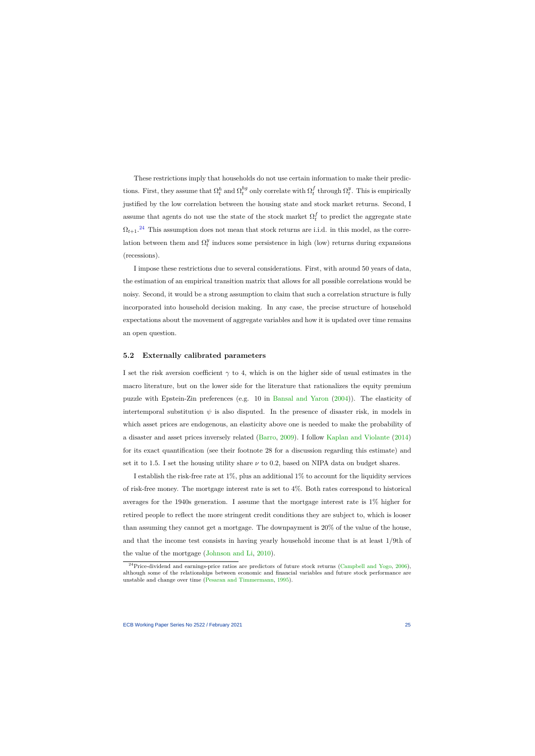These restrictions imply that households do not use certain information to make their predictions. First, they assume that  $\Omega_t^h$  and  $\Omega_t^{hg}$  $t_t^{hg}$  only correlate with  $\Omega_t^f$  $f_t$  through  $\Omega_t^y$ *t* . This is empirically justified by the low correlation between the housing state and stock market returns. Second, I assume that agents do not use the state of the stock market  $\Omega_t^f$  $_t^J$  to predict the aggregate state  $\Omega_{t+1}.^{24}$  $\Omega_{t+1}.^{24}$  $\Omega_{t+1}.^{24}$  This assumption does not mean that stock returns are i.i.d. in this model, as the correlation between them and  $\Omega_t^y$  $t$ <sup> $y$ </sup> induces some persistence in high (low) returns during expansions (recessions).

I impose these restrictions due to several considerations. First, with around 50 years of data, the estimation of an empirical transition matrix that allows for all possible correlations would be noisy. Second, it would be a strong assumption to claim that such a correlation structure is fully incorporated into household decision making. In any case, the precise structure of household expectations about the movement of aggregate variables and how it is updated over time remains an open question.

#### **5.2 Externally calibrated parameters**

I set the risk aversion coefficient  $\gamma$  to 4, which is on the higher side of usual estimates in the macro literature, but on the lower side for the literature that rationalizes the equity premium puzzle with Epstein-Zin preferences (e.g. 10 in [Bansal and Yaron](#page-37-7) [\(2004\)](#page-37-7)). The elasticity of intertemporal substitution  $\psi$  is also disputed. In the presence of disaster risk, in models in which asset prices are endogenous, an elasticity above one is needed to make the probability of a disaster and asset prices inversely related [\(Barro,](#page-37-9) [2009\)](#page-37-9). I follow [Kaplan and Violante](#page-41-7) [\(2014\)](#page-41-7) for its exact quantification (see their footnote 28 for a discussion regarding this estimate) and set it to 1.5. I set the housing utility share  $\nu$  to 0.2, based on NIPA data on budget shares.

I establish the risk-free rate at 1%, plus an additional 1% to account for the liquidity services of risk-free money. The mortgage interest rate is set to 4%. Both rates correspond to historical averages for the 1940s generation. I assume that the mortgage interest rate is 1% higher for retired people to reflect the more stringent credit conditions they are subject to, which is looser than assuming they cannot get a mortgage. The downpayment is 20% of the value of the house, and that the income test consists in having yearly household income that is at least 1/9th of the value of the mortgage [\(Johnson and Li,](#page-41-9) [2010\)](#page-41-9).

<span id="page-25-0"></span><sup>&</sup>lt;sup>24</sup>Price-dividend and earnings-price ratios are predictors of future stock returns [\(Campbell and Yogo,](#page-38-11) [2006\)](#page-38-11), although some of the relationships between economic and financial variables and future stock performance are unstable and change over time [\(Pesaran and Timmermann,](#page-41-10) [1995\)](#page-41-10).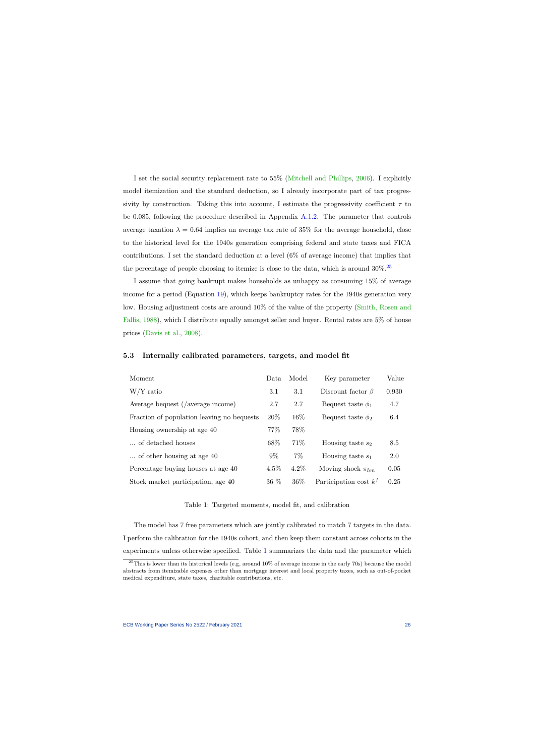I set the social security replacement rate to 55% [\(Mitchell and Phillips,](#page-41-11) [2006\)](#page-41-11). I explicitly model itemization and the standard deduction, so I already incorporate part of tax progressivity by construction. Taking this into account, I estimate the progressivity coefficient  $\tau$  to be 0.085, following the procedure described in Appendix [A.1.2.](#page-45-0) The parameter that controls average taxation  $\lambda = 0.64$  implies an average tax rate of 35% for the average household, close to the historical level for the 1940s generation comprising federal and state taxes and FICA contributions. I set the standard deduction at a level (6% of average income) that implies that the percentage of people choosing to itemize is close to the data, which is around  $30\%$ .<sup>[25](#page-26-0)</sup>

I assume that going bankrupt makes households as unhappy as consuming 15% of average income for a period (Equation [19\)](#page-23-4), which keeps bankruptcy rates for the 1940s generation very low. Housing adjustment costs are around 10% of the value of the property [\(Smith, Rosen and](#page-41-12) [Fallis,](#page-41-12) [1988\)](#page-41-12), which I distribute equally amongst seller and buyer. Rental rates are 5% of house prices [\(Davis et al.,](#page-38-10) [2008\)](#page-38-10).

| Moment                                     | Data    | Model   | Key parameter            | Value |
|--------------------------------------------|---------|---------|--------------------------|-------|
| $W/Y$ ratio                                | 3.1     | 3.1     | Discount factor $\beta$  | 0.930 |
| Average bequest (/average income)          | 2.7     | 2.7     | Bequest taste $\phi_1$   | 4.7   |
| Fraction of population leaving no bequests | 20%     | $16\%$  | Bequest taste $\phi_2$   | 6.4   |
| Housing ownership at age 40                | 77\%    | 78%     |                          |       |
| of detached houses                         | 68\%    | 71\%    | Housing taste $s_2$      | 8.5   |
| of other housing at age 40                 | $9\%$   | $7\%$   | Housing taste $s_1$      | 2.0   |
| Percentage buying houses at age 40         | $4.5\%$ | $4.2\%$ | Moving shock $\pi_{hm}$  | 0.05  |
| Stock market participation, age 40         | 36 %    | 36%     | Participation cost $k^f$ | 0.25  |

#### **5.3 Internally calibrated parameters, targets, and model fit**

#### Table 1: Targeted moments, model fit, and calibration

The model has 7 free parameters which are jointly calibrated to match 7 targets in the data. I perform the calibration for the 1940s cohort, and then keep them constant across cohorts in the experiments unless otherwise specified. Table [1](#page-26-1) summarizes the data and the parameter which

<span id="page-26-1"></span><span id="page-26-0"></span> $25$ This is lower than its historical levels (e.g, around  $10\%$  of average income in the early 70s) because the model abstracts from itemizable expenses other than mortgage interest and local property taxes, such as out-of-pocket medical expenditure, state taxes, charitable contributions, etc.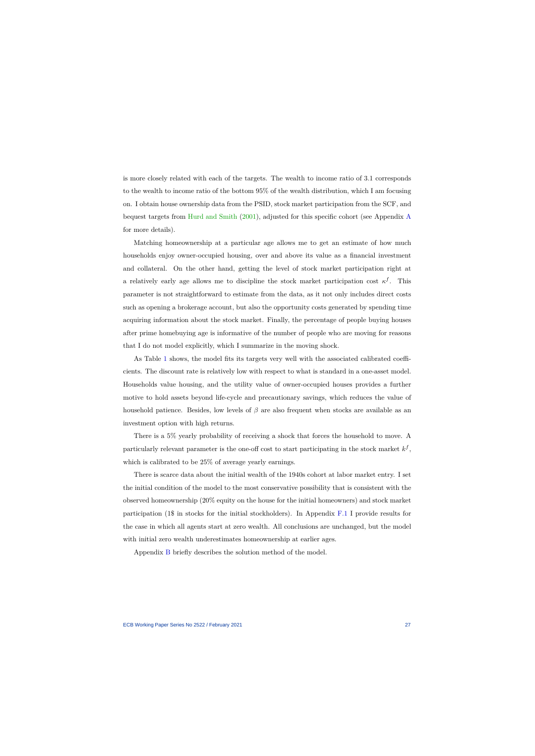is more closely related with each of the targets. The wealth to income ratio of 3.1 corresponds to the wealth to income ratio of the bottom 95% of the wealth distribution, which I am focusing on. I obtain house ownership data from the PSID, stock market participation from the SCF, and bequest targets from [Hurd and Smith](#page-40-10) [\(2001\)](#page-40-10), adjusted for this specific cohort (see Appendix [A](#page-43-0) for more details).

Matching homeownership at a particular age allows me to get an estimate of how much households enjoy owner-occupied housing, over and above its value as a financial investment and collateral. On the other hand, getting the level of stock market participation right at a relatively early age allows me to discipline the stock market participation cost  $\kappa^f$ . This parameter is not straightforward to estimate from the data, as it not only includes direct costs such as opening a brokerage account, but also the opportunity costs generated by spending time acquiring information about the stock market. Finally, the percentage of people buying houses after prime homebuying age is informative of the number of people who are moving for reasons that I do not model explicitly, which I summarize in the moving shock.

As Table [1](#page-26-1) shows, the model fits its targets very well with the associated calibrated coefficients. The discount rate is relatively low with respect to what is standard in a one-asset model. Households value housing, and the utility value of owner-occupied houses provides a further motive to hold assets beyond life-cycle and precautionary savings, which reduces the value of household patience. Besides, low levels of *β* are also frequent when stocks are available as an investment option with high returns.

There is a 5% yearly probability of receiving a shock that forces the household to move. A particularly relevant parameter is the one-off cost to start participating in the stock market  $k^f$ , which is calibrated to be 25% of average yearly earnings.

There is scarce data about the initial wealth of the 1940s cohort at labor market entry. I set the initial condition of the model to the most conservative possibility that is consistent with the observed homeownership (20% equity on the house for the initial homeowners) and stock market participation (1\$ in stocks for the initial stockholders). In Appendix [F.1](#page-71-0) I provide results for the case in which all agents start at zero wealth. All conclusions are unchanged, but the model with initial zero wealth underestimates homeownership at earlier ages.

Appendix [B](#page-48-0) briefly describes the solution method of the model.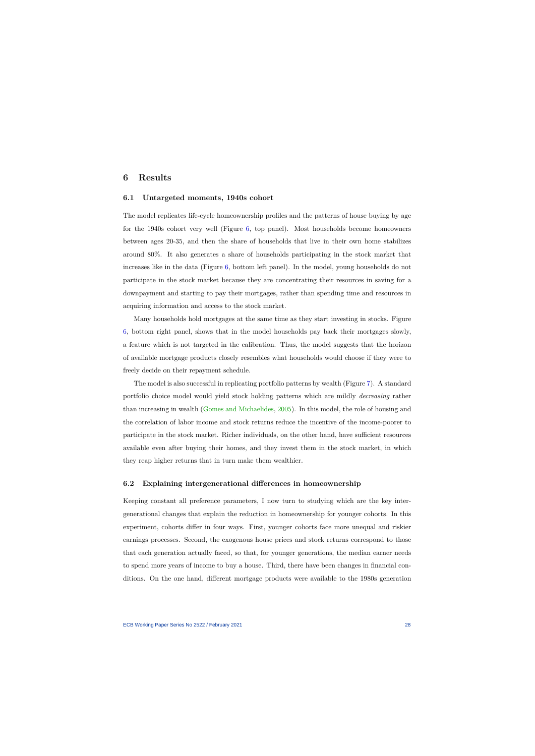# **6 Results**

#### **6.1 Untargeted moments, 1940s cohort**

The model replicates life-cycle homeownership profiles and the patterns of house buying by age for the 1940s cohort very well (Figure [6,](#page-29-0) top panel). Most households become homeowners between ages 20-35, and then the share of households that live in their own home stabilizes around 80%. It also generates a share of households participating in the stock market that increases like in the data (Figure [6,](#page-29-0) bottom left panel). In the model, young households do not participate in the stock market because they are concentrating their resources in saving for a downpayment and starting to pay their mortgages, rather than spending time and resources in acquiring information and access to the stock market.

<span id="page-28-0"></span>Many households hold mortgages at the same time as they start investing in stocks. Figure [6,](#page-29-0) bottom right panel, shows that in the model households pay back their mortgages slowly, a feature which is not targeted in the calibration. Thus, the model suggests that the horizon of available mortgage products closely resembles what households would choose if they were to freely decide on their repayment schedule.

The model is also successful in replicating portfolio patterns by wealth (Figure [7\)](#page-30-0). A standard portfolio choice model would yield stock holding patterns which are mildly *decreasing* rather than increasing in wealth [\(Gomes and Michaelides,](#page-40-4) [2005\)](#page-40-4). In this model, the role of housing and the correlation of labor income and stock returns reduce the incentive of the income-poorer to participate in the stock market. Richer individuals, on the other hand, have sufficient resources available even after buying their homes, and they invest them in the stock market, in which they reap higher returns that in turn make them wealthier.

## **6.2 Explaining intergenerational differences in homeownership**

Keeping constant all preference parameters, I now turn to studying which are the key intergenerational changes that explain the reduction in homeownership for younger cohorts. In this experiment, cohorts differ in four ways. First, younger cohorts face more unequal and riskier earnings processes. Second, the exogenous house prices and stock returns correspond to those that each generation actually faced, so that, for younger generations, the median earner needs to spend more years of income to buy a house. Third, there have been changes in financial conditions. On the one hand, different mortgage products were available to the 1980s generation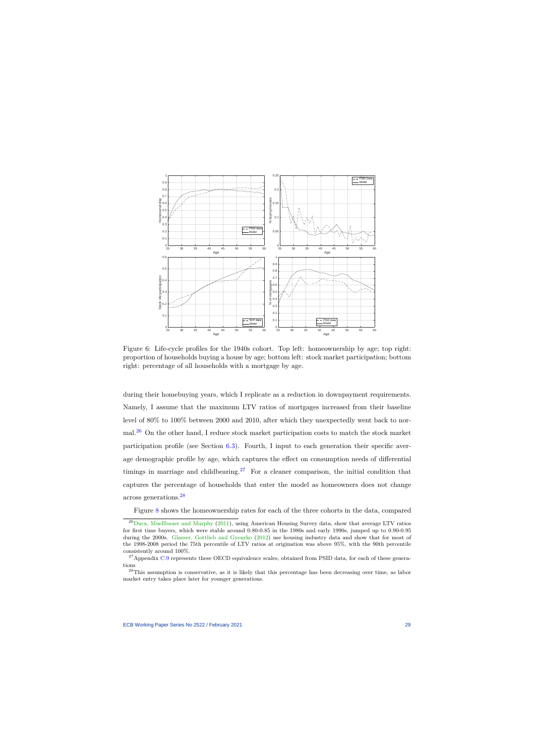

Figure 6: Life-cycle profiles for the 1940s cohort. Top left: homeownership by age; top right: proportion of households buying a house by age; bottom left: stock market participation; bottom right: percentage of all households with a mortgage by age.

<span id="page-29-0"></span>during their homebuying years, which I replicate as a reduction in downpayment requirements. Namely, I assume that the maximum LTV ratios of mortgages increased from their baseline level of 80% to 100% between 2000 and 2010, after which they unexpectedly went back to normal.[26](#page-29-1) On the other hand, I reduce stock market participation costs to match the stock market participation profile (see Section [6.3\)](#page-33-0). Fourth, I input to each generation their specific average demographic profile by age, which captures the effect on consumption needs of differential timings in marriage and childbearing.<sup>[27](#page-29-2)</sup> For a cleaner comparison, the initial condition that captures the percentage of households that enter the model as homeowners does not change across generations.[28](#page-29-3)

Figure [8](#page-30-1) shows the homeownership rates for each of the three cohorts in the data, compared

<sup>&</sup>lt;sup>26</sup>[Duca, Muellbauer and Murphy](#page-39-11) [\(2011\)](#page-39-11), using American Housing Survey data, show that average LTV ratios for first time buyers, which were stable around 0.80-0.85 in the 1980s and early 1990s, jumped up to 0.90-0.95 during the 2000s. [Glaeser, Gottlieb and Gyourko](#page-40-11) [\(2012\)](#page-40-11) use housing industry data and show that for most of the 1998-2008 period the 75th percentile of LTV ratios at origination was above 95%, with the 90th percentile consistently around 100%.

 $^{27}$ Appendix [C.9](#page-59-0) represents these OECD equivalence scales, obtained from PSID data, for each of these generations

<span id="page-29-3"></span><span id="page-29-2"></span><span id="page-29-1"></span><sup>&</sup>lt;sup>28</sup>This assumption is conservative, as it is likely that this percentage has been decreasing over time, as labor market entry takes place later for younger generations.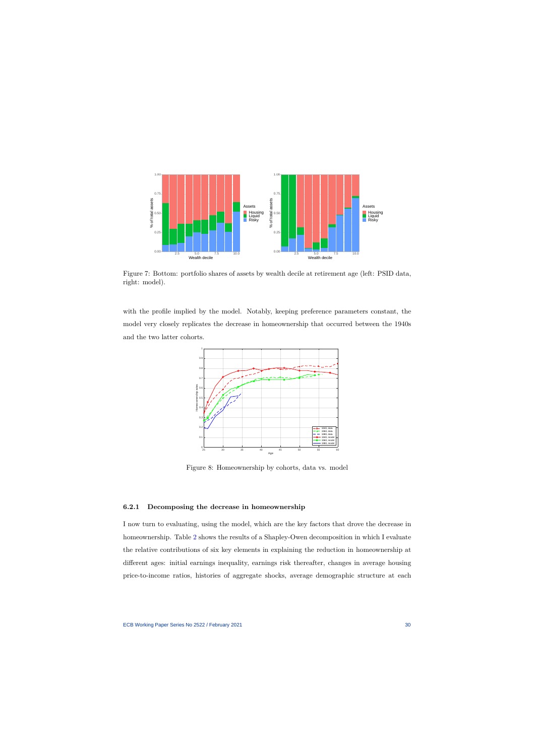

Figure 7: Bottom: portfolio shares of assets by wealth decile at retirement age (left: PSID data, right: model).

<span id="page-30-0"></span>with the profile implied by the model. Notably, keeping preference parameters constant, the model very closely replicates the decrease in homeownership that occurred between the 1940s and the two latter cohorts.



Figure 8: Homeownership by cohorts, data vs. model

#### **6.2.1 Decomposing the decrease in homeownership**

<span id="page-30-1"></span>I now turn to evaluating, using the model, which are the key factors that drove the decrease in homeownership. Table [2](#page-31-0) shows the results of a Shapley-Owen decomposition in which I evaluate the relative contributions of six key elements in explaining the reduction in homeownership at different ages: initial earnings inequality, earnings risk thereafter, changes in average housing price-to-income ratios, histories of aggregate shocks, average demographic structure at each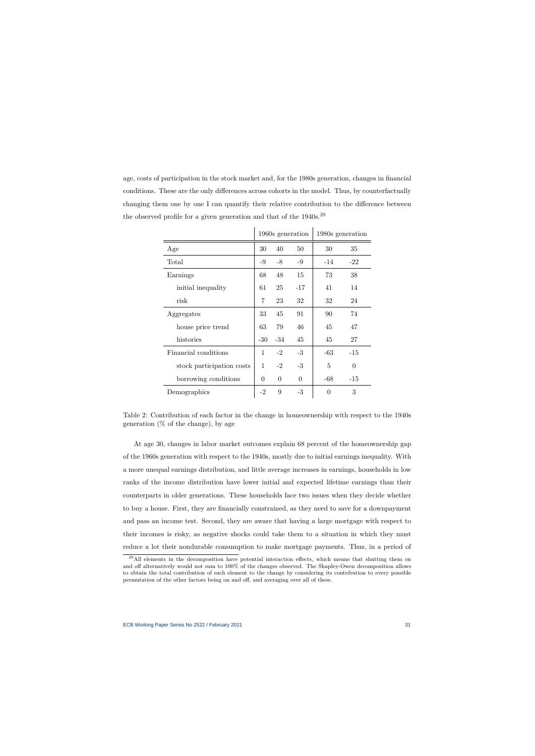age, costs of participation in the stock market and, for the 1980s generation, changes in financial conditions. These are the only differences across cohorts in the model. Thus, by counterfactually changing them one by one I can quantify their relative contribution to the difference between the observed profile for a given generation and that of the  $1940s$ .<sup>[29](#page-31-1)</sup>

|                           | 1960s generation |                |          | 1980s generation |                |
|---------------------------|------------------|----------------|----------|------------------|----------------|
| Age                       | 30               | 40             | 50       | 30               | 35             |
| Total                     | -9               | $-8$           | $-9$     | -14              | $-22$          |
| Earnings                  | 68               | 48             | 15       | 73               | 38             |
| initial inequality        | 61               | 25             | $-17$    | 41               | 14             |
| risk                      | 7                | 23             | 32       | 32               | 24             |
| Aggregates                | 33               | 45             | 91       | 90               | 74             |
| house price trend         | 63               | 79             | 46       | 45               | 47             |
| histories                 | -30              | $-34$          | 45       | 45               | 27             |
| Financial conditions      | $\mathbf{1}$     | $-2$           | $-3$     | -63              | $-15$          |
| stock participation costs | 1                | $-2$           | $-3$     | 5                | $\overline{0}$ |
| borrowing conditions      | $\Omega$         | $\overline{0}$ | $\Omega$ | $-68$            | $-15$          |
| Demographics              | $-2$             | 9              | $-3$     | $\theta$         | 3              |

Table 2: Contribution of each factor in the change in homeownership with respect to the 1940s generation  $(\%$  of the change), by age

At age 30, changes in labor market outcomes explain 68 percent of the homeownership gap of the 1960s generation with respect to the 1940s, mostly due to initial earnings inequality. With a more unequal earnings distribution, and little average increases in earnings, households in low ranks of the income distribution have lower initial and expected lifetime earnings than their counterparts in older generations. These households face two issues when they decide whether to buy a house. First, they are financially constrained, as they need to save for a downpayment and pass an income test. Second, they are aware that having a large mortgage with respect to their incomes is risky, as negative shocks could take them to a situation in which they must reduce a lot their nondurable consumption to make mortgage payments. Thus, in a period of

<span id="page-31-1"></span><span id="page-31-0"></span><sup>&</sup>lt;sup>29</sup>All elements in the decomposition have potential interaction effects, which means that shutting them on and off alternatively would not sum to 100% of the changes observed. The Shapley-Owen decomposition allows to obtain the total contribution of each element to the change by considering its contribution to every possible permutation of the other factors being on and off, and averaging over all of these.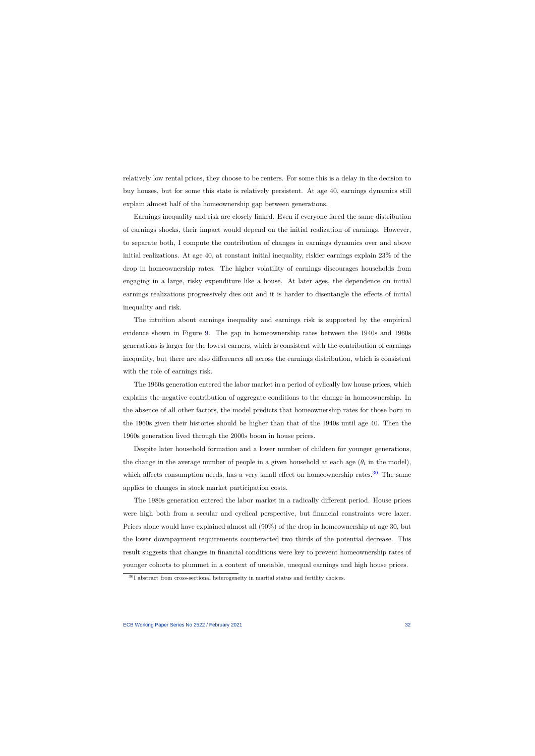relatively low rental prices, they choose to be renters. For some this is a delay in the decision to buy houses, but for some this state is relatively persistent. At age 40, earnings dynamics still explain almost half of the homeownership gap between generations.

Earnings inequality and risk are closely linked. Even if everyone faced the same distribution of earnings shocks, their impact would depend on the initial realization of earnings. However, to separate both, I compute the contribution of changes in earnings dynamics over and above initial realizations. At age 40, at constant initial inequality, riskier earnings explain 23% of the drop in homeownership rates. The higher volatility of earnings discourages households from engaging in a large, risky expenditure like a house. At later ages, the dependence on initial earnings realizations progressively dies out and it is harder to disentangle the effects of initial inequality and risk.

The intuition about earnings inequality and earnings risk is supported by the empirical evidence shown in Figure [9.](#page-33-1) The gap in homeownership rates between the 1940s and 1960s generations is larger for the lowest earners, which is consistent with the contribution of earnings inequality, but there are also differences all across the earnings distribution, which is consistent with the role of earnings risk.

The 1960s generation entered the labor market in a period of cylically low house prices, which explains the negative contribution of aggregate conditions to the change in homeownership. In the absence of all other factors, the model predicts that homeownership rates for those born in the 1960s given their histories should be higher than that of the 1940s until age 40. Then the 1960s generation lived through the 2000s boom in house prices.

Despite later household formation and a lower number of children for younger generations, the change in the average number of people in a given household at each age  $(\theta_t$  in the model), which affects consumption needs, has a very small effect on homeownership rates.<sup>[30](#page-32-0)</sup> The same applies to changes in stock market participation costs.

The 1980s generation entered the labor market in a radically different period. House prices were high both from a secular and cyclical perspective, but financial constraints were laxer. Prices alone would have explained almost all (90%) of the drop in homeownership at age 30, but the lower downpayment requirements counteracted two thirds of the potential decrease. This result suggests that changes in financial conditions were key to prevent homeownership rates of younger cohorts to plummet in a context of unstable, unequal earnings and high house prices.

<span id="page-32-0"></span> $^{30}\mathrm{I}$  abstract from cross-sectional heterogeneity in marital status and fertility choices.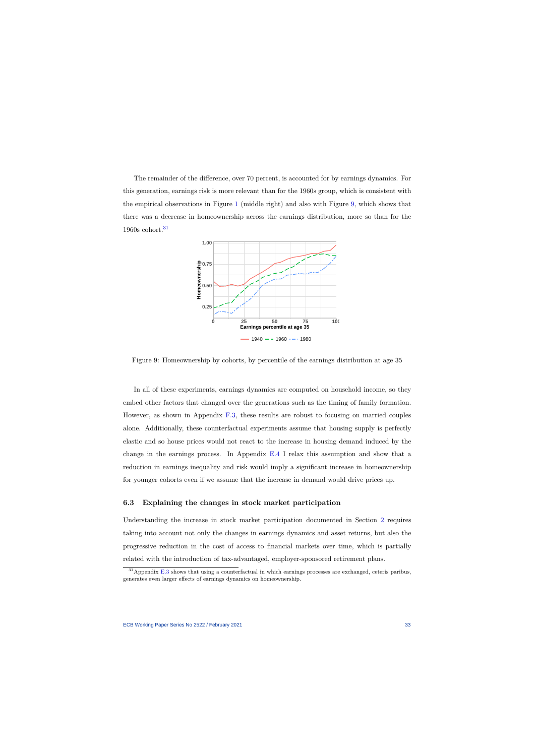The remainder of the difference, over 70 percent, is accounted for by earnings dynamics. For this generation, earnings risk is more relevant than for the 1960s group, which is consistent with the empirical observations in Figure [1](#page-12-0) (middle right) and also with Figure [9,](#page-33-1) which shows that there was a decrease in homeownership across the earnings distribution, more so than for the 1960s cohort.[31](#page-33-2)



Figure 9: Homeownership by cohorts, by percentile of the earnings distribution at age 35

In all of these experiments, earnings dynamics are computed on household income, so they embed other factors that changed over the generations such as the timing of family formation. However, as shown in Appendix [F.3,](#page-73-0) these results are robust to focusing on married couples alone. Additionally, these counterfactual experiments assume that housing supply is perfectly elastic and so house prices would not react to the increase in housing demand induced by the change in the earnings process. In Appendix [E.4](#page-67-0) I relax this assumption and show that a reduction in earnings inequality and risk would imply a significant increase in homeownership for younger cohorts even if we assume that the increase in demand would drive prices up.

## <span id="page-33-1"></span>**6.3 Explaining the changes in stock market participation**

Understanding the increase in stock market participation documented in Section [2](#page-8-2) requires taking into account not only the changes in earnings dynamics and asset returns, but also the progressive reduction in the cost of access to financial markets over time, which is partially related with the introduction of tax-advantaged, employer-sponsored retirement plans.

<span id="page-33-2"></span><span id="page-33-0"></span><sup>31</sup>Appendix [E.3](#page-66-0) shows that using a counterfactual in which earnings processes are exchanged, ceteris paribus, generates even larger effects of earnings dynamics on homeownership.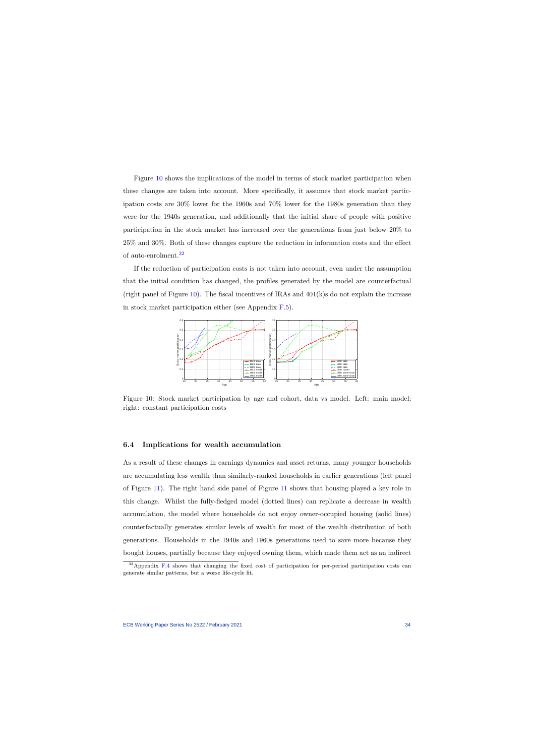Figure [10](#page-34-0) shows the implications of the model in terms of stock market participation when these changes are taken into account. More specifically, it assumes that stock market participation costs are 30% lower for the 1960s and 70% lower for the 1980s generation than they were for the 1940s generation, and additionally that the initial share of people with positive participation in the stock market has increased over the generations from just below 20% to 25% and 30%. Both of these changes capture the reduction in information costs and the effect of auto-enrolment.[32](#page-34-1)

If the reduction of participation costs is not taken into account, even under the assumption that the initial condition has changed, the profiles generated by the model are counterfactual (right panel of Figure [10\)](#page-34-0). The fiscal incentives of IRAs and  $401(k)$ s do not explain the increase in stock market participation either (see Appendix [F.5\)](#page-74-0).



Figure 10: Stock market participation by age and cohort, data vs model. Left: main model; right: constant participation costs

#### **6.4 Implications for wealth accumulation**

<span id="page-34-0"></span>As a result of these changes in earnings dynamics and asset returns, many younger households are accumulating less wealth than similarly-ranked households in earlier generations (left panel of Figure [11\)](#page-35-0). The right hand side panel of Figure [11](#page-35-0) shows that housing played a key role in this change. Whilst the fully-fledged model (dotted lines) can replicate a decrease in wealth accumulation, the model where households do not enjoy owner-occupied housing (solid lines) counterfactually generates similar levels of wealth for most of the wealth distribution of both generations. Households in the 1940s and 1960s generations used to save more because they bought houses, partially because they enjoyed owning them, which made them act as an indirect

<span id="page-34-1"></span> $32$ Appendix [F.4](#page-74-1) shows that changing the fixed cost of participation for per-period participation costs can generate similar patterns, but a worse life-cycle fit.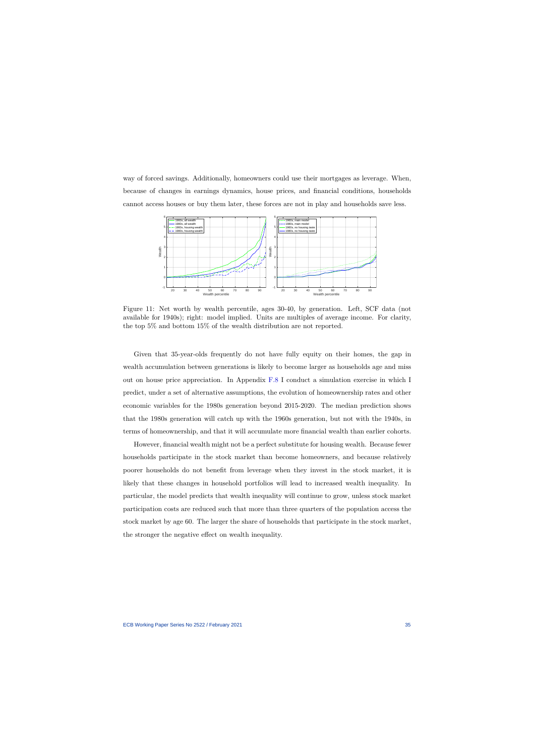way of forced savings. Additionally, homeowners could use their mortgages as leverage. When, because of changes in earnings dynamics, house prices, and financial conditions, households cannot access houses or buy them later, these forces are not in play and households save less.



Figure 11: Net worth by wealth percentile, ages 30-40, by generation. Left, SCF data (not available for 1940s); right: model implied. Units are multiples of average income. For clarity, the top 5% and bottom 15% of the wealth distribution are not reported.

Given that 35-year-olds frequently do not have fully equity on their homes, the gap in wealth accumulation between generations is likely to become larger as households age and miss out on house price appreciation. In Appendix [F.8](#page-78-0) I conduct a simulation exercise in which I predict, under a set of alternative assumptions, the evolution of homeownership rates and other economic variables for the 1980s generation beyond 2015-2020. The median prediction shows that the 1980s generation will catch up with the 1960s generation, but not with the 1940s, in terms of homeownership, and that it will accumulate more financial wealth than earlier cohorts.

<span id="page-35-0"></span>However, financial wealth might not be a perfect substitute for housing wealth. Because fewer households participate in the stock market than become homeowners, and because relatively poorer households do not benefit from leverage when they invest in the stock market, it is likely that these changes in household portfolios will lead to increased wealth inequality. In particular, the model predicts that wealth inequality will continue to grow, unless stock market participation costs are reduced such that more than three quarters of the population access the stock market by age 60. The larger the share of households that participate in the stock market, the stronger the negative effect on wealth inequality.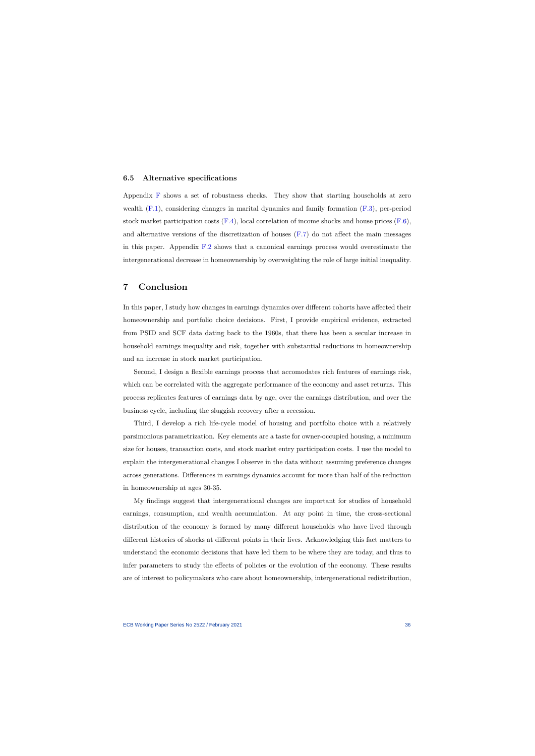#### **6.5 Alternative specifications**

Appendix [F](#page-71-0) shows a set of robustness checks. They show that starting households at zero wealth [\(F.1\)](#page-71-1), considering changes in marital dynamics and family formation [\(F.3\)](#page-73-0), per-period stock market participation costs  $(F.4)$ , local correlation of income shocks and house prices  $(F.6)$ , and alternative versions of the discretization of houses [\(F.7\)](#page-77-0) do not affect the main messages in this paper. Appendix [F.2](#page-72-0) shows that a canonical earnings process would overestimate the intergenerational decrease in homeownership by overweighting the role of large initial inequality.

# **7 Conclusion**

In this paper, I study how changes in earnings dynamics over different cohorts have affected their homeownership and portfolio choice decisions. First, I provide empirical evidence, extracted from PSID and SCF data dating back to the 1960s, that there has been a secular increase in household earnings inequality and risk, together with substantial reductions in homeownership and an increase in stock market participation.

Second, I design a flexible earnings process that accomodates rich features of earnings risk, which can be correlated with the aggregate performance of the economy and asset returns. This process replicates features of earnings data by age, over the earnings distribution, and over the business cycle, including the sluggish recovery after a recession.

Third, I develop a rich life-cycle model of housing and portfolio choice with a relatively parsimonious parametrization. Key elements are a taste for owner-occupied housing, a minimum size for houses, transaction costs, and stock market entry participation costs. I use the model to explain the intergenerational changes I observe in the data without assuming preference changes across generations. Differences in earnings dynamics account for more than half of the reduction in homeownership at ages 30-35.

My findings suggest that intergenerational changes are important for studies of household earnings, consumption, and wealth accumulation. At any point in time, the cross-sectional distribution of the economy is formed by many different households who have lived through different histories of shocks at different points in their lives. Acknowledging this fact matters to understand the economic decisions that have led them to be where they are today, and thus to infer parameters to study the effects of policies or the evolution of the economy. These results are of interest to policymakers who care about homeownership, intergenerational redistribution,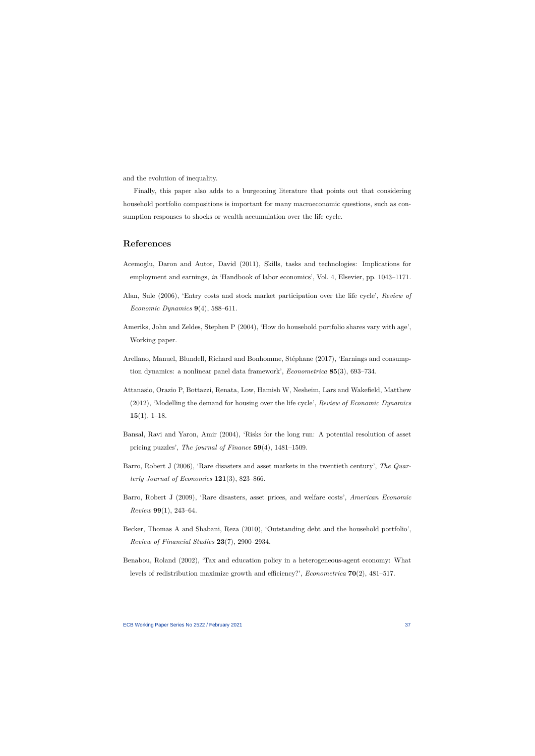and the evolution of inequality.

Finally, this paper also adds to a burgeoning literature that points out that considering household portfolio compositions is important for many macroeconomic questions, such as consumption responses to shocks or wealth accumulation over the life cycle.

# **References**

- Acemoglu, Daron and Autor, David (2011), Skills, tasks and technologies: Implications for employment and earnings, *in* 'Handbook of labor economics', Vol. 4, Elsevier, pp. 1043–1171.
- Alan, Sule (2006), 'Entry costs and stock market participation over the life cycle', *Review of Economic Dynamics* **9**(4), 588–611.
- Ameriks, John and Zeldes, Stephen P (2004), 'How do household portfolio shares vary with age', Working paper.
- Arellano, Manuel, Blundell, Richard and Bonhomme, Stéphane (2017), 'Earnings and consumption dynamics: a nonlinear panel data framework', *Econometrica* **85**(3), 693–734.
- Attanasio, Orazio P, Bottazzi, Renata, Low, Hamish W, Nesheim, Lars and Wakefield, Matthew (2012), 'Modelling the demand for housing over the life cycle', *Review of Economic Dynamics* **15**(1), 1–18.
- Bansal, Ravi and Yaron, Amir (2004), 'Risks for the long run: A potential resolution of asset pricing puzzles', *The journal of Finance* **59**(4), 1481–1509.
- <span id="page-37-0"></span>Barro, Robert J (2006), 'Rare disasters and asset markets in the twentieth century', *The Quarterly Journal of Economics* **121**(3), 823–866.
- Barro, Robert J (2009), 'Rare disasters, asset prices, and welfare costs', *American Economic Review* **99**(1), 243–64.
- Becker, Thomas A and Shabani, Reza (2010), 'Outstanding debt and the household portfolio', *Review of Financial Studies* **23**(7), 2900–2934.
- Benabou, Roland (2002), 'Tax and education policy in a heterogeneous-agent economy: What levels of redistribution maximize growth and efficiency?', *Econometrica* **70**(2), 481–517.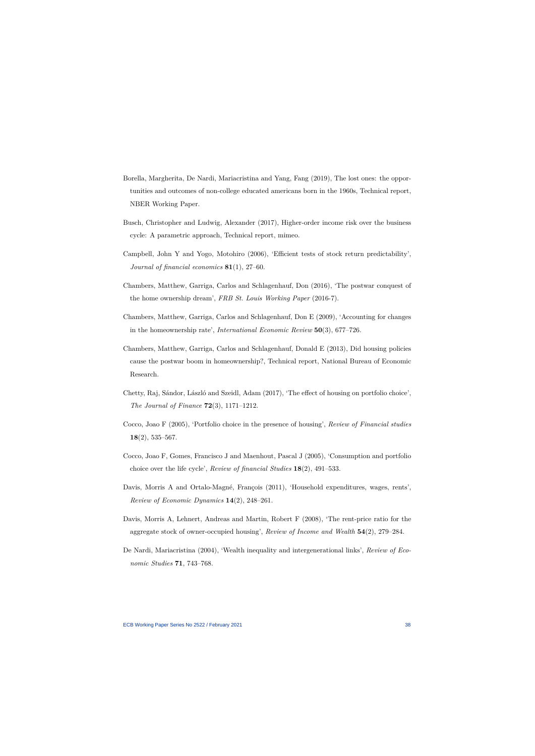- Borella, Margherita, De Nardi, Mariacristina and Yang, Fang (2019), The lost ones: the opportunities and outcomes of non-college educated americans born in the 1960s, Technical report, NBER Working Paper.
- Busch, Christopher and Ludwig, Alexander (2017), Higher-order income risk over the business cycle: A parametric approach, Technical report, mimeo.
- Campbell, John Y and Yogo, Motohiro (2006), 'Efficient tests of stock return predictability', *Journal of financial economics* **81**(1), 27–60.
- Chambers, Matthew, Garriga, Carlos and Schlagenhauf, Don (2016), 'The postwar conquest of the home ownership dream', *FRB St. Louis Working Paper* (2016-7).
- Chambers, Matthew, Garriga, Carlos and Schlagenhauf, Don E (2009), 'Accounting for changes in the homeownership rate', *International Economic Review* **50**(3), 677–726.
- Chambers, Matthew, Garriga, Carlos and Schlagenhauf, Donald E (2013), Did housing policies cause the postwar boom in homeownership?, Technical report, National Bureau of Economic Research.
- Chetty, Raj, Sándor, László and Szeidl, Adam (2017), 'The effect of housing on portfolio choice', *The Journal of Finance* **72**(3), 1171–1212.
- Cocco, Joao F (2005), 'Portfolio choice in the presence of housing', *Review of Financial studies* **18**(2), 535–567.
- Cocco, Joao F, Gomes, Francisco J and Maenhout, Pascal J (2005), 'Consumption and portfolio choice over the life cycle', *Review of financial Studies* **18**(2), 491–533.
- Davis, Morris A and Ortalo-Magné, François (2011), 'Household expenditures, wages, rents', *Review of Economic Dynamics* **14**(2), 248–261.
- Davis, Morris A, Lehnert, Andreas and Martin, Robert F (2008), 'The rent-price ratio for the aggregate stock of owner-occupied housing', *Review of Income and Wealth* **54**(2), 279–284.
- De Nardi, Mariacristina (2004), 'Wealth inequality and intergenerational links', *Review of Economic Studies* **71**, 743–768.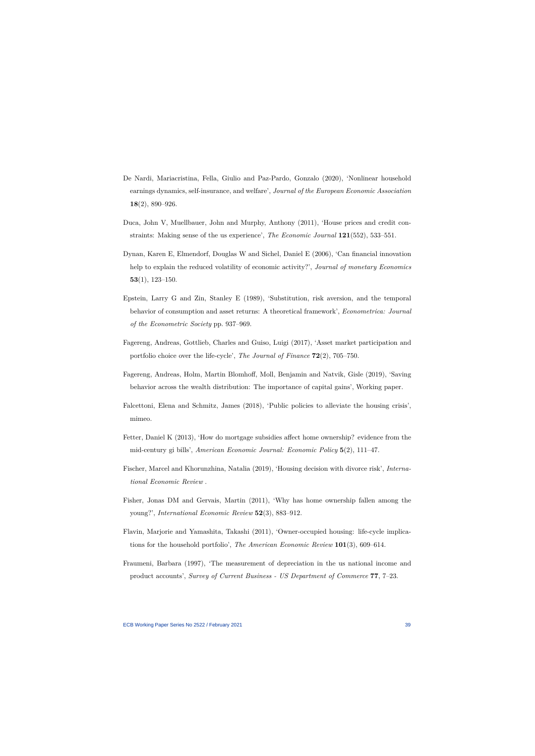- De Nardi, Mariacristina, Fella, Giulio and Paz-Pardo, Gonzalo (2020), 'Nonlinear household earnings dynamics, self-insurance, and welfare', *Journal of the European Economic Association* **18**(2), 890–926.
- Duca, John V, Muellbauer, John and Murphy, Anthony (2011), 'House prices and credit constraints: Making sense of the us experience', *The Economic Journal* **121**(552), 533–551.
- Dynan, Karen E, Elmendorf, Douglas W and Sichel, Daniel E (2006), 'Can financial innovation help to explain the reduced volatility of economic activity?', *Journal of monetary Economics* **53**(1), 123–150.
- <span id="page-39-0"></span>Epstein, Larry G and Zin, Stanley E (1989), 'Substitution, risk aversion, and the temporal behavior of consumption and asset returns: A theoretical framework', *Econometrica: Journal of the Econometric Society* pp. 937–969.
- Fagereng, Andreas, Gottlieb, Charles and Guiso, Luigi (2017), 'Asset market participation and portfolio choice over the life-cycle', *The Journal of Finance* **72**(2), 705–750.
- Fagereng, Andreas, Holm, Martin Blomhoff, Moll, Benjamin and Natvik, Gisle (2019), 'Saving behavior across the wealth distribution: The importance of capital gains', Working paper.
- Falcettoni, Elena and Schmitz, James (2018), 'Public policies to alleviate the housing crisis', mimeo.
- Fetter, Daniel K (2013), 'How do mortgage subsidies affect home ownership? evidence from the mid-century gi bills', *American Economic Journal: Economic Policy* **5**(2), 111–47.
- Fischer, Marcel and Khorunzhina, Natalia (2019), 'Housing decision with divorce risk', *International Economic Review* .
- Fisher, Jonas DM and Gervais, Martin (2011), 'Why has home ownership fallen among the young?', *International Economic Review* **52**(3), 883–912.
- Flavin, Marjorie and Yamashita, Takashi (2011), 'Owner-occupied housing: life-cycle implications for the household portfolio', *The American Economic Review* **101**(3), 609–614.
- Fraumeni, Barbara (1997), 'The measurement of depreciation in the us national income and product accounts', *Survey of Current Business - US Department of Commerce* **77**, 7–23.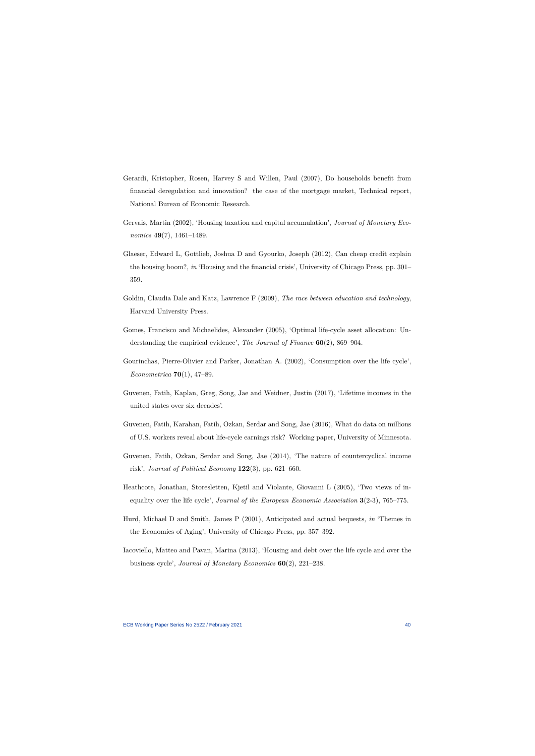- Gerardi, Kristopher, Rosen, Harvey S and Willen, Paul (2007), Do households benefit from financial deregulation and innovation? the case of the mortgage market, Technical report, National Bureau of Economic Research.
- Gervais, Martin (2002), 'Housing taxation and capital accumulation', *Journal of Monetary Economics* **49**(7), 1461–1489.
- Glaeser, Edward L, Gottlieb, Joshua D and Gyourko, Joseph (2012), Can cheap credit explain the housing boom?, *in* 'Housing and the financial crisis', University of Chicago Press, pp. 301– 359.
- Goldin, Claudia Dale and Katz, Lawrence F (2009), *The race between education and technology*, Harvard University Press.
- Gomes, Francisco and Michaelides, Alexander (2005), 'Optimal life-cycle asset allocation: Understanding the empirical evidence', *The Journal of Finance* **60**(2), 869–904.
- Gourinchas, Pierre-Olivier and Parker, Jonathan A. (2002), 'Consumption over the life cycle', *Econometrica* **70**(1), 47–89.
- Guvenen, Fatih, Kaplan, Greg, Song, Jae and Weidner, Justin (2017), 'Lifetime incomes in the united states over six decades'.
- Guvenen, Fatih, Karahan, Fatih, Ozkan, Serdar and Song, Jae (2016), What do data on millions of U.S. workers reveal about life-cycle earnings risk? Working paper, University of Minnesota.
- Guvenen, Fatih, Ozkan, Serdar and Song, Jae (2014), 'The nature of countercyclical income risk', *Journal of Political Economy* **122**(3), pp. 621–660.
- <span id="page-40-2"></span>Heathcote, Jonathan, Storesletten, Kjetil and Violante, Giovanni L (2005), 'Two views of inequality over the life cycle', *Journal of the European Economic Association* **3**(2-3), 765–775.
- <span id="page-40-1"></span>Hurd, Michael D and Smith, James P (2001), Anticipated and actual bequests, *in* 'Themes in the Economics of Aging', University of Chicago Press, pp. 357–392.
- <span id="page-40-0"></span>Iacoviello, Matteo and Pavan, Marina (2013), 'Housing and debt over the life cycle and over the business cycle', *Journal of Monetary Economics* **60**(2), 221–238.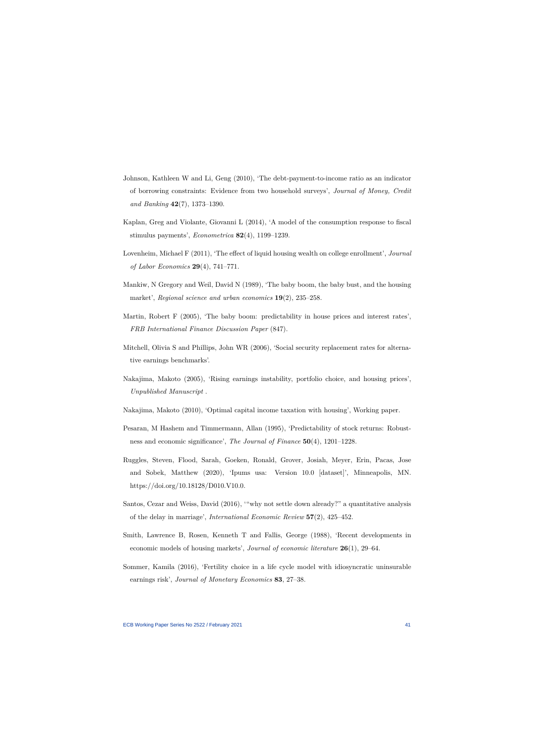- Johnson, Kathleen W and Li, Geng (2010), 'The debt-payment-to-income ratio as an indicator of borrowing constraints: Evidence from two household surveys', *Journal of Money, Credit and Banking* **42**(7), 1373–1390.
- Kaplan, Greg and Violante, Giovanni L (2014), 'A model of the consumption response to fiscal stimulus payments', *Econometrica* **82**(4), 1199–1239.
- Lovenheim, Michael F (2011), 'The effect of liquid housing wealth on college enrollment', *Journal of Labor Economics* **29**(4), 741–771.
- Mankiw, N Gregory and Weil, David N (1989), 'The baby boom, the baby bust, and the housing market', *Regional science and urban economics* **19**(2), 235–258.
- Martin, Robert F (2005), 'The baby boom: predictability in house prices and interest rates', *FRB International Finance Discussion Paper* (847).
- Mitchell, Olivia S and Phillips, John WR (2006), 'Social security replacement rates for alternative earnings benchmarks'.
- Nakajima, Makoto (2005), 'Rising earnings instability, portfolio choice, and housing prices', *Unpublished Manuscript* .
- Nakajima, Makoto (2010), 'Optimal capital income taxation with housing', Working paper.
- Pesaran, M Hashem and Timmermann, Allan (1995), 'Predictability of stock returns: Robustness and economic significance', *The Journal of Finance* **50**(4), 1201–1228.
- Ruggles, Steven, Flood, Sarah, Goeken, Ronald, Grover, Josiah, Meyer, Erin, Pacas, Jose and Sobek, Matthew (2020), 'Ipums usa: Version 10.0 [dataset]', Minneapolis, MN. https://doi.org/10.18128/D010.V10.0.
- Santos, Cezar and Weiss, David (2016), '"why not settle down already?" a quantitative analysis of the delay in marriage', *International Economic Review* **57**(2), 425–452.
- Smith, Lawrence B, Rosen, Kenneth T and Fallis, George (1988), 'Recent developments in economic models of housing markets', *Journal of economic literature* **26**(1), 29–64.
- <span id="page-41-0"></span>Sommer, Kamila (2016), 'Fertility choice in a life cycle model with idiosyncratic uninsurable earnings risk', *Journal of Monetary Economics* **83**, 27–38.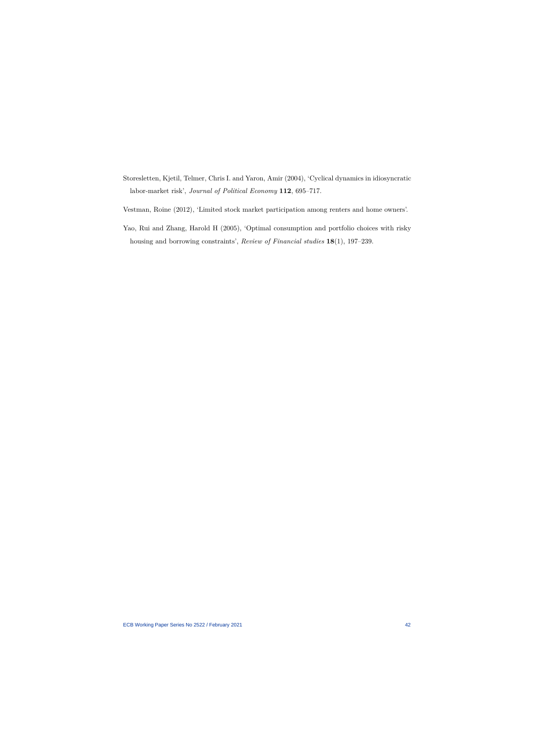- Storesletten, Kjetil, Telmer, Chris I. and Yaron, Amir (2004), 'Cyclical dynamics in idiosyncratic labor-market risk', *Journal of Political Economy* **112**, 695–717.
- Vestman, Roine (2012), 'Limited stock market participation among renters and home owners'.
- <span id="page-42-0"></span>Yao, Rui and Zhang, Harold H (2005), 'Optimal consumption and portfolio choices with risky housing and borrowing constraints', *Review of Financial studies* **18**(1), 197–239.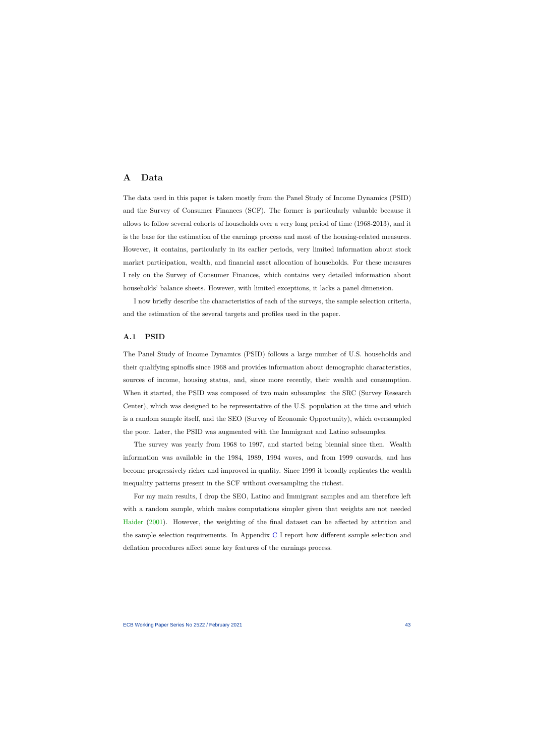# **A Data**

The data used in this paper is taken mostly from the Panel Study of Income Dynamics (PSID) and the Survey of Consumer Finances (SCF). The former is particularly valuable because it allows to follow several cohorts of households over a very long period of time (1968-2013), and it is the base for the estimation of the earnings process and most of the housing-related measures. However, it contains, particularly in its earlier periods, very limited information about stock market participation, wealth, and financial asset allocation of households. For these measures I rely on the Survey of Consumer Finances, which contains very detailed information about households' balance sheets. However, with limited exceptions, it lacks a panel dimension.

I now briefly describe the characteristics of each of the surveys, the sample selection criteria, and the estimation of the several targets and profiles used in the paper.

# **A.1 PSID**

The Panel Study of Income Dynamics (PSID) follows a large number of U.S. households and their qualifying spinoffs since 1968 and provides information about demographic characteristics, sources of income, housing status, and, since more recently, their wealth and consumption. When it started, the PSID was composed of two main subsamples: the SRC (Survey Research Center), which was designed to be representative of the U.S. population at the time and which is a random sample itself, and the SEO (Survey of Economic Opportunity), which oversampled the poor. Later, the PSID was augmented with the Immigrant and Latino subsamples.

The survey was yearly from 1968 to 1997, and started being biennial since then. Wealth information was available in the 1984, 1989, 1994 waves, and from 1999 onwards, and has become progressively richer and improved in quality. Since 1999 it broadly replicates the wealth inequality patterns present in the SCF without oversampling the richest.

For my main results, I drop the SEO, Latino and Immigrant samples and am therefore left with a random sample, which makes computations simpler given that weights are not needed [Haider](#page-82-0) [\(2001\)](#page-82-0). However, the weighting of the final dataset can be affected by attrition and the sample selection requirements. In Appendix [C](#page-50-0) I report how different sample selection and deflation procedures affect some key features of the earnings process.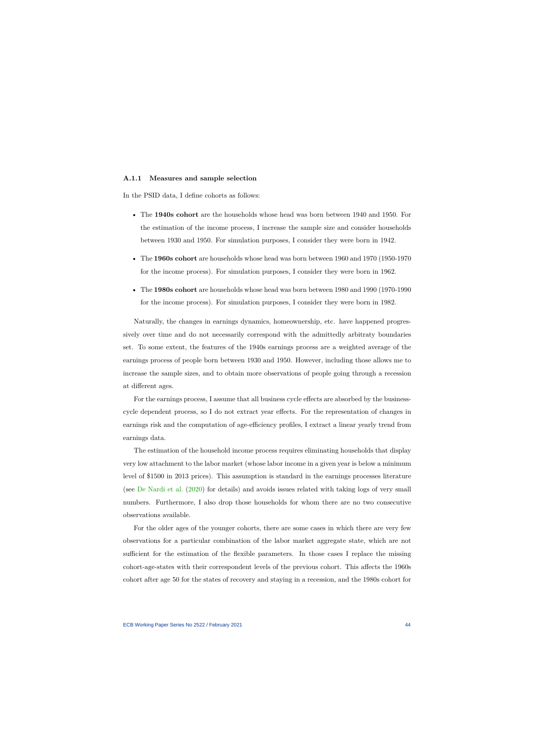#### **A.1.1 Measures and sample selection**

In the PSID data, I define cohorts as follows:

- The **1940s cohort** are the households whose head was born between 1940 and 1950. For the estimation of the income process, I increase the sample size and consider households between 1930 and 1950. For simulation purposes, I consider they were born in 1942.
- The **1960s cohort** are households whose head was born between 1960 and 1970 (1950-1970 for the income process). For simulation purposes, I consider they were born in 1962.
- The **1980s cohort** are households whose head was born between 1980 and 1990 (1970-1990 for the income process). For simulation purposes, I consider they were born in 1982.

Naturally, the changes in earnings dynamics, homeownership, etc. have happened progressively over time and do not necessarily correspond with the admittedly arbitraty boundaries set. To some extent, the features of the 1940s earnings process are a weighted average of the earnings process of people born between 1930 and 1950. However, including those allows me to increase the sample sizes, and to obtain more observations of people going through a recession at different ages.

For the earnings process, I assume that all business cycle effects are absorbed by the businesscycle dependent process, so I do not extract year effects. For the representation of changes in earnings risk and the computation of age-efficiency profiles, I extract a linear yearly trend from earnings data.

The estimation of the household income process requires eliminating households that display very low attachment to the labor market (whose labor income in a given year is below a minimum level of \$1500 in 2013 prices). This assumption is standard in the earnings processes literature (see [De Nardi et al.](#page-39-0) [\(2020\)](#page-39-0) for details) and avoids issues related with taking logs of very small numbers. Furthermore, I also drop those households for whom there are no two consecutive observations available.

For the older ages of the younger cohorts, there are some cases in which there are very few observations for a particular combination of the labor market aggregate state, which are not sufficient for the estimation of the flexible parameters. In those cases I replace the missing cohort-age-states with their correspondent levels of the previous cohort. This affects the 1960s cohort after age 50 for the states of recovery and staying in a recession, and the 1980s cohort for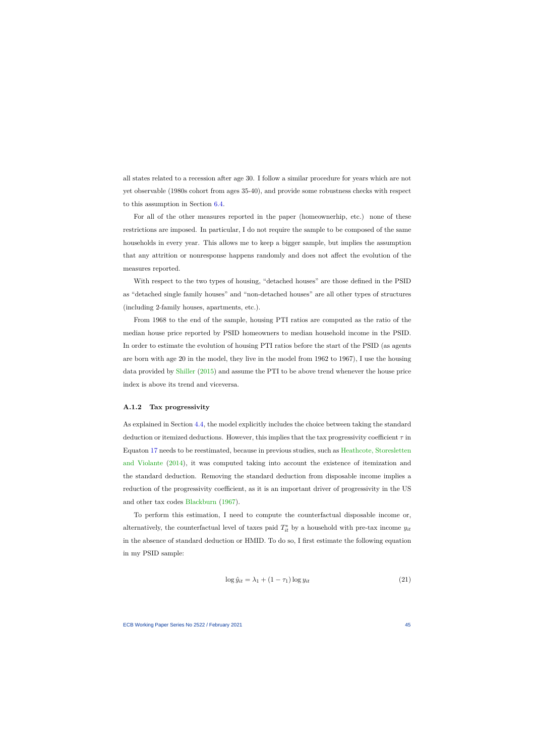all states related to a recession after age 30. I follow a similar procedure for years which are not yet observable (1980s cohort from ages 35-40), and provide some robustness checks with respect to this assumption in Section [6.4.](#page-34-0)

For all of the other measures reported in the paper (homeownerhip, etc.) none of these restrictions are imposed. In particular, I do not require the sample to be composed of the same households in every year. This allows me to keep a bigger sample, but implies the assumption that any attrition or nonresponse happens randomly and does not affect the evolution of the measures reported.

With respect to the two types of housing, "detached houses" are those defined in the PSID as "detached single family houses" and "non-detached houses" are all other types of structures (including 2-family houses, apartments, etc.).

From 1968 to the end of the sample, housing PTI ratios are computed as the ratio of the median house price reported by PSID homeowners to median household income in the PSID. In order to estimate the evolution of housing PTI ratios before the start of the PSID (as agents are born with age 20 in the model, they live in the model from 1962 to 1967), I use the housing data provided by [Shiller](#page-83-0) [\(2015\)](#page-83-0) and assume the PTI to be above trend whenever the house price index is above its trend and viceversa.

### **A.1.2 Tax progressivity**

As explained in Section [4.4,](#page-21-0) the model explicitly includes the choice between taking the standard deduction or itemized deductions. However, this implies that the tax progressivity coefficient *τ* in Equaton [17](#page-21-1) needs to be reestimated, because in previous studies, such as [Heathcote, Storesletten](#page-82-1) [and Violante](#page-82-1) [\(2014\)](#page-82-1), it was computed taking into account the existence of itemization and the standard deduction. Removing the standard deduction from disposable income implies a reduction of the progressivity coefficient, as it is an important driver of progressivity in the US and other tax codes [Blackburn](#page-81-0) [\(1967\)](#page-81-0).

To perform this estimation, I need to compute the counterfactual disposable income or, alternatively, the counterfactual level of taxes paid  $T_{it}^*$  by a household with pre-tax income  $y_{it}$ in the absence of standard deduction or HMID. To do so, I first estimate the following equation in my PSID sample:

$$
\log \hat{y}_{it} = \lambda_1 + (1 - \tau_1) \log y_{it} \tag{21}
$$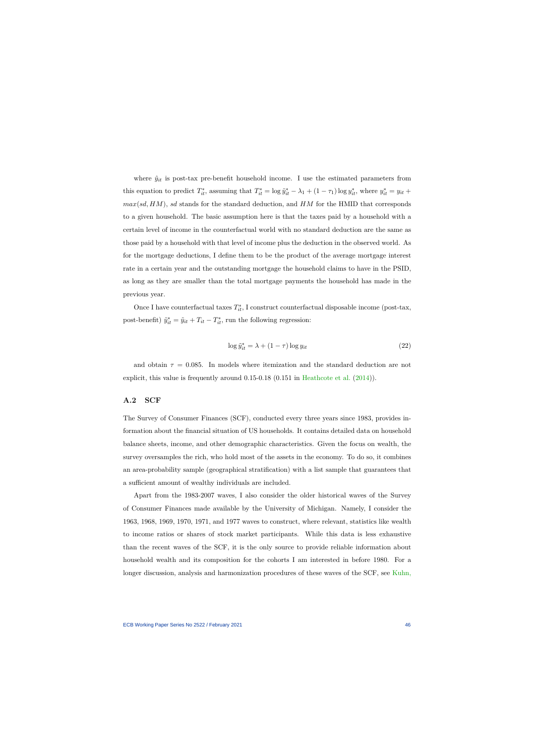where  $\hat{y}_{it}$  is post-tax pre-benefit household income. I use the estimated parameters from this equation to predict  $T_{it}^*$ , assuming that  $T_{it}^* = \log \tilde{y}_{it}^* - \lambda_1 + (1 - \tau_1) \log y_{it}^*$ , where  $y_{it}^* = y_{it} +$ *max*(*sd, HM*), *sd* stands for the standard deduction, and *HM* for the HMID that corresponds to a given household. The basic assumption here is that the taxes paid by a household with a certain level of income in the counterfactual world with no standard deduction are the same as those paid by a household with that level of income plus the deduction in the observed world. As for the mortgage deductions, I define them to be the product of the average mortgage interest rate in a certain year and the outstanding mortgage the household claims to have in the PSID, as long as they are smaller than the total mortgage payments the household has made in the previous year.

Once I have counterfactual taxes  $T_{it}^*$ , I construct counterfactual disposable income (post-tax, post-benefit)  $\tilde{y}_{it}^* = \tilde{y}_{it} + T_{it} - T_{it}^*$ , run the following regression:

$$
\log \tilde{y}_{it}^* = \lambda + (1 - \tau) \log y_{it}
$$
\n(22)

and obtain  $\tau = 0.085$ . In models where itemization and the standard deduction are not explicit, this value is frequently around 0.15-0.18 (0.151 in [Heathcote et al.](#page-82-1) [\(2014\)](#page-82-1)).

# **A.2 SCF**

The Survey of Consumer Finances (SCF), conducted every three years since 1983, provides information about the financial situation of US households. It contains detailed data on household balance sheets, income, and other demographic characteristics. Given the focus on wealth, the survey oversamples the rich, who hold most of the assets in the economy. To do so, it combines an area-probability sample (geographical stratification) with a list sample that guarantees that a sufficient amount of wealthy individuals are included.

Apart from the 1983-2007 waves, I also consider the older historical waves of the Survey of Consumer Finances made available by the University of Michigan. Namely, I consider the 1963, 1968, 1969, 1970, 1971, and 1977 waves to construct, where relevant, statistics like wealth to income ratios or shares of stock market participants. While this data is less exhaustive than the recent waves of the SCF, it is the only source to provide reliable information about household wealth and its composition for the cohorts I am interested in before 1980. For a longer discussion, analysis and harmonization procedures of these waves of the SCF, see [Kuhn,](#page-83-1)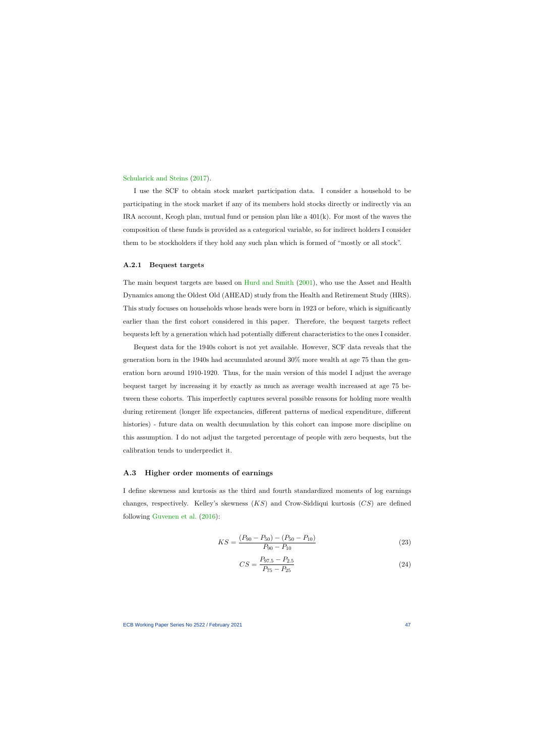#### [Schularick and](#page-83-1) Steins [\(2017\)](#page-83-1).

I use the SCF to obtain stock market participation data. I consider a household to be participating in the stock market if any of its members hold stocks directly or indirectly via an IRA account, Keogh plan, mutual fund or pension plan like a  $401(k)$ . For most of the waves the composition of these funds is provided as a categorical variable, so for indirect holders I consider them to be stockholders if they hold any such plan which is formed of "mostly or all stock".

#### **A.2.1 Bequest targets**

The main bequest targets are based on [Hurd and Smith](#page-40-0) [\(2001\)](#page-40-0), who use the Asset and Health Dynamics among the Oldest Old (AHEAD) study from the Health and Retirement Study (HRS). This study focuses on households whose heads were born in 1923 or before, which is significantly earlier than the first cohort considered in this paper. Therefore, the bequest targets reflect bequests left by a generation which had potentially different characteristics to the ones I consider.

Bequest data for the 1940s cohort is not yet available. However, SCF data reveals that the generation born in the 1940s had accumulated around 30% more wealth at age 75 than the generation born around 1910-1920. Thus, for the main version of this model I adjust the average bequest target by increasing it by exactly as much as average wealth increased at age 75 between these cohorts. This imperfectly captures several possible reasons for holding more wealth during retirement (longer life expectancies, different patterns of medical expenditure, different histories) - future data on wealth decumulation by this cohort can impose more discipline on this assumption. I do not adjust the targeted percentage of people with zero bequests, but the calibration tends to underpredict it.

#### **A.3 Higher order moments of earnings**

<span id="page-47-0"></span>I define skewness and kurtosis as the third and fourth standardized moments of log earnings changes, respectively. Kelley's skewness (*KS*) and Crow-Siddiqui kurtosis (*CS*) are defined following [Guvenen et al.](#page-40-1) [\(2016\)](#page-40-1):

$$
KS = \frac{(P_{90} - P_{50}) - (P_{50} - P_{10})}{P_{90} - P_{10}}
$$
\n(23)

$$
CS = \frac{P_{97.5} - P_{2.5}}{P_{75} - P_{25}}\tag{24}
$$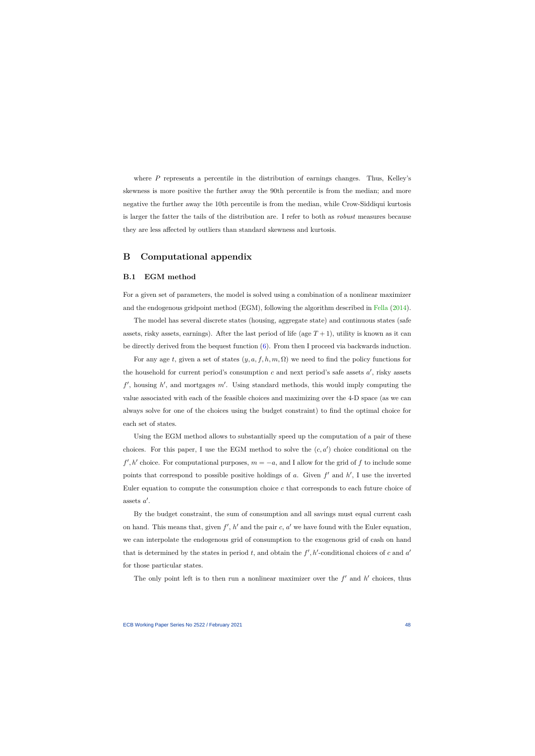where *P* represents a percentile in the distribution of earnings changes. Thus, Kelley's skewness is more positive the further away the 90th percentile is from the median; and more negative the further away the 10th percentile is from the median, while Crow-Siddiqui kurtosis is larger the fatter the tails of the distribution are. I refer to both as *robust* measures because they are less affected by outliers than standard skewness and kurtosis.

# **B Computational appendix**

### **B.1 EGM method**

For a given set of parameters, the model is solved using a combination of a nonlinear maximizer and the endogenous gridpoint method (EGM), following the algorithm described in [Fella](#page-82-2) [\(2014\)](#page-82-2).

The model has several discrete states (housing, aggregate state) and continuous states (safe assets, risky assets, earnings). After the last period of life (age  $T+1$ ), utility is known as it can be directly derived from the bequest function [\(6\)](#page-17-0). From then I proceed via backwards induction.

For any age *t*, given a set of states  $(y, a, f, h, m, \Omega)$  we need to find the policy functions for the household for current period's consumption  $c$  and next period's safe assets  $a'$ , risky assets  $f'$ , housing  $h'$ , and mortgages  $m'$ . Using standard methods, this would imply computing the value associated with each of the feasible choices and maximizing over the 4-D space (as we can always solve for one of the choices using the budget constraint) to find the optimal choice for each set of states.

Using the EGM method allows to substantially speed up the computation of a pair of these choices. For this paper, I use the EGM method to solve the  $(c, a')$  choice conditional on the  $f', h'$  choice. For computational purposes,  $m = -a$ , and I allow for the grid of f to include some points that correspond to possible positive holdings of  $a$ . Given  $f'$  and  $h'$ , I use the inverted Euler equation to compute the consumption choice *c* that corresponds to each future choice of assets  $a'$ .

By the budget constraint, the sum of consumption and all savings must equal current cash on hand. This means that, given  $f'$ ,  $h'$  and the pair  $c$ ,  $a'$  we have found with the Euler equation, we can interpolate the endogenous grid of consumption to the exogenous grid of cash on hand that is determined by the states in period *t*, and obtain the  $f'$ ,  $h'$ -conditional choices of *c* and  $a'$ for those particular states.

The only point left is to then run a nonlinear maximizer over the  $f'$  and  $h'$  choices, thus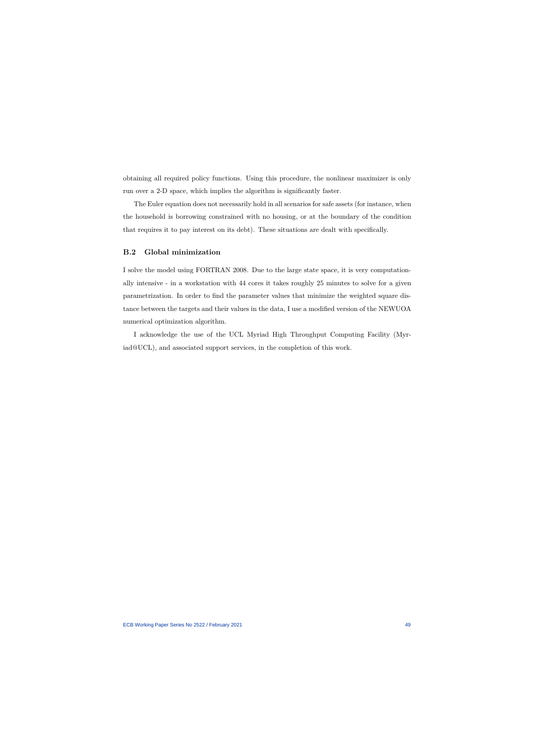obtaining all required policy functions. Using this procedure, the nonlinear maximizer is only run over a 2-D space, which implies the algorithm is significantly faster.

The Euler equation does not necessarily hold in all scenarios for safe assets (for instance, when the household is borrowing constrained with no housing, or at the boundary of the condition that requires it to pay interest on its debt). These situations are dealt with specifically.

### **B.2 Global minimization**

I solve the model using FORTRAN 2008. Due to the large state space, it is very computationally intensive - in a workstation with 44 cores it takes roughly 25 minutes to solve for a given parametrization. In order to find the parameter values that minimize the weighted square distance between the targets and their values in the data, I use a modified version of the NEWUOA numerical optimization algorithm.

I acknowledge the use of the UCL Myriad High Throughput Computing Facility (Myriad@UCL), and associated support services, in the completion of this work.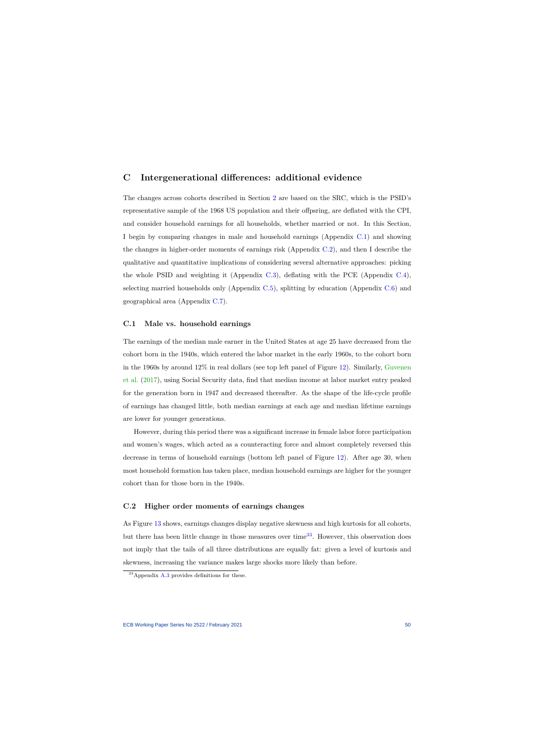# **C Intergenerational differences: additional evidence**

The changes across cohorts described in Section [2](#page-8-0) are based on the SRC, which is the PSID's representative sample of the 1968 US population and their offpsring, are deflated with the CPI, and consider household earnings for all households, whether married or not. In this Section, I begin by comparing changes in male and household earnings (Appendix [C.1\)](#page-50-1) and showing the changes in higher-order moments of earnings risk (Appendix [C.2\)](#page-50-2), and then I describe the qualitative and quantitative implications of considering several alternative approaches: picking the whole PSID and weighting it (Appendix [C.3\)](#page-51-0), deflating with the PCE (Appendix [C.4\)](#page-52-0), selecting married households only (Appendix [C.5\)](#page-55-0), splitting by education (Appendix [C.6\)](#page-57-0) and geographical area (Appendix [C.7\)](#page-57-1).

### <span id="page-50-0"></span>**C.1 Male vs. household earnings**

The earnings of the median male earner in the United States at age 25 have decreased from the cohort born in the 1940s, which entered the labor market in the early 1960s, to the cohort born in the 1960s by around 12% in real dollars (see top left panel of Figure [12\)](#page-51-1). Similarly, [Guvenen](#page-40-2) [et al.](#page-40-2) [\(2017\)](#page-40-2), using Social Security data, find that median income at labor market entry peaked for the generation born in 1947 and decreased thereafter. As the shape of the life-cycle profile of earnings has changed little, both median earnings at each age and median lifetime earnings are lower for younger generations.

<span id="page-50-1"></span>However, during this period there was a significant increase in female labor force participation and women's wages, which acted as a counteracting force and almost completely reversed this decrease in terms of household earnings (bottom left panel of Figure [12\)](#page-51-1). After age 30, when most household formation has taken place, median household earnings are higher for the younger cohort than for those born in the 1940s.

### **C.2 Higher order moments of earnings changes**

As Figure [13](#page-52-1) shows, earnings changes display negative skewness and high kurtosis for all cohorts, but there has been little change in those measures over time<sup>[33](#page-50-3)</sup>. However, this observation does not imply that the tails of all three distributions are equally fat: given a level of kurtosis and skewness, increasing the variance makes large shocks more likely than before.

<span id="page-50-3"></span><span id="page-50-2"></span><sup>33</sup>Appendix [A.3](#page-47-0) provides definitions for these.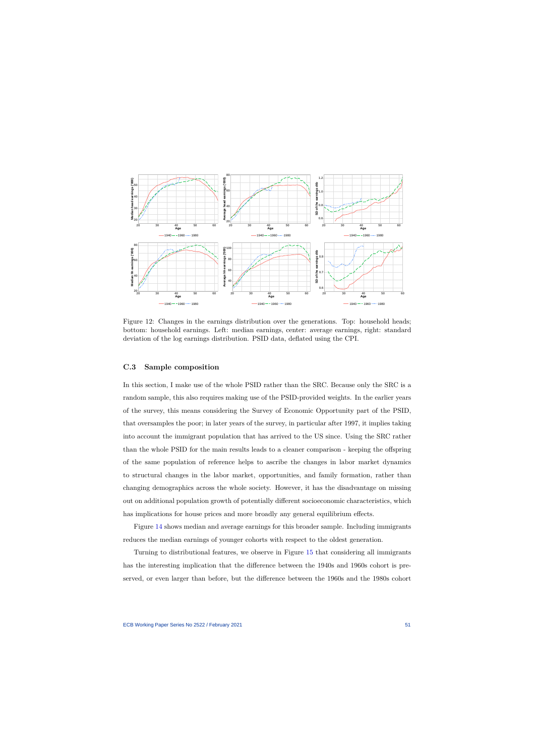

Figure 12: Changes in the earnings distribution over the generations. Top: household heads; bottom: household earnings. Left: median earnings, center: average earnings, right: standard deviation of the log earnings distribution. PSID data, deflated using the CPI.

### **C.3 Sample composition**

<span id="page-51-1"></span>In this section, I make use of the whole PSID rather than the SRC. Because only the SRC is a random sample, this also requires making use of the PSID-provided weights. In the earlier years of the survey, this means considering the Survey of Economic Opportunity part of the PSID, that oversamples the poor; in later years of the survey, in particular after 1997, it implies taking into account the immigrant population that has arrived to the US since. Using the SRC rather than the whole PSID for the main results leads to a cleaner comparison - keeping the offspring of the same population of reference helps to ascribe the changes in labor market dynamics to structural changes in the labor market, opportunities, and family formation, rather than changing demographics across the whole society. However, it has the disadvantage on missing out on additional population growth of potentially different socioeconomic characteristics, which has implications for house prices and more broadly any general equilibrium effects.

<span id="page-51-0"></span>Figure [14](#page-53-0) shows median and average earnings for this broader sample. Including immigrants reduces the median earnings of younger cohorts with respect to the oldest generation.

Turning to distributional features, we observe in Figure [15](#page-54-0) that considering all immigrants has the interesting implication that the difference between the 1940s and 1960s cohort is preserved, or even larger than before, but the difference between the 1960s and the 1980s cohort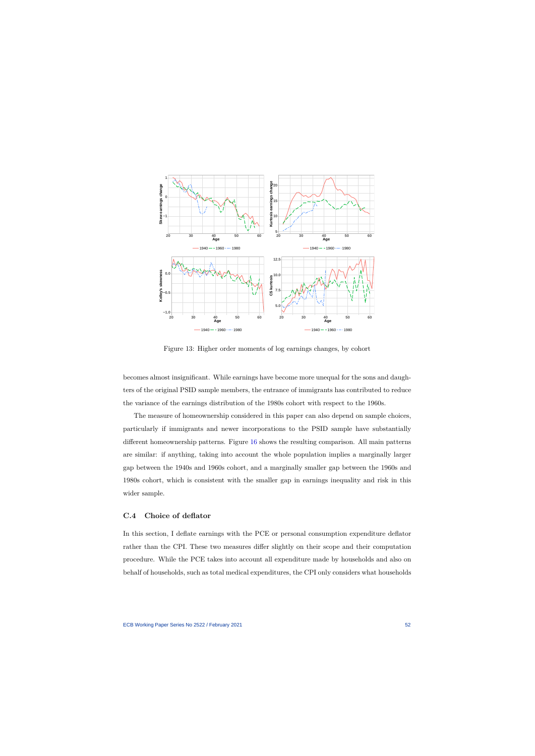

Figure 13: Higher order moments of log earnings changes, by cohort

becomes almost insignificant. While earnings have become more unequal for the sons and daughters of the original PSID sample members, the entrance of immigrants has contributed to reduce the variance of the earnings distribution of the 1980s cohort with respect to the 1960s.

<span id="page-52-1"></span>The measure of homeownership considered in this paper can also depend on sample choices, particularly if immigrants and newer incorporations to the PSID sample have substantially different homeownership patterns. Figure [16](#page-54-1) shows the resulting comparison. All main patterns are similar: if anything, taking into account the whole population implies a marginally larger gap between the 1940s and 1960s cohort, and a marginally smaller gap between the 1960s and 1980s cohort, which is consistent with the smaller gap in earnings inequality and risk in this wider sample.

## **C.4 Choice of deflator**

<span id="page-52-0"></span>In this section, I deflate earnings with the PCE or personal consumption expenditure deflator rather than the CPI. These two measures differ slightly on their scope and their computation procedure. While the PCE takes into account all expenditure made by households and also on behalf of households, such as total medical expenditures, the CPI only considers what households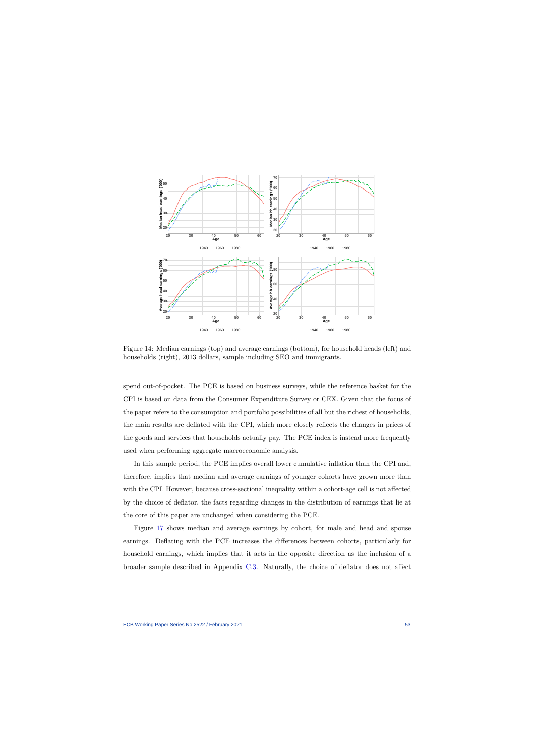

Figure 14: Median earnings (top) and average earnings (bottom), for household heads (left) and households (right), 2013 dollars, sample including SEO and immigrants.

spend out-of-pocket. The PCE is based on business surveys, while the reference basket for the CPI is based on data from the Consumer Expenditure Survey or CEX. Given that the focus of the paper refers to the consumption and portfolio possibilities of all but the richest of households, the main results are deflated with the CPI, which more closely reflects the changes in prices of the goods and services that households actually pay. The PCE index is instead more frequently used when performing aggregate macroeconomic analysis.

<span id="page-53-0"></span>In this sample period, the PCE implies overall lower cumulative inflation than the CPI and, therefore, implies that median and average earnings of younger cohorts have grown more than with the CPI. However, because cross-sectional inequality within a cohort-age cell is not affected by the choice of deflator, the facts regarding changes in the distribution of earnings that lie at the core of this paper are unchanged when considering the PCE.

Figure [17](#page-55-1) shows median and average earnings by cohort, for male and head and spouse earnings. Deflating with the PCE increases the differences between cohorts, particularly for household earnings, which implies that it acts in the opposite direction as the inclusion of a broader sample described in Appendix [C.3.](#page-51-0) Naturally, the choice of deflator does not affect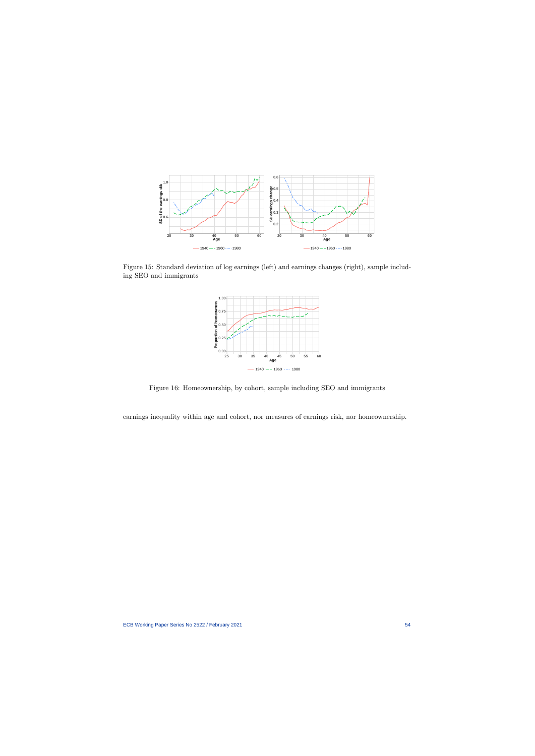

Figure 15: Standard deviation of log earnings (left) and earnings changes (right), sample including SEO and immigrants



Figure 16: Homeownership, by cohort, sample including SEO and immigrants

<span id="page-54-1"></span><span id="page-54-0"></span>earnings inequality within age and cohort, nor measures of earnings risk, nor homeownership.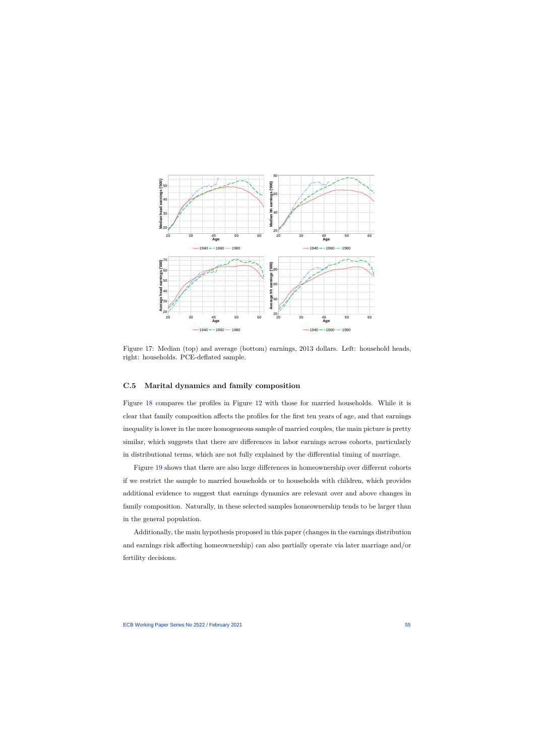

Figure 17: Median (top) and average (bottom) earnings, 2013 dollars. Left: household heads, right: households. PCE-deflated sample.

# **C.5 Marital dynamics and family composition**

Figure [18](#page-56-0) compares the profiles in Figure [12](#page-51-1) with those for married households. While it is clear that family composition affects the profiles for the first ten years of age, and that earnings inequality is lower in the more homogeneous sample of married couples, the main picture is pretty similar, which suggests that there are differences in labor earnings across cohorts, particularly in distributional terms, which are not fully explained by the differential timing of marriage.

<span id="page-55-1"></span><span id="page-55-0"></span>Figure [19](#page-56-1) shows that there are also large differences in homeownership over different cohorts if we restrict the sample to married households or to households with children, which provides additional evidence to suggest that earnings dynamics are relevant over and above changes in family composition. Naturally, in these selected samples homeownership tends to be larger than in the general population.

Additionally, the main hypothesis proposed in this paper (changes in the earnings distribution and earnings risk affecting homeownership) can also partially operate via later marriage and/or fertility decisions.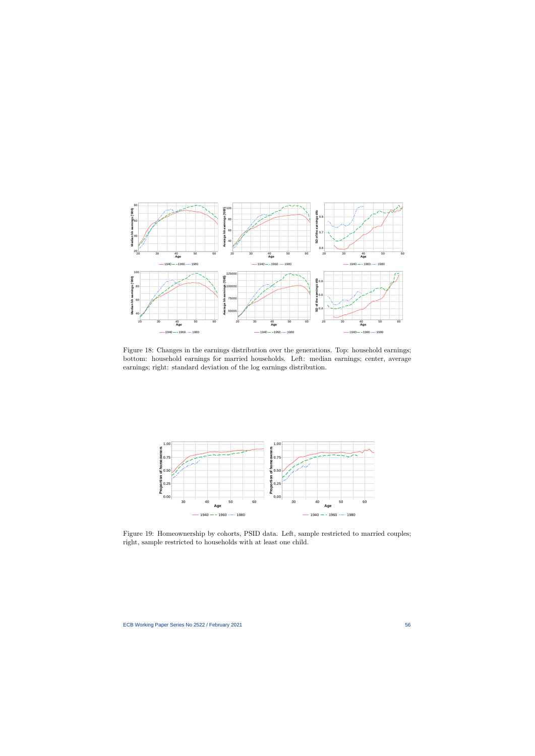

Figure 18: Changes in the earnings distribution over the generations. Top: household earnings; bottom: household earnings for married households. Left: median earnings; center, average earnings; right: standard deviation of the log earnings distribution.

<span id="page-56-0"></span>

<span id="page-56-1"></span>Figure 19: Homeownership by cohorts, PSID data. Left, sample restricted to married couples; right, sample restricted to households with at least one child.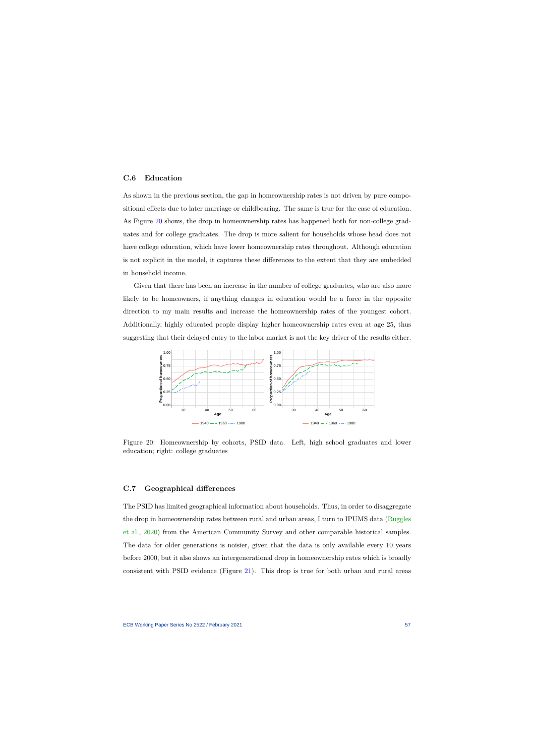## **C.6 Education**

As shown in the previous section, the gap in homeownership rates is not driven by pure compositional effects due to later marriage or childbearing. The same is true for the case of education. As Figure [20](#page-57-2) shows, the drop in homeownership rates has happened both for non-college graduates and for college graduates. The drop is more salient for households whose head does not have college education, which have lower homeownership rates throughout. Although education is not explicit in the model, it captures these differences to the extent that they are embedded in household income.

<span id="page-57-0"></span>Given that there has been an increase in the number of college graduates, who are also more likely to be homeowners, if anything changes in education would be a force in the opposite direction to my main results and increase the homeownership rates of the youngest cohort. Additionally, highly educated people display higher homeownership rates even at age 25, thus suggesting that their delayed entry to the labor market is not the key driver of the results either.



Figure 20: Homeownership by cohorts, PSID data. Left, high school graduates and lower education; right: college graduates

## **C.7 Geographical differences**

<span id="page-57-2"></span><span id="page-57-1"></span>The PSID has limited geographical information about households. Thus, in order to disaggregate the drop in homeownership rates between rural and urban areas, I turn to IPUMS data [\(Ruggles](#page-41-0) [et al.,](#page-41-0) [2020\)](#page-41-0) from the American Community Survey and other comparable historical samples. The data for older generations is noisier, given that the data is only available every 10 years before 2000, but it also shows an intergenerational drop in homeownership rates which is broadly consistent with PSID evidence (Figure [21\)](#page-58-0). This drop is true for both urban and rural areas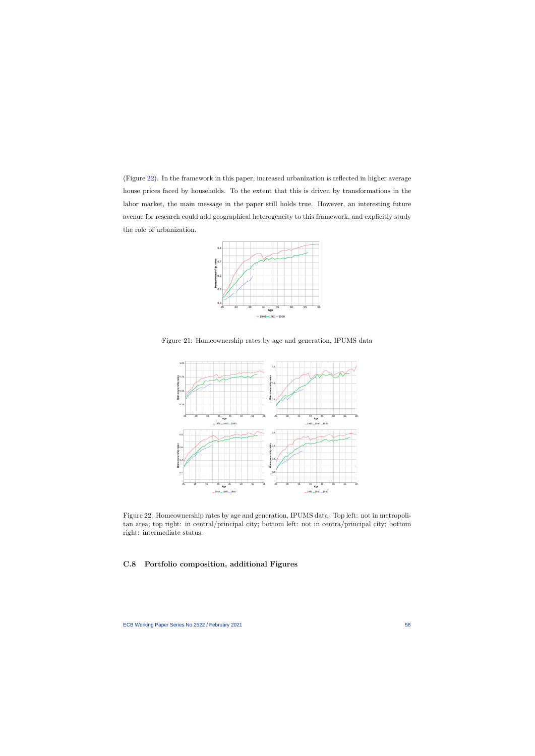(Figure [22\)](#page-58-1). In the framework in this paper, increased urbanization is reflected in higher average house prices faced by households. To the extent that this is driven by transformations in the labor market, the main message in the paper still holds true. However, an interesting future avenue for research could add geographical heterogeneity to this framework, and explicitly study the role of urbanization.



Figure 21: Homeownership rates by age and generation, IPUMS data



<span id="page-58-0"></span>Figure 22: Homeownership rates by age and generation, IPUMS data. Top left: not in metropolitan area; top right: in central/principal city; bottom left: not in centra/principal city; bottom right: intermediate status.

# <span id="page-58-1"></span>**C.8 Portfolio composition, additional Figures**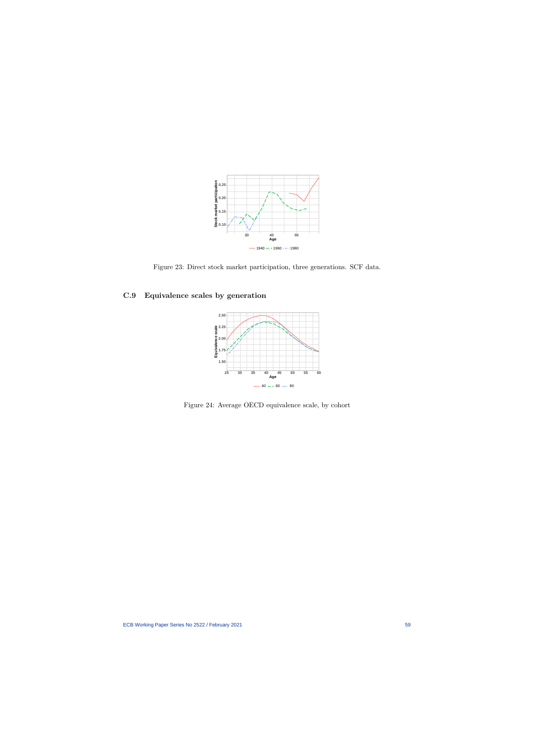

Figure 23: Direct stock market participation, three generations. SCF data.

# **C.9 Equivalence scales by generation**



Figure 24: Average OECD equivalence scale, by cohort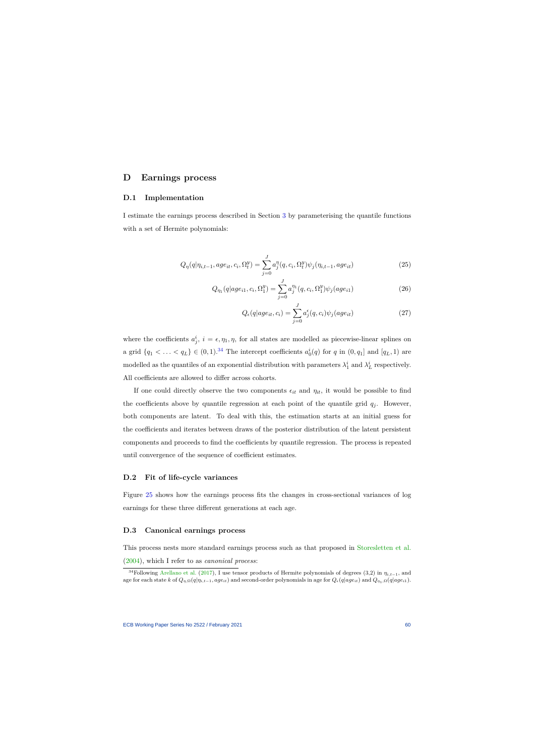# **D Earnings process**

## **D.1 Implementation**

I estimate the earnings process described in Section [3](#page-14-0) by parameterising the quantile functions with a set of Hermite polynomials:

$$
Q_{\eta}(q|\eta_{i,t-1}, age_{it}, c_i, \Omega_t^y) = \sum_{j=0}^{J} a_j^{\eta}(q, c_i, \Omega_t^y) \psi_j(\eta_{i,t-1}, age_{it})
$$
\n(25)

$$
Q_{\eta_1}(q|age_{i1}, c_i, \Omega_1^y) = \sum_{j=0}^{J} a_j^{\eta_1}(q, c_i, \Omega_1^y) \psi_j(age_{i1})
$$
\n(26)

$$
Q_{\epsilon}(q|age_{it}, c_i) = \sum_{j=0}^{J} a_j^{\epsilon}(q, c_i) \psi_j(age_{it})
$$
\n(27)

where the coefficients  $a_j^i$ ,  $i = \epsilon, \eta_1, \eta$ , for all states are modelled as piecewise-linear splines on a grid  $\{q_1 < \ldots < q_L\} \in (0, 1)$ .<sup>[34](#page-60-0)</sup> The intercept coefficients  $a_0^i(q)$  for  $q$  in  $(0, q_1]$  and  $[q_L, 1)$  are modelled as the quantiles of an exponential distribution with parameters  $\lambda_1^i$  and  $\lambda_L^i$  respectively. All coefficients are allowed to differ across cohorts.

If one could directly observe the two components  $\epsilon_{it}$  and  $\eta_{it}$ , it would be possible to find the coefficients above by quantile regression at each point of the quantile grid  $q_j$ . However, both components are latent. To deal with this, the estimation starts at an initial guess for the coefficients and iterates between draws of the posterior distribution of the latent persistent components and proceeds to find the coefficients by quantile regression. The process is repeated until convergence of the sequence of coefficient estimates.

#### **D.2 Fit of life-cycle variances**

Figure [25](#page-61-0) shows how the earnings process fits the changes in cross-sectional variances of log earnings for these three different generations at each age.

### **D.3 Canonical earnings process**

This process nests more standard earnings process such as that proposed in [Storesletten et al.](#page-42-0) [\(2004\)](#page-42-0), which I refer to as *canonical process*:

<span id="page-60-0"></span><sup>&</sup>lt;sup>34</sup>Following [Arellano et al.](#page-37-0) [\(2017\)](#page-37-0), I use tensor products of Hermite polynomials of degrees (3,2) in  $\eta_{i,t-1}$ , and age for each state k of  $Q_{\eta,\Omega}(q|\eta_{i,t-1},age_{it})$  and second-order polynomials in age for  $Q_{\epsilon}(q|age_{it})$  and  $Q_{\eta_1,\Omega}(q|age_{it})$ .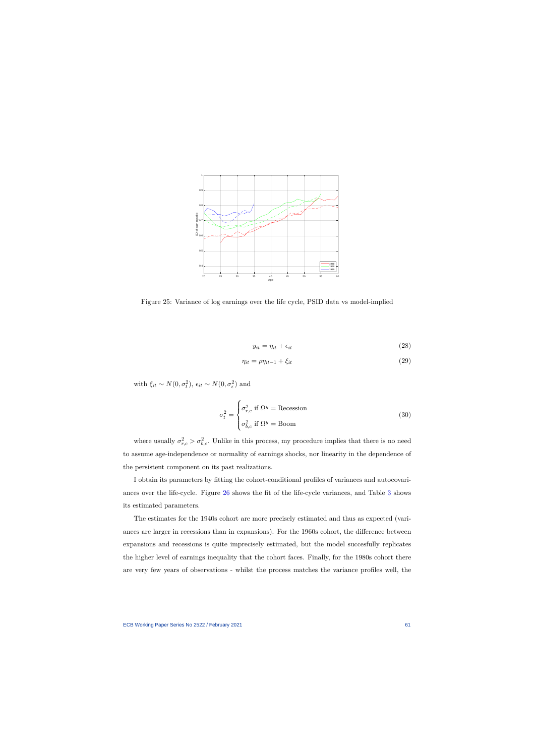

Figure 25: Variance of log earnings over the life cycle, PSID data vs model-implied

$$
y_{it} = \eta_{it} + \epsilon_{it} \tag{28}
$$

$$
\eta_{it} = \rho \eta_{it-1} + \xi_{it} \tag{29}
$$

with  $\xi_{it} \sim N(0, \sigma_t^2), \epsilon_{it} \sim N(0, \sigma_\epsilon^2)$  and

$$
\sigma_t^2 = \begin{cases} \sigma_{r,c}^2 \text{ if } \Omega^y = \text{Recession} \\ \sigma_{b,c}^2 \text{ if } \Omega^y = \text{Boom} \end{cases}
$$
 (30)

<span id="page-61-0"></span>where usually  $\sigma_{r,c}^2 > \sigma_{b,c}^2$ . Unlike in this process, my procedure implies that there is no need to assume age-independence or normality of earnings shocks, nor linearity in the dependence of the persistent component on its past realizations.

I obtain its parameters by fitting the cohort-conditional profiles of variances and autocovariances over the life-cycle. Figure [26](#page-62-0) shows the fit of the life-cycle variances, and Table [3](#page-62-1) shows its estimated parameters.

The estimates for the 1940s cohort are more precisely estimated and thus as expected (variances are larger in recessions than in expansions). For the 1960s cohort, the difference between expansions and recessions is quite imprecisely estimated, but the model succesfully replicates the higher level of earnings inequality that the cohort faces. Finally, for the 1980s cohort there are very few years of observations - whilst the process matches the variance profiles well, the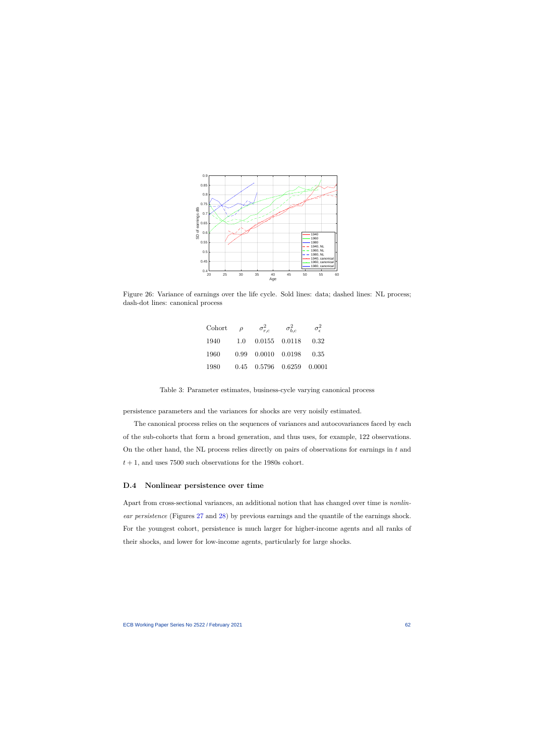

Figure 26: Variance of earnings over the life cycle. Sold lines: data; dashed lines: NL process; dash-dot lines: canonical process

| Cohort | $\rho$ | $\sigma_{r.c}^2$                  | $\sigma_{b,c}^2$ | $\sigma_{\epsilon}^2$ |
|--------|--------|-----------------------------------|------------------|-----------------------|
| 1940   | 1.0    | 0.0155 0.0118                     |                  | 0.32                  |
| 1960   |        | $0.99$ $0.0010$ $0.0198$          |                  | 0.35                  |
| 1980   |        | $0.45$ $0.5796$ $0.6259$ $0.0001$ |                  |                       |

Table 3: Parameter estimates, business-cycle varying canonical process

<span id="page-62-0"></span>persistence parameters and the variances for shocks are very noisily estimated.

The canonical process relies on the sequences of variances and autocovariances faced by each of the sub-cohorts that form a broad generation, and thus uses, for example, 122 observations. On the other hand, the NL process relies directly on pairs of observations for earnings in *t* and  $t + 1$ , and uses 7500 such observations for the 1980s cohort.

# **D.4 Nonlinear persistence over time**

<span id="page-62-1"></span>Apart from cross-sectional variances, an additional notion that has changed over time is *nonlinear persistence* (Figures [27](#page-63-0) and [28\)](#page-63-1) by previous earnings and the quantile of the earnings shock. For the youngest cohort, persistence is much larger for higher-income agents and all ranks of their shocks, and lower for low-income agents, particularly for large shocks.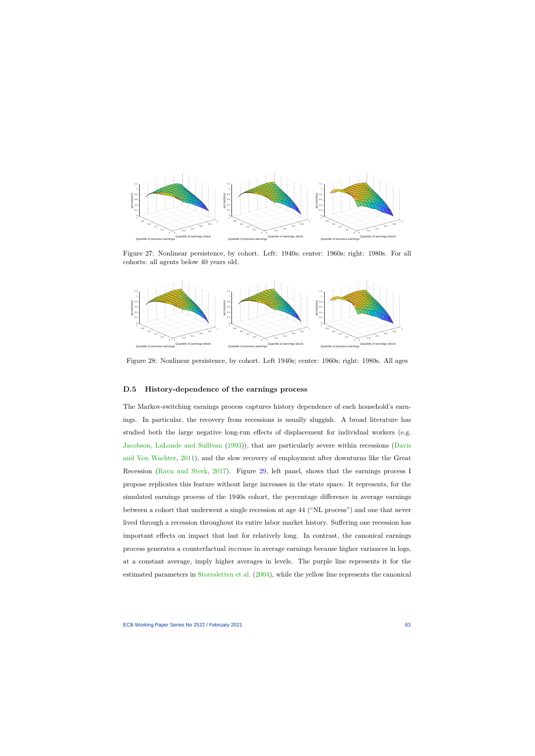

Figure 27: Nonlinear persistence, by cohort. Left: 1940s; center: 1960s; right: 1980s. For all cohorts: all agents below 40 years old.



<span id="page-63-0"></span>Figure 28: Nonlinear persistence, by cohort. Left 1940s; center: 1960s; right: 1980s. All ages

### **D.5 History-dependence of the earnings process**

<span id="page-63-1"></span>The Markov-switching earnings process captures history dependence of each household's earnings. In particular, the recovery from recessions is usually sluggish. A broad literature has studied both the large negative long-run effects of displacement for individual workers (e.g. [Jacobson, LaLonde and Sullivan](#page-82-3) [\(1993\)](#page-82-3)), that are particularly severe within recessions [\(Davis](#page-82-4) [and Von Wachter,](#page-82-4) [2011\)](#page-82-4), and the slow recovery of employment after downturns like the Great Recession [\(Ravn and Sterk,](#page-83-2) [2017\)](#page-83-2). Figure [29,](#page-64-0) left panel, shows that the earnings process I propose replicates this feature without large increases in the state space. It represents, for the simulated earnings process of the 1940s cohort, the percentage difference in average earnings between a cohort that underwent a single recession at age 44 ("NL process") and one that never lived through a recession throughout its entire labor market history. Suffering one recession has important effects on impact that last for relatively long. In contrast, the canonical earnings process generates a counterfactual *increase* in average earnings because higher variances in logs, at a constant average, imply higher averages in levels. The purple line represents it for the estimated parameters in [Storesletten et al.](#page-42-0) [\(2004\)](#page-42-0), while the yellow line represents the canonical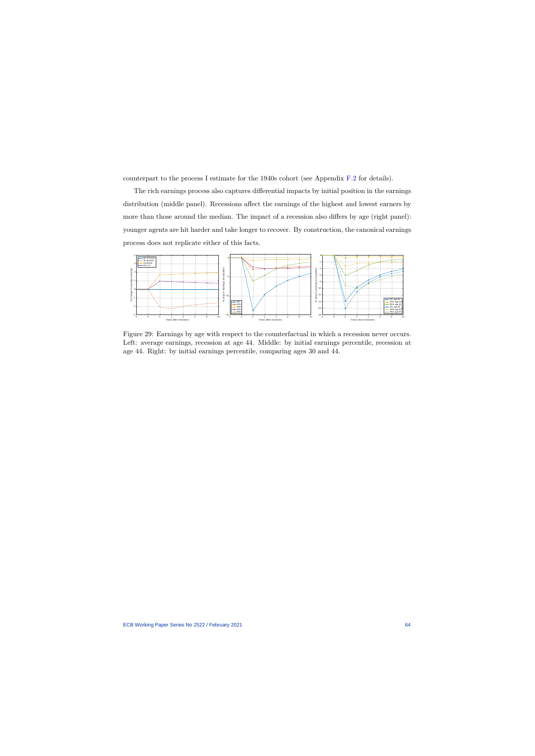counterpart to the process I estimate for the 1940s cohort (see Appendix [F.2](#page-72-0) for details).

The rich earnings process also captures differential impacts by initial position in the earnings distribution (middle panel). Recessions affect the earnings of the highest and lowest earners by more than those around the median. The impact of a recession also differs by age (right panel): younger agents are hit harder and take longer to recover. By construction, the canonical earnings process does not replicate either of this facts.



<span id="page-64-0"></span>Figure 29: Earnings by age with respect to the counterfactual in which a recession never occurs. Left: average earnings, recession at age 44. Middle: by initial earnings percentile, recession at age 44. Right: by initial earnings percentile, comparing ages 30 and 44.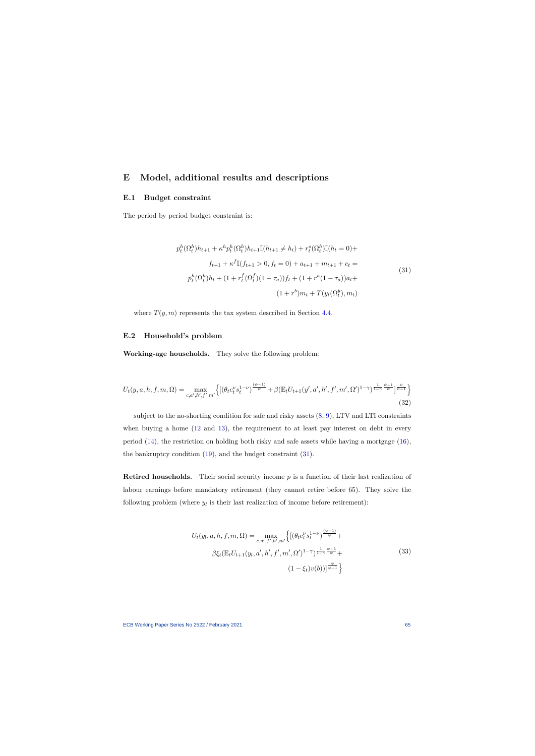# **E Model, additional results and descriptions**

## **E.1 Budget constraint**

The period by period budget constraint is:

$$
p_t^h(\Omega_t^h)h_{t+1} + \kappa^h p_t^h(\Omega_t^h)h_{t+1}\mathbb{I}(h_{t+1} \neq h_t) + r_t^s(\Omega_t^h)\mathbb{I}(h_t = 0) +
$$
  

$$
f_{t+1} + \kappa^f \mathbb{I}(f_{t+1} > 0, f_t = 0) + a_{t+1} + m_{t+1} + c_t =
$$
  

$$
p_t^h(\Omega_t^h)h_t + (1 + r_t^f(\Omega_t^f)(1 - \tau_a))f_t + (1 + r^a(1 - \tau_a))a_t +
$$
  

$$
(1 + r^b)m_t + T(y_t(\Omega_t^y), m_t)
$$
 (31)

where  $T(y, m)$  represents the tax system described in Section [4.4.](#page-21-0)

# **E.2 Household's problem**

**Working-age households.** They solve the following problem:

<span id="page-65-0"></span>
$$
U_t(y, a, h, f, m, \Omega) = \max_{c, a', h', f', m'} \left\{ \left[ \left( \theta_t c_t^{\nu} s_t^{1-\nu} \right)^{\frac{(\psi-1)}{\psi}} + \beta \left( \mathbb{E}_t U_{t+1}(y', a', h', f', m', \Omega')^{1-\gamma} \right)^{\frac{1}{1-\gamma} \frac{\psi-1}{\psi}} \right]^{\frac{\psi}{\psi-1}} \right\} \tag{32}
$$

subject to the no-shorting condition for safe and risky assets [\(8,](#page-18-0) [9\)](#page-18-1), LTV and LTI constraints when buying a home [\(12](#page-20-0) and [13\)](#page-20-1), the requirement to at least pay interest on debt in every period [\(14\)](#page-20-2), the restriction on holding both risky and safe assets while having a mortgage [\(16\)](#page-21-2), the bankruptcy condition [\(19\)](#page-23-0), and the budget constraint [\(31\)](#page-65-0).

**Retired households.** Their social security income p is a function of their last realization of labour earnings before mandatory retirement (they cannot retire before 65). They solve the following problem (where  $y_l$  is their last realization of income before retirement):

$$
U_t(y_l, a, h, f, m, \Omega) = \max_{c, a', f', h', m'} \left\{ \left[ (\theta_t c_t^{\nu} s_t^{1-\nu})^{\frac{(\psi-1)}{\psi}} + \beta \xi_t (\mathbb{E}_t U_{t+1}(y_l, a', h', f', m', \Omega')^{1-\gamma})^{\frac{1}{1-\gamma} \frac{\psi-1}{\psi}} + \right. \right\}
$$
\n
$$
(33)
$$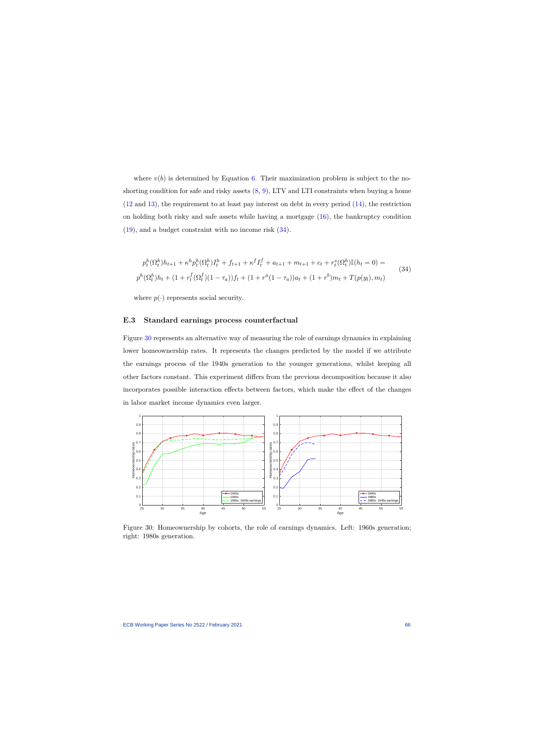where  $v(b)$  is determined by Equation [6.](#page-17-0) Their maximization problem is subject to the noshorting condition for safe and risky assets [\(8,](#page-18-0) [9\)](#page-18-1), LTV and LTI constraints when buying a home [\(12](#page-20-0) and [13\)](#page-20-1), the requirement to at least pay interest on debt in every period [\(14\)](#page-20-2), the restriction on holding both risky and safe assets while having a mortgage  $(16)$ , the bankruptcy condition [\(19\)](#page-23-0), and a budget constraint with no income risk [\(34\)](#page-66-0).

$$
p_t^h(\Omega_t^h)h_{t+1} + \kappa^h p_t^h(\Omega_t^h)I_t^h + f_{t+1} + \kappa^f I_t^f + a_{t+1} + m_{t+1} + c_t + r_t^s(\Omega_t^h)\mathbb{I}(h_t = 0) =
$$
  
\n
$$
p^h(\Omega_t^h)h_t + (1 + r_t^f(\Omega_t^f)(1 - \tau_a))f_t + (1 + r^a(1 - \tau_a))a_t + (1 + r^b)m_t + T(p(y_t), m_t)
$$
\n(34)

where  $p(\cdot)$  represents social security.

#### **E.3 Standard earnings process counterfactual**

<span id="page-66-0"></span>Figure [30](#page-66-1) represents an alternative way of measuring the role of earnings dynamics in explaining lower homeownership rates. It represents the changes predicted by the model if we attribute the earnings process of the 1940s generation to the younger generations, whilst keeping all other factors constant. This experiment differs from the previous decomposition because it also incorporates possible interaction effects between factors, which make the effect of the changes in labor market income dynamics even larger.



<span id="page-66-1"></span>Figure 30: Homeownership by cohorts, the role of earnings dynamics. Left: 1960s generation; right: 1980s generation.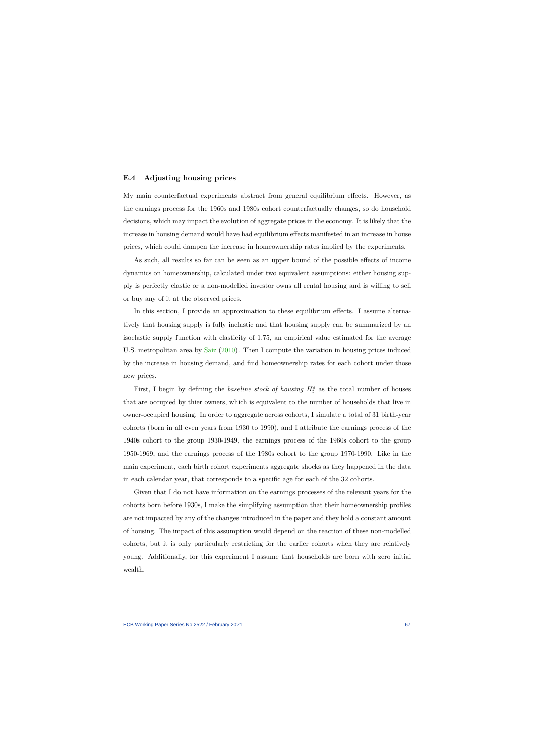### **E.4 Adjusting housing prices**

My main counterfactual experiments abstract from general equilibrium effects. However, as the earnings process for the 1960s and 1980s cohort counterfactually changes, so do household decisions, which may impact the evolution of aggregate prices in the economy. It is likely that the increase in housing demand would have had equilibrium effects manifested in an increase in house prices, which could dampen the increase in homeownership rates implied by the experiments.

As such, all results so far can be seen as an upper bound of the possible effects of income dynamics on homeownership, calculated under two equivalent assumptions: either housing supply is perfectly elastic or a non-modelled investor owns all rental housing and is willing to sell or buy any of it at the observed prices.

In this section, I provide an approximation to these equilibrium effects. I assume alternatively that housing supply is fully inelastic and that housing supply can be summarized by an isoelastic supply function with elasticity of 1.75, an empirical value estimated for the average U.S. metropolitan area by [Saiz](#page-83-3) [\(2010\)](#page-83-3). Then I compute the variation in housing prices induced by the increase in housing demand, and find homeownership rates for each cohort under those new prices.

First, I begin by defining the *baseline stock of housing*  $H_t^s$  as the total number of houses that are occupied by thier owners, which is equivalent to the number of households that live in owner-occupied housing. In order to aggregate across cohorts, I simulate a total of 31 birth-year cohorts (born in all even years from 1930 to 1990), and I attribute the earnings process of the 1940s cohort to the group 1930-1949, the earnings process of the 1960s cohort to the group 1950-1969, and the earnings process of the 1980s cohort to the group 1970-1990. Like in the main experiment, each birth cohort experiments aggregate shocks as they happened in the data in each calendar year, that corresponds to a specific age for each of the 32 cohorts.

Given that I do not have information on the earnings processes of the relevant years for the cohorts born before 1930s, I make the simplifying assumption that their homeownership profiles are not impacted by any of the changes introduced in the paper and they hold a constant amount of housing. The impact of this assumption would depend on the reaction of these non-modelled cohorts, but it is only particularly restricting for the earlier cohorts when they are relatively young. Additionally, for this experiment I assume that households are born with zero initial wealth.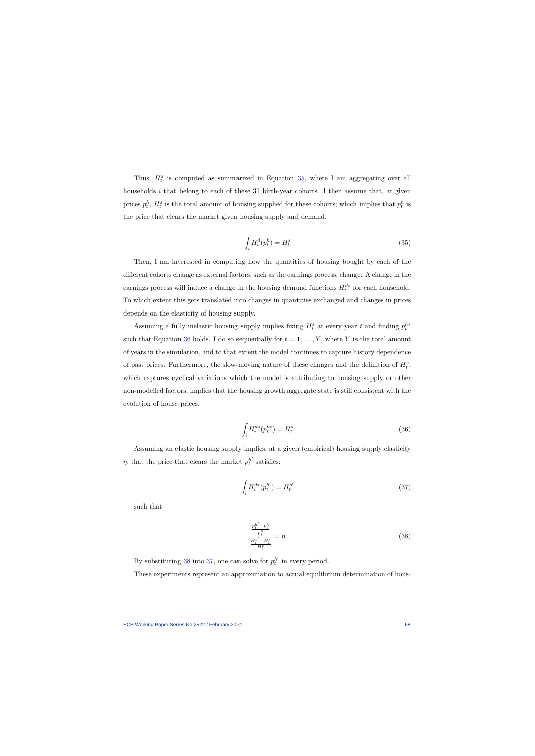Thus,  $H_t^s$  is computed as summarized in Equation [35,](#page-68-0) where I am aggregating over all households *i* that belong to each of these 31 birth-year cohorts. I then assume that, at given prices  $p_t^h$ ,  $H_t^s$  is the total amount of housing supplied for these cohorts; which implies that  $p_t^h$  is the price that clears the market given housing supply and demand.

$$
\int_{i} H_{i}^{d}(p_{t}^{h}) = H_{t}^{s} \tag{35}
$$

Then, I am interested in computing how the quantities of housing bought by each of the different cohorts change as external factors, such as the earnings process, change. A change in the earnings process will induce a change in the housing demand functions  $H_i^{d*}$  for each household. To which extent this gets translated into changes in quantities exchanged and changes in prices depends on the elasticity of housing supply.

<span id="page-68-0"></span>Assuming a fully inelastic housing supply implies fixing  $H_t^s$  at every year *t* and finding  $p_t^{h*}$ such that Equation [36](#page-68-1) holds. I do so sequentially for  $t = 1, \ldots, Y$ , where *Y* is the total amount of years in the simulation, and to that extent the model continues to capture history dependence of past prices. Furthermore, the slow-moving nature of these changes and the definition of  $H_t^s$ , which captures cyclical variations which the model is attributing to housing supply or other non-modelled factors, implies that the housing growth aggregate state is still consistent with the evolution of house prices.

$$
\int_{i} H_{i}^{d*}(p_{t}^{h*}) = H_{t}^{s}
$$
\n(36)

Assuming an elastic housing supply implies, at a given (empirical) housing supply elasticity *η*, that the price that clears the market  $p_t^{h'}$  satisfies:

$$
\int_{i} H_{i}^{d*}(p_{t}^{h'}) = H_{t}^{s'} \tag{37}
$$

<span id="page-68-1"></span>such that

$$
\frac{p_t^{h'} - p_t^h}{p_t^h}}{\frac{H_t^{s'} - H_t^s}{H_t^s}} = \eta
$$
\n(38)

By substituting [38](#page-68-2) into [37,](#page-68-3) one can solve for  $p_t^{h'}$  in every period.

<span id="page-68-3"></span><span id="page-68-2"></span>These experiments represent an approximation to actual equilibrium determination of hous-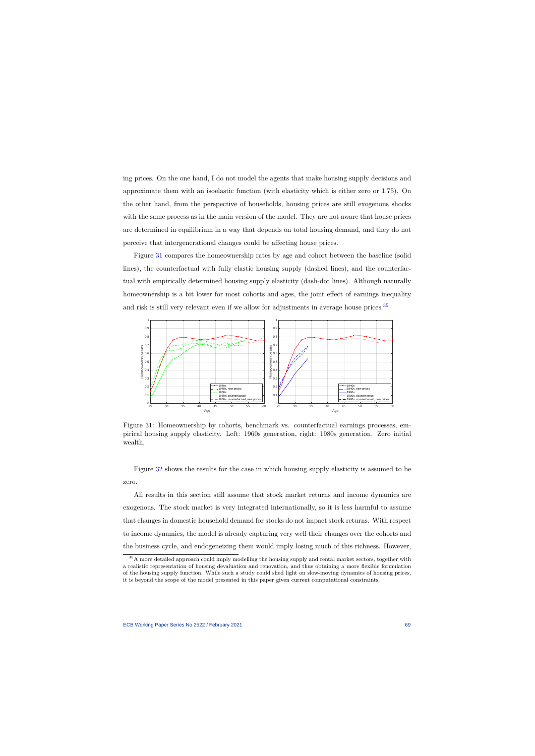ing prices. On the one hand, I do not model the agents that make housing supply decisions and approximate them with an isoelastic function (with elasticity which is either zero or 1.75). On the other hand, from the perspective of households, housing prices are still exogenous shocks with the same process as in the main version of the model. They are not aware that house prices are determined in equilibrium in a way that depends on total housing demand, and they do not perceive that intergenerational changes could be affecting house prices.

Figure [31](#page-69-0) compares the homeownership rates by age and cohort between the baseline (solid lines), the counterfactual with fully elastic housing supply (dashed lines), and the counterfactual with empirically determined housing supply elasticity (dash-dot lines). Although naturally homeownership is a bit lower for most cohorts and ages, the joint effect of earnings inequality and risk is still very relevant even if we allow for adjustments in average house prices.[35](#page-69-1)



Figure 31: Homeownership by cohorts, benchmark vs. counterfactual earnings processes, empirical housing supply elasticity. Left: 1960s generation, right: 1980s generation. Zero initial wealth.

Figure [32](#page-70-0) shows the results for the case in which housing supply elasticity is assumed to be zero.

All results in this section still assume that stock market returns and income dynamics are exogenous. The stock market is very integrated internationally, so it is less harmful to assume that changes in domestic household demand for stocks do not impact stock returns. With respect to income dynamics, the model is already capturing very well their changes over the cohorts and the business cycle, and endogeneizing them would imply losing much of this richness. However,

<span id="page-69-1"></span><span id="page-69-0"></span><sup>&</sup>lt;sup>35</sup>A more detailed approach could imply modelling the housing supply and rental market sectors, together with a realistic representation of housing devaluation and renovation, and thus obtaining a more flexible formulation of the housing supply function. While such a study could shed light on slow-moving dynamics of housing prices, it is beyond the scope of the model presented in this paper given current computational constraints.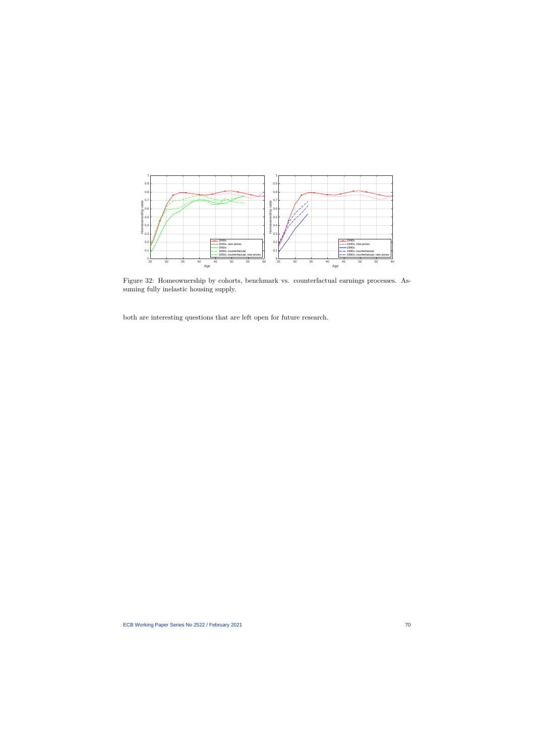

Figure 32: Homeownership by cohorts, benchmark vs. counterfactual earnings processes. Assuming fully inelastic housing supply.

<span id="page-70-0"></span>both are interesting questions that are left open for future research.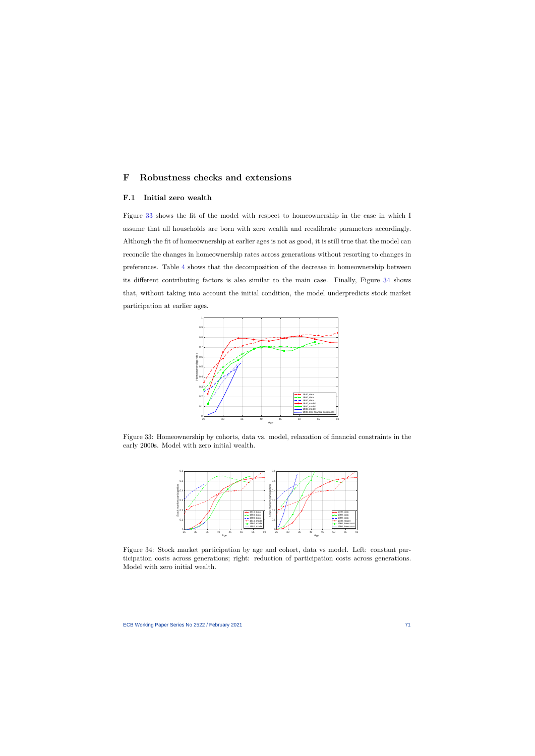# **F Robustness checks and extensions**

### **F.1 Initial zero wealth**

<span id="page-71-1"></span><span id="page-71-0"></span>Figure [33](#page-71-2) shows the fit of the model with respect to homeownership in the case in which I assume that all households are born with zero wealth and recalibrate parameters accordingly. Although the fit of homeownership at earlier ages is not as good, it is still true that the model can reconcile the changes in homeownership rates across generations without resorting to changes in preferences. Table [4](#page-72-1) shows that the decomposition of the decrease in homeownership between its different contributing factors is also similar to the main case. Finally, Figure [34](#page-71-3) shows that, without taking into account the initial condition, the model underpredicts stock market participation at earlier ages.



Figure 33: Homeownership by cohorts, data vs. model, relaxation of financial constraints in the early 2000s. Model with zero initial wealth.



<span id="page-71-3"></span><span id="page-71-2"></span>Figure 34: Stock market participation by age and cohort, data vs model. Left: constant participation costs across generations; right: reduction of participation costs across generations. Model with zero initial wealth.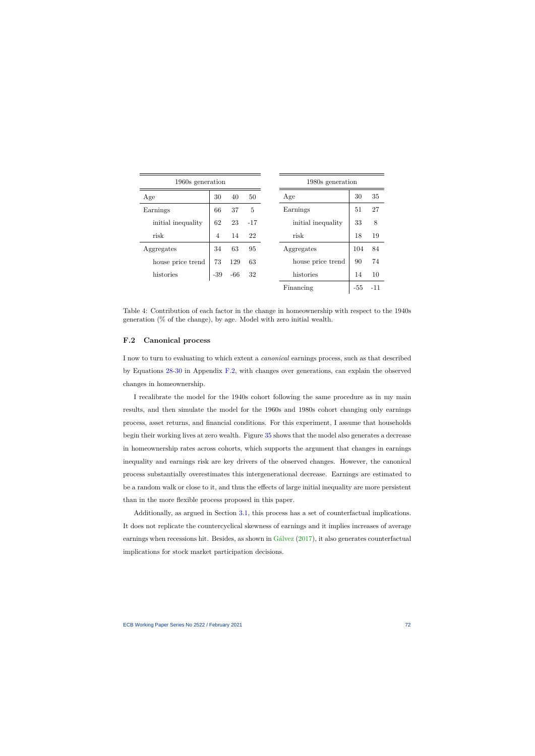| 1960s generation   |       |       |       |
|--------------------|-------|-------|-------|
| Age                | 30    | 40    | 50    |
| Earnings           | 66    | 37    | 5     |
| initial inequality | 62    | 23    | $-17$ |
| risk               | 4     | 14    | 22    |
| Aggregates         | 34    | 63    | 95    |
| house price trend  | 73    | 129   | 63    |
| histories          | $-39$ | $-66$ | 32    |
|                    |       |       |       |

Table 4: Contribution of each factor in the change in homeownership with respect to the 1940s generation (% of the change), by age. Model with zero initial wealth.

### **F.2 Canonical process**

I now to turn to evaluating to which extent a *canonical* earnings process, such as that described by Equations [28-](#page-61-0)[30](#page-61-1) in Appendix [F.2,](#page-72-0) with changes over generations, can explain the observed changes in homeownership.

<span id="page-72-0"></span>I recalibrate the model for the 1940s cohort following the same procedure as in my main results, and then simulate the model for the 1960s and 1980s cohort changing only earnings process, asset returns, and financial conditions. For this experiment, I assume that households begin their working lives at zero wealth. Figure [35](#page-73-0) shows that the model also generates a decrease in homeownership rates across cohorts, which supports the argument that changes in earnings inequality and earnings risk are key drivers of the observed changes. However, the canonical process substantially overestimates this intergenerational decrease. Earnings are estimated to be a random walk or close to it, and thus the effects of large initial inequality are more persistent than in the more flexible process proposed in this paper.

Additionally, as argued in Section [3.1,](#page-15-0) this process has a set of counterfactual implications. It does not replicate the countercyclical skewness of earnings and it implies increases of average earnings when recessions hit. Besides, as shown in [Gálvez](#page-82-0) [\(2017\)](#page-82-0), it also generates counterfactual implications for stock market participation decisions.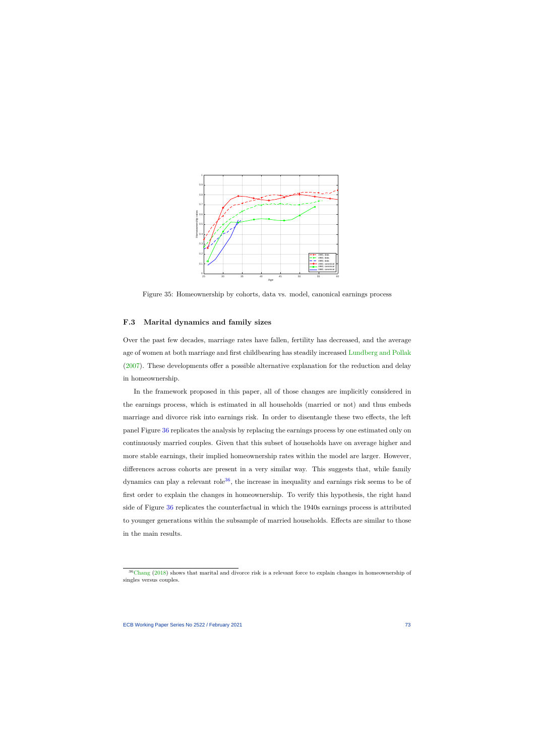

Figure 35: Homeownership by cohorts, data vs. model, canonical earnings process

### **F.3 Marital dynamics and family sizes**

Over the past few decades, marriage rates have fallen, fertility has decreased, and the average age of women at both marriage and first childbearing has steadily increased [Lundberg and Pollak](#page-83-0) [\(2007\)](#page-83-0). These developments offer a possible alternative explanation for the reduction and delay in homeownership.

<span id="page-73-0"></span>In the framework proposed in this paper, all of those changes are implicitly considered in the earnings process, which is estimated in all households (married or not) and thus embeds marriage and divorce risk into earnings risk. In order to disentangle these two effects, the left panel Figure [36](#page-74-0) replicates the analysis by replacing the earnings process by one estimated only on continuously married couples. Given that this subset of households have on average higher and more stable earnings, their implied homeownership rates within the model are larger. However, differences across cohorts are present in a very similar way. This suggests that, while family dynamics can play a relevant role<sup>[36](#page-73-1)</sup>, the increase in inequality and earnings risk seems to be of first order to explain the changes in homeownership. To verify this hypothesis, the right hand side of Figure [36](#page-74-0) replicates the counterfactual in which the 1940s earnings process is attributed to younger generations within the subsample of married households. Effects are similar to those in the main results.

<span id="page-73-1"></span><sup>&</sup>lt;sup>36</sup>[Chang](#page-81-0) [\(2018\)](#page-81-0) shows that marital and divorce risk is a relevant force to explain changes in homeownership of singles versus couples.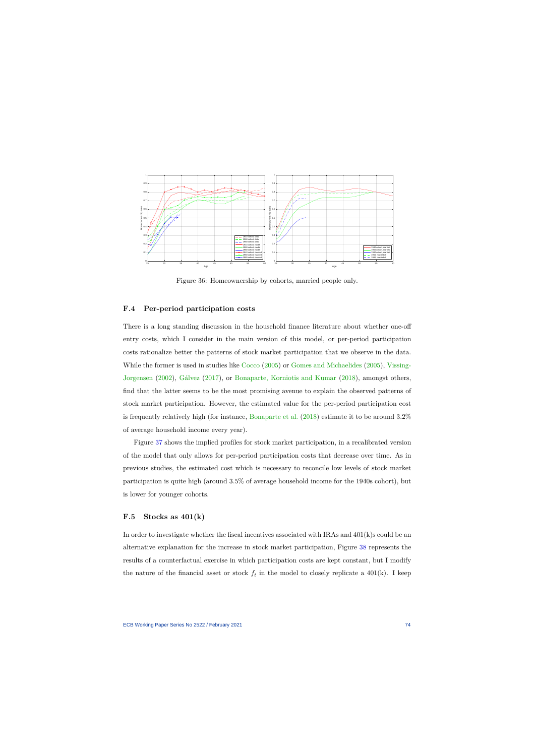

Figure 36: Homeownership by cohorts, married people only.

## **F.4 Per-period participation costs**

There is a long standing discussion in the household finance literature about whether one-off entry costs, which I consider in the main version of this model, or per-period participation costs rationalize better the patterns of stock market participation that we observe in the data. While the former is used in studies like [Cocco](#page-38-0) [\(2005\)](#page-38-0) or [Gomes and Michaelides](#page-40-0) [\(2005\)](#page-40-0), [Vissing-](#page-83-1)[Jorgensen](#page-83-1) [\(2002\)](#page-83-1), [Gálvez](#page-82-0) [\(2017\)](#page-82-0), or [Bonaparte, Korniotis and Kumar](#page-81-1) [\(2018\)](#page-81-1), amongst others, find that the latter seems to be the most promising avenue to explain the observed patterns of stock market participation. However, the estimated value for the per-period participation cost is frequently relatively high (for instance, [Bonaparte et al.](#page-81-1) [\(2018\)](#page-81-1) estimate it to be around 3.2% of average household income every year).

<span id="page-74-0"></span>Figure [37](#page-75-0) shows the implied profiles for stock market participation, in a recalibrated version of the model that only allows for per-period participation costs that decrease over time. As in previous studies, the estimated cost which is necessary to reconcile low levels of stock market participation is quite high (around 3.5% of average household income for the 1940s cohort), but is lower for younger cohorts.

### **F.5 Stocks as 401(k)**

In order to investigate whether the fiscal incentives associated with IRAs and  $401(k)$ s could be an alternative explanation for the increase in stock market participation, Figure [38](#page-75-1) represents the results of a counterfactual exercise in which participation costs are kept constant, but I modify the nature of the financial asset or stock  $f_t$  in the model to closely replicate a 401(k). I keep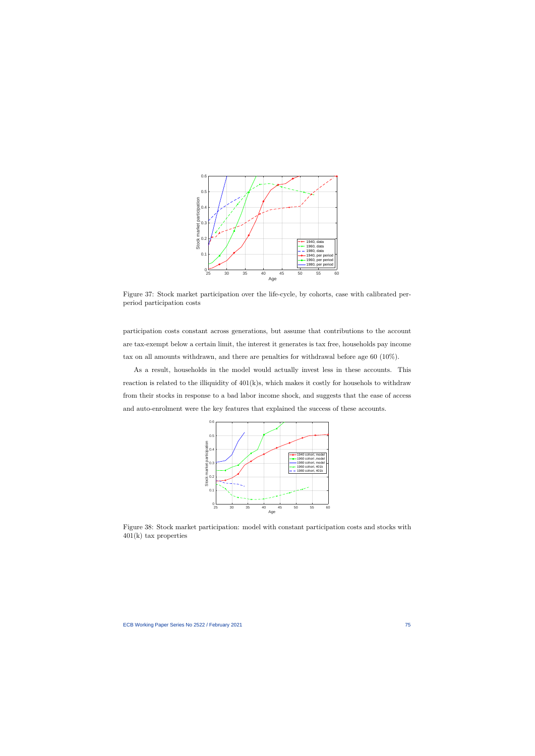

Figure 37: Stock market participation over the life-cycle, by cohorts, case with calibrated perperiod participation costs

participation costs constant across generations, but assume that contributions to the account are tax-exempt below a certain limit, the interest it generates is tax free, households pay income tax on all amounts withdrawn, and there are penalties for withdrawal before age 60 (10%).

<span id="page-75-0"></span>As a result, households in the model would actually invest less in these accounts. This reaction is related to the illiquidity of 401(k)s, which makes it costly for househols to withdraw from their stocks in response to a bad labor income shock, and suggests that the ease of access and auto-enrolment were the key features that explained the success of these accounts.



<span id="page-75-1"></span>Figure 38: Stock market participation: model with constant participation costs and stocks with 401(k) tax properties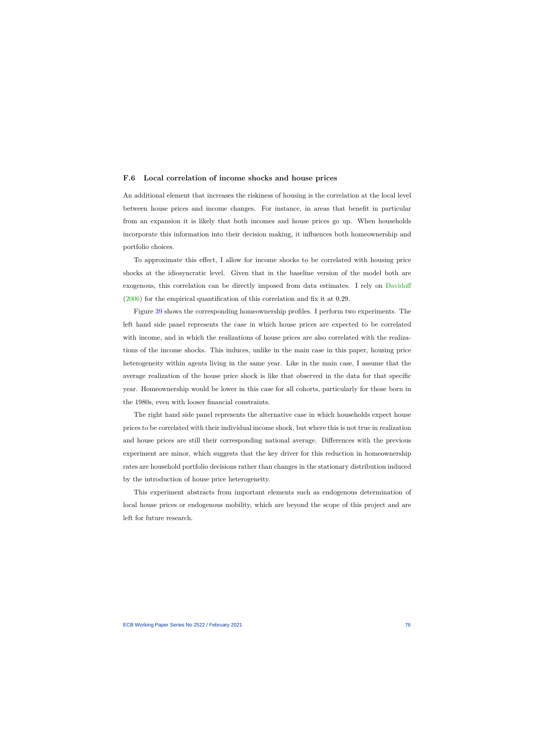#### **F.6 Local correlation of income shocks and house prices**

An additional element that increases the riskiness of housing is the correlation at the local level between house prices and income changes. For instance, in areas that benefit in particular from an expansion it is likely that both incomes and house prices go up. When households incorporate this information into their decision making, it influences both homeownership and portfolio choices.

To approximate this effect, I allow for income shocks to be correlated with housing price shocks at the idiosyncratic level. Given that in the baseline version of the model both are exogenous, this correlation can be directly imposed from data estimates. I rely on [Davidoff](#page-81-2) [\(2006\)](#page-81-2) for the empirical quantification of this correlation and fix it at 0.29.

Figure [39](#page-77-0) shows the corresponding homeownership profiles. I perform two experiments. The left hand side panel represents the case in which house prices are expected to be correlated with income, and in which the realizations of house prices are also correlated with the realizations of the income shocks. This induces, unlike in the main case in this paper, housing price heterogeneity within agents living in the same year. Like in the main case, I assume that the average realization of the house price shock is like that observed in the data for that specific year. Homeownership would be lower in this case for all cohorts, particularly for those born in the 1980s, even with looser financial constraints.

The right hand side panel represents the alternative case in which households expect house prices to be correlated with their individual income shock, but where this is not true in realization and house prices are still their corresponding national average. Differences with the previous experiment are minor, which suggests that the key driver for this reduction in homeownership rates are household portfolio decisions rather than changes in the stationary distribution induced by the introduction of house price heterogeneity.

This experiment abstracts from important elements such as endogenous determination of local house prices or endogenous mobility, which are beyond the scope of this project and are left for future research.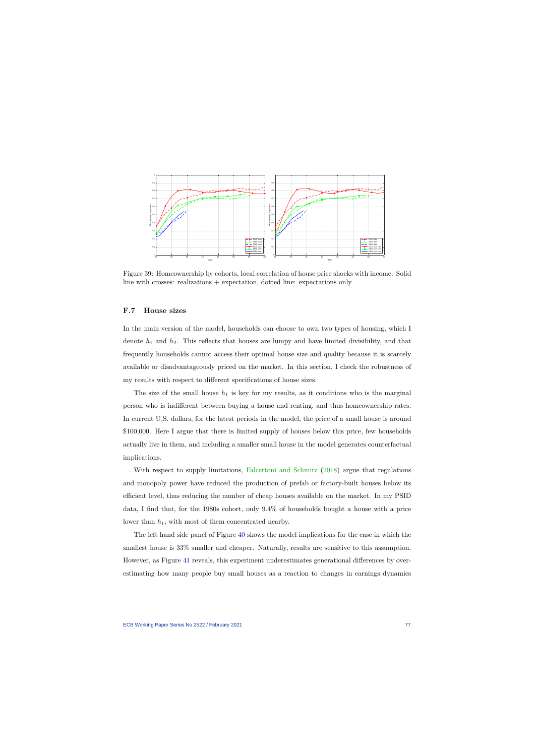

Figure 39: Homeownership by cohorts, local correlation of house price shocks with income. Solid line with crosses: realizations  $+$  expectation, dotted line: expectations only

### **F.7 House sizes**

In the main version of the model, households can choose to own two types of housing, which I denote *h*<sup>1</sup> and *h*2. This reflects that houses are lumpy and have limited divisibility, and that frequently households cannot access their optimal house size and quality because it is scarcely available or disadvantageously priced on the market. In this section, I check the robustness of my results with respect to different specifications of house sizes.

<span id="page-77-0"></span>The size of the small house  $h_1$  is key for my results, as it conditions who is the marginal person who is indifferent between buying a house and renting, and thus homeownership rates. In current U.S. dollars, for the latest periods in the model, the price of a small house is around \$100,000. Here I argue that there is limited supply of houses below this price, few households actually live in them, and including a smaller small house in the model generates counterfactual implications.

With respect to supply limitations, [Falcettoni and Schmitz](#page-39-0) [\(2018\)](#page-39-0) argue that regulations and monopoly power have reduced the production of prefab or factory-built houses below its efficient level, thus reducing the number of cheap houses available on the market. In my PSID data, I find that, for the 1980s cohort, only 9.4% of households bought a house with a price lower than *h*1, with most of them concentrated nearby.

The left hand side panel of Figure [40](#page-78-0) shows the model implications for the case in which the smallest house is 33% smaller and cheaper. Naturally, results are sensitive to this assumption. However, as Figure [41](#page-78-1) reveals, this experiment underestimates generational differences by overestimating how many people buy small houses as a reaction to changes in earnings dynamics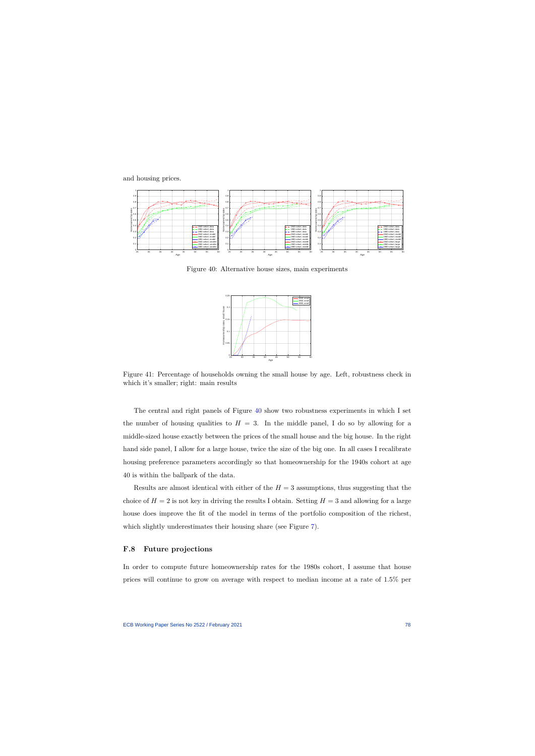and housing prices.



Figure 40: Alternative house sizes, main experiments



<span id="page-78-0"></span>Figure 41: Percentage of households owning the small house by age. Left, robustness check in which it's smaller; right: main results

The central and right panels of Figure [40](#page-78-0) show two robustness experiments in which I set the number of housing qualities to  $H = 3$ . In the middle panel, I do so by allowing for a middle-sized house exactly between the prices of the small house and the big house. In the right hand side panel, I allow for a large house, twice the size of the big one. In all cases I recalibrate housing preference parameters accordingly so that homeownership for the 1940s cohort at age 40 is within the ballpark of the data.

<span id="page-78-1"></span>Results are almost identical with either of the  $H = 3$  assumptions, thus suggesting that the choice of  $H = 2$  is not key in driving the results I obtain. Setting  $H = 3$  and allowing for a large house does improve the fit of the model in terms of the portfolio composition of the richest, which slightly underestimates their housing share (see Figure [7\)](#page-30-0).

#### **F.8 Future projections**

In order to compute future homeownership rates for the 1980s cohort, I assume that house prices will continue to grow on average with respect to median income at a rate of 1.5% per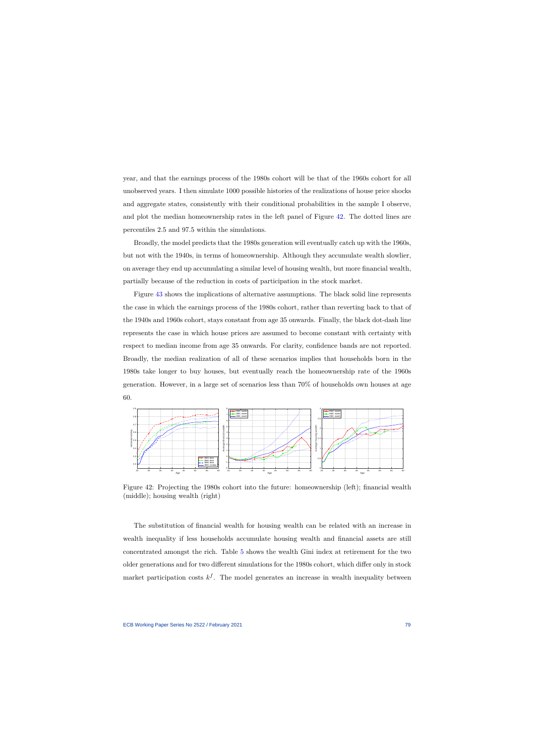year, and that the earnings process of the 1980s cohort will be that of the 1960s cohort for all unobserved years. I then simulate 1000 possible histories of the realizations of house price shocks and aggregate states, consistently with their conditional probabilities in the sample I observe, and plot the median homeownership rates in the left panel of Figure [42.](#page-79-0) The dotted lines are percentiles 2.5 and 97.5 within the simulations.

Broadly, the model predicts that the 1980s generation will eventually catch up with the 1960s, but not with the 1940s, in terms of homeownership. Although they accumulate wealth slowlier, on average they end up accumulating a similar level of housing wealth, but more financial wealth, partially because of the reduction in costs of participation in the stock market.

Figure [43](#page-80-0) shows the implications of alternative assumptions. The black solid line represents the case in which the earnings process of the 1980s cohort, rather than reverting back to that of the 1940s and 1960s cohort, stays constant from age 35 onwards. Finally, the black dot-dash line represents the case in which house prices are assumed to become constant with certainty with respect to median income from age 35 onwards. For clarity, confidence bands are not reported. Broadly, the median realization of all of these scenarios implies that households born in the 1980s take longer to buy houses, but eventually reach the homeownership rate of the 1960s generation. However, in a large set of scenarios less than 70% of households own houses at age 60.



Figure 42: Projecting the 1980s cohort into the future: homeownership (left); financial wealth (middle); housing wealth (right)

<span id="page-79-0"></span>The substitution of financial wealth for housing wealth can be related with an increase in wealth inequality if less households accumulate housing wealth and financial assets are still concentrated amongst the rich. Table [5](#page-80-1) shows the wealth Gini index at retirement for the two older generations and for two different simulations for the 1980s cohort, which differ only in stock market participation costs  $k^f$ . The model generates an increase in wealth inequality between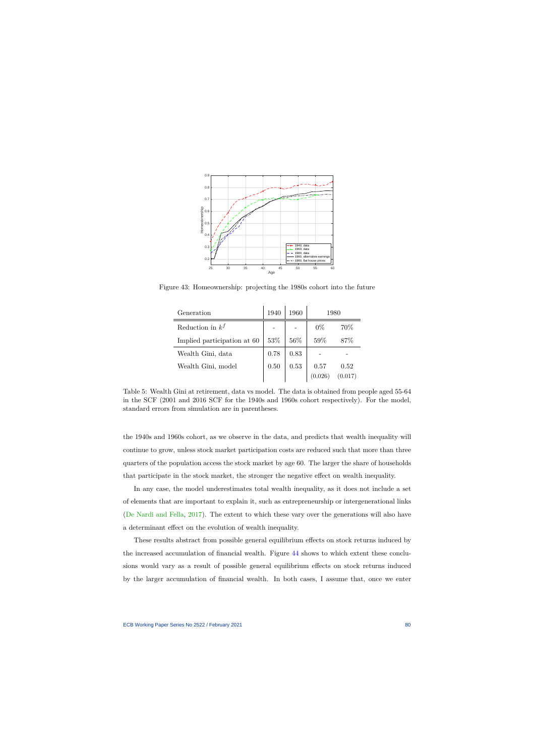

Figure 43: Homeownership: projecting the 1980s cohort into the future

| Generation                  | 1940 | 1960 | 1980   |         |
|-----------------------------|------|------|--------|---------|
| Reduction in $k^f$          |      |      | $0\%$  | 70\%    |
| Implied participation at 60 | 53%  | 56\% | $59\%$ | 87\%    |
| Wealth Gini, data           | 0.78 | 0.83 |        |         |
| Wealth Gini, model          | 0.50 | 0.53 | 0.57   | 0.52    |
|                             |      |      |        | (0.017) |

<span id="page-80-0"></span>Table 5: Wealth Gini at retirement, data vs model. The data is obtained from people aged 55-64 in the SCF (2001 and 2016 SCF for the 1940s and 1960s cohort respectively). For the model, standard errors from simulation are in parentheses.

the 1940s and 1960s cohort, as we observe in the data, and predicts that wealth inequality will continue to grow, unless stock market participation costs are reduced such that more than three quarters of the population access the stock market by age 60. The larger the share of households that participate in the stock market, the stronger the negative effect on wealth inequality.

<span id="page-80-1"></span>In any case, the model underestimates total wealth inequality, as it does not include a set of elements that are important to explain it, such as entrepreneurship or intergenerational links [\(De Nardi and Fella,](#page-82-1) [2017\)](#page-82-1). The extent to which these vary over the generations will also have a determinant effect on the evolution of wealth inequality.

These results abstract from possible general equilibrium effects on stock returns induced by the increased accumulation of financial wealth. Figure [44](#page-81-3) shows to which extent these conclusions would vary as a result of possible general equilibrium effects on stock returns induced by the larger accumulation of financial wealth. In both cases, I assume that, once we enter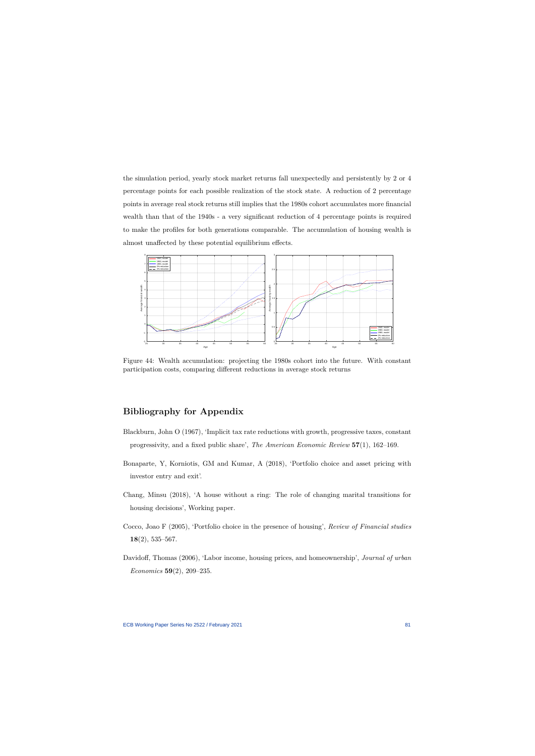the simulation period, yearly stock market returns fall unexpectedly and persistently by 2 or 4 percentage points for each possible realization of the stock state. A reduction of 2 percentage points in average real stock returns still implies that the 1980s cohort accumulates more financial wealth than that of the 1940s - a very significant reduction of 4 percentage points is required to make the profiles for both generations comparable. The accumulation of housing wealth is almost unaffected by these potential equilibrium effects.



Figure 44: Wealth accumulation: projecting the 1980s cohort into the future. With constant participation costs, comparing different reductions in average stock returns

# **Bibliography for Appendix**

- Blackburn, John O (1967), 'Implicit tax rate reductions with growth, progressive taxes, constant progressivity, and a fixed public share', *The American Economic Review* **57**(1), 162–169.
- <span id="page-81-3"></span>Bonaparte, Y, Korniotis, GM and Kumar, A (2018), 'Portfolio choice and asset pricing with investor entry and exit'.
- Chang, Minsu (2018), 'A house without a ring: The role of changing marital transitions for housing decisions', Working paper.
- Cocco, Joao F (2005), 'Portfolio choice in the presence of housing', *Review of Financial studies* **18**(2), 535–567.
- <span id="page-81-2"></span><span id="page-81-1"></span><span id="page-81-0"></span>Davidoff, Thomas (2006), 'Labor income, housing prices, and homeownership', *Journal of urban Economics* **59**(2), 209–235.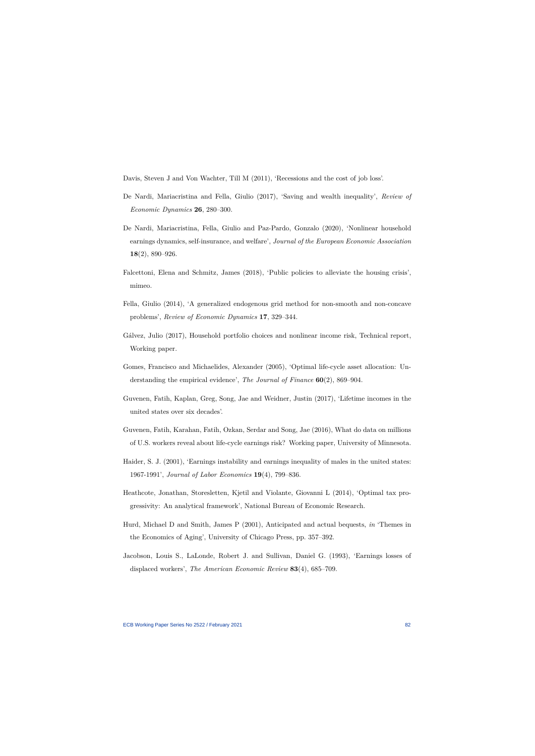Davis, Steven J and Von Wachter, Till M (2011), 'Recessions and the cost of job loss'.

- De Nardi, Mariacristina and Fella, Giulio (2017), 'Saving and wealth inequality', *Review of Economic Dynamics* **26**, 280–300.
- De Nardi, Mariacristina, Fella, Giulio and Paz-Pardo, Gonzalo (2020), 'Nonlinear household earnings dynamics, self-insurance, and welfare', *Journal of the European Economic Association* **18**(2), 890–926.
- Falcettoni, Elena and Schmitz, James (2018), 'Public policies to alleviate the housing crisis', mimeo.
- <span id="page-82-1"></span>Fella, Giulio (2014), 'A generalized endogenous grid method for non-smooth and non-concave problems', *Review of Economic Dynamics* **17**, 329–344.
- Gálvez, Julio (2017), Household portfolio choices and nonlinear income risk, Technical report, Working paper.
- Gomes, Francisco and Michaelides, Alexander (2005), 'Optimal life-cycle asset allocation: Understanding the empirical evidence', *The Journal of Finance* **60**(2), 869–904.
- Guvenen, Fatih, Kaplan, Greg, Song, Jae and Weidner, Justin (2017), 'Lifetime incomes in the united states over six decades'.
- <span id="page-82-0"></span>Guvenen, Fatih, Karahan, Fatih, Ozkan, Serdar and Song, Jae (2016), What do data on millions of U.S. workers reveal about life-cycle earnings risk? Working paper, University of Minnesota.
- Haider, S. J. (2001), 'Earnings instability and earnings inequality of males in the united states: 1967-1991', *Journal of Labor Economics* **19**(4), 799–836.
- Heathcote, Jonathan, Storesletten, Kjetil and Violante, Giovanni L (2014), 'Optimal tax progressivity: An analytical framework', National Bureau of Economic Research.
- Hurd, Michael D and Smith, James P (2001), Anticipated and actual bequests, *in* 'Themes in the Economics of Aging', University of Chicago Press, pp. 357–392.
- Jacobson, Louis S., LaLonde, Robert J. and Sullivan, Daniel G. (1993), 'Earnings losses of displaced workers', *The American Economic Review* **83**(4), 685–709.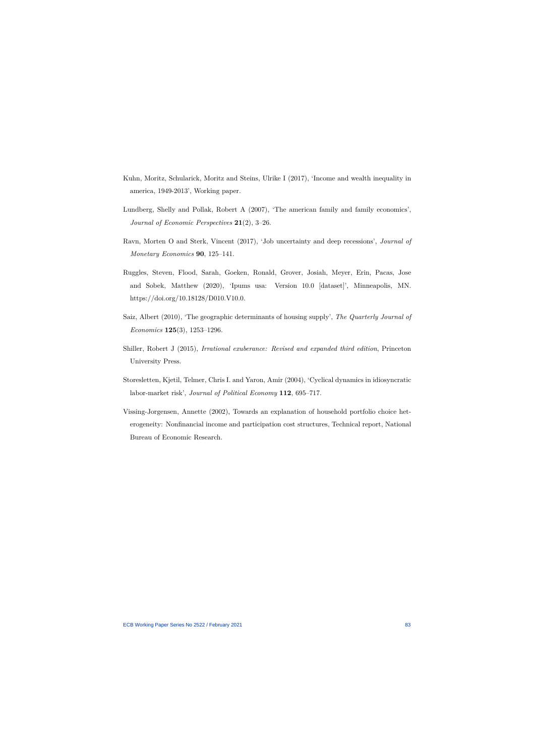- Kuhn, Moritz, Schularick, Moritz and Steins, Ulrike I (2017), 'Income and wealth inequality in america, 1949-2013', Working paper.
- Lundberg, Shelly and Pollak, Robert A (2007), 'The american family and family economics', *Journal of Economic Perspectives* **21**(2), 3–26.
- Ravn, Morten O and Sterk, Vincent (2017), 'Job uncertainty and deep recessions', *Journal of Monetary Economics* **90**, 125–141.
- Ruggles, Steven, Flood, Sarah, Goeken, Ronald, Grover, Josiah, Meyer, Erin, Pacas, Jose and Sobek, Matthew (2020), 'Ipums usa: Version 10.0 [dataset]', Minneapolis, MN. https://doi.org/10.18128/D010.V10.0.
- <span id="page-83-0"></span>Saiz, Albert (2010), 'The geographic determinants of housing supply', *The Quarterly Journal of Economics* **125**(3), 1253–1296.
- Shiller, Robert J (2015), *Irrational exuberance: Revised and expanded third edition*, Princeton University Press.
- Storesletten, Kjetil, Telmer, Chris I. and Yaron, Amir (2004), 'Cyclical dynamics in idiosyncratic labor-market risk', *Journal of Political Economy* **112**, 695–717.
- <span id="page-83-1"></span>Vissing-Jorgensen, Annette (2002), Towards an explanation of household portfolio choice heterogeneity: Nonfinancial income and participation cost structures, Technical report, National Bureau of Economic Research.